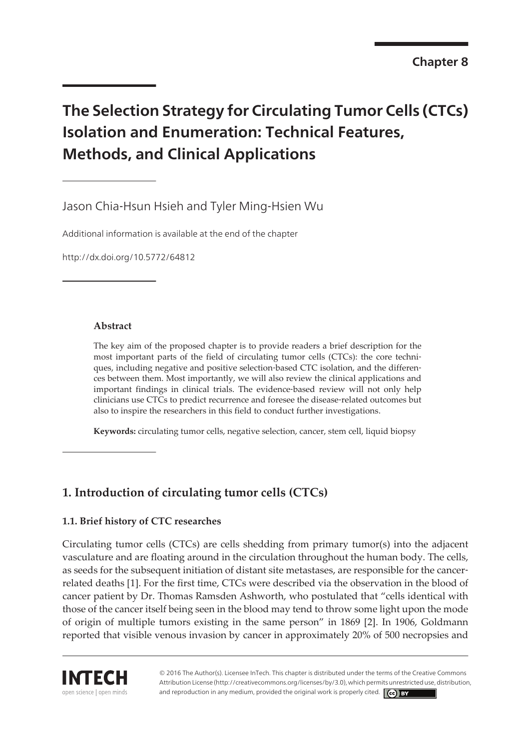# **The Selection Strategy for Circulating Tumor Cells (CTCs) Isolation and Enumeration: Technical Features, Methods, and Clinical Applications**

Jason Chia‐Hsun Hsieh and Tyler Ming‐Hsien Wu

[Additional information is available at the end of the chapter](#page-21-0)

http://dx.doi.org/10.5772/64812

#### **Abstract**

The key aim of the proposed chapter is to provide readers a brief description for the most important parts of the field of circulating tumor cells (CTCs): the core techniques, including negative and positive selection-based CTC isolation, and the differences between them. Most importantly, we will also review the clinical applications and important findings in clinical trials. The evidence‐based review will not only help clinicians use CTCs to predict recurrence and foresee the disease-related outcomes but also to inspire the researchers in this field to conduct further investigations.

**Keywords:** circulating tumor cells, negative selection, cancer, stem cell, liquid biopsy

**1. Introduction of circulating tumor cells (CTCs)**

#### **1.1. Brief history of CTC researches**

Circulating tumor cells (CTCs) are cells shedding from primary tumor(s) into the adjacent vasculature and are floating around in the circulation throughout the human body. The cells, as seeds for the subsequent initiation of distant site metastases, are responsible for the cancerrelated deaths [\[1\]](#page-21-0). For the first time, CTCs were described via the observation in the blood of cancer patient by Dr. Thomas Ramsden Ashworth, who postulated that "cells identical with those of the cancer itself being seen in the blood may tend to throw some light upon the mode of origin of multiple tumors existing in the same person" in 1869 [[2](#page-22-0)]. In 1906, Goldmann reported that visible venous invasion by cancer in approximately 20% of 500 necropsies and



© 2016 The Author(s). Licensee InTech. This chapter is distributed under the terms of the Creative Commons Attribution License (http://creativecommons.org/licenses/by/3.0), which permits unrestricted use, distribution, and reproduction in any medium, provided the original work is properly cited.  $\left[\left(\begin{matrix} cc \end{matrix}\right)$  BY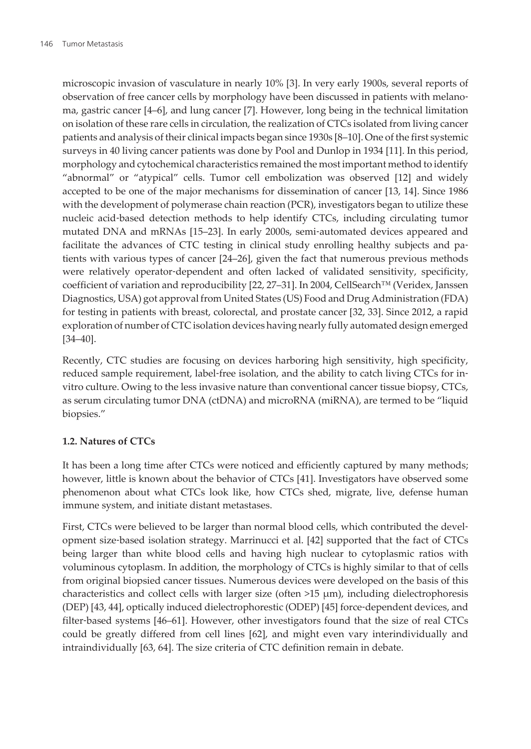microscopic invasion of vasculature in nearly 10% [[3](#page-22-0)]. In very early 1900s, several reports of observation of free cancer cells by morphology have been discussed in patients with melano‐ ma, gastric cancer [[4](#page-22-0)–[6](#page-22-0)], and lung cancer [\[7\]](#page-22-0). However, long being in the technical limitation on isolation of these rare cells in circulation, the realization of CTCs isolated from living cancer patients and analysis of their clinical impacts began since 1930s [[8](#page-22-0)–[10\]](#page-22-0). One of the first systemic surveys in 40 living cancer patients was done by Pool and Dunlop in 1934 [\[11](#page-22-0)]. In this period, morphology and cytochemical characteristics remained the most important method to identify "abnormal" or "atypical" cells. Tumor cell embolization was observed [\[12](#page-22-0)] and widely accepted to be one of the major mechanisms for dissemination of cancer [[13,](#page-22-0) [14\]](#page-22-0). Since 1986 with the development of polymerase chain reaction (PCR), investigators began to utilize these nucleic acid‐based detection methods to help identify CTCs, including circulating tumor mutated DNA and mRNAs [\[15](#page-22-0)–[23\]](#page-23-0). In early 2000s, semi‐automated devices appeared and facilitate the advances of CTC testing in clinical study enrolling healthy subjects and patients with various types of cancer [\[24](#page-23-0)–[26\]](#page-23-0), given the fact that numerous previous methods were relatively operator-dependent and often lacked of validated sensitivity, specificity, coefficient of variation and reproducibility [[22,](#page-23-0) [27](#page-23-0)–[31\]](#page-24-0). In 2004, CellSearch™ (Veridex, Janssen Diagnostics, USA) got approval from United States (US) Food and Drug Administration (FDA) for testing in patients with breast, colorectal, and prostate cancer [\[32](#page-24-0), [33](#page-24-0)]. Since 2012, a rapid exploration of number of CTC isolation devices having nearly fully automated design emerged [[34–](#page-24-0)[40](#page-25-0)].

Recently, CTC studies are focusing on devices harboring high sensitivity, high specificity, reduced sample requirement, label-free isolation, and the ability to catch living CTCs for invitro culture. Owing to the less invasive nature than conventional cancer tissue biopsy, CTCs, as serum circulating tumor DNA (ctDNA) and microRNA (miRNA), are termed to be "liquid biopsies."

#### **1.2. Natures of CTCs**

It has been a long time after CTCs were noticed and efficiently captured by many methods; however, little is known about the behavior of CTCs [\[41](#page-25-0)]. Investigators have observed some phenomenon about what CTCs look like, how CTCs shed, migrate, live, defense human immune system, and initiate distant metastases.

First, CTCs were believed to be larger than normal blood cells, which contributed the development size‐based isolation strategy. Marrinucci et al. [[42\]](#page-25-0) supported that the fact of CTCs being larger than white blood cells and having high nuclear to cytoplasmic ratios with voluminous cytoplasm. In addition, the morphology of CTCs is highly similar to that of cells from original biopsied cancer tissues. Numerous devices were developed on the basis of this characteristics and collect cells with larger size (often >15 μm), including dielectrophoresis (DEP) [\[43](#page-25-0), [44\]](#page-25-0), optically induced dielectrophorestic (ODEP) [[45\]](#page-25-0) force‐dependent devices, and filter-based systems [[46–](#page-25-0)[61](#page-26-0)]. However, other investigators found that the size of real CTCs could be greatly differed from cell lines [\[62](#page-27-0)], and might even vary interindividually and intraindividually [\[63](#page-27-0), [64\]](#page-27-0). The size criteria of CTC definition remain in debate.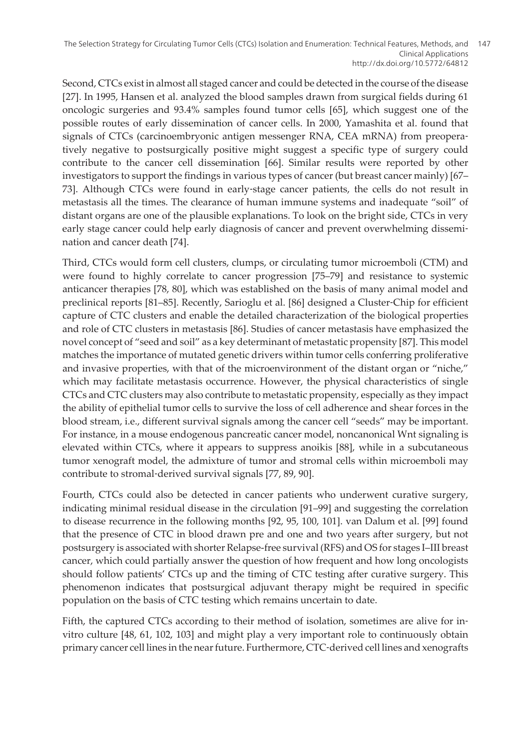Second, CTCs exist in almost all staged cancer and could be detected in the course of the disease [[27\]](#page-23-0). In 1995, Hansen et al. analyzed the blood samples drawn from surgical fields during 61 oncologic surgeries and 93.4% samples found tumor cells [\[65](#page-27-0)], which suggest one of the possible routes of early dissemination of cancer cells. In 2000, Yamashita et al. found that signals of CTCs (carcinoembryonic antigen messenger RNA, CEA mRNA) from preopera‐ tively negative to postsurgically positive might suggest a specific type of surgery could contribute to the cancer cell dissemination [\[66](#page-27-0)]. Similar results were reported by other investigators to support the findings in various types of cancer (but breast cancer mainly) [[67–](#page-27-0) [73\]](#page-28-0). Although CTCs were found in early‐stage cancer patients, the cells do not result in metastasis all the times. The clearance of human immune systems and inadequate "soil" of distant organs are one of the plausible explanations. To look on the bright side, CTCs in very early stage cancer could help early diagnosis of cancer and prevent overwhelming dissemination and cancer death [\[74](#page-28-0)].

Third, CTCs would form cell clusters, clumps, or circulating tumor microemboli (CTM) and were found to highly correlate to cancer progression [\[75](#page-28-0)–[79\]](#page-28-0) and resistance to systemic anticancer therapies [\[78](#page-28-0), [80](#page-28-0)], which was established on the basis of many animal model and preclinical reports [[81–85](#page-28-0)]. Recently, Sarioglu et al. [[86\]](#page-29-0) designed a Cluster‐Chip for efficient capture of CTC clusters and enable the detailed characterization of the biological properties and role of CTC clusters in metastasis [[86\]](#page-29-0). Studies of cancer metastasis have emphasized the novel concept of "seed and soil" as a key determinant of metastatic propensity [\[87](#page-29-0)]. This model matches the importance of mutated genetic drivers within tumor cells conferring proliferative and invasive properties, with that of the microenvironment of the distant organ or "niche," which may facilitate metastasis occurrence. However, the physical characteristics of single CTCs and CTC clusters may also contribute to metastatic propensity, especially as they impact the ability of epithelial tumor cells to survive the loss of cell adherence and shear forces in the blood stream, i.e., different survival signals among the cancer cell "seeds" may be important. For instance, in a mouse endogenous pancreatic cancer model, noncanonical Wnt signaling is elevated within CTCs, where it appears to suppress anoikis [\[88](#page-29-0)], while in a subcutaneous tumor xenograft model, the admixture of tumor and stromal cells within microemboli may contribute to stromal‐derived survival signals [\[77](#page-28-0), [89, 90](#page-29-0)].

Fourth, CTCs could also be detected in cancer patients who underwent curative surgery, indicating minimal residual disease in the circulation [\[91](#page-29-0)–[99\]](#page-30-0) and suggesting the correlation to disease recurrence in the following months [\[92](#page-29-0), [95](#page-30-0), [100, 101\]](#page-30-0). van Dalum et al. [\[99](#page-30-0)] found that the presence of CTC in blood drawn pre and one and two years after surgery, but not postsurgery is associated with shorter Relapse-free survival (RFS) and OS for stages I–III breast cancer, which could partially answer the question of how frequent and how long oncologists should follow patients' CTCs up and the timing of CTC testing after curative surgery. This phenomenon indicates that postsurgical adjuvant therapy might be required in specific population on the basis of CTC testing which remains uncertain to date.

Fifth, the captured CTCs according to their method of isolation, sometimes are alive for invitro culture [[48,](#page-25-0) [61](#page-26-0), [102,](#page-30-0) [103](#page-30-0)] and might play a very important role to continuously obtain primary cancer cell lines in the near future. Furthermore, CTC‐derived cell lines and xenografts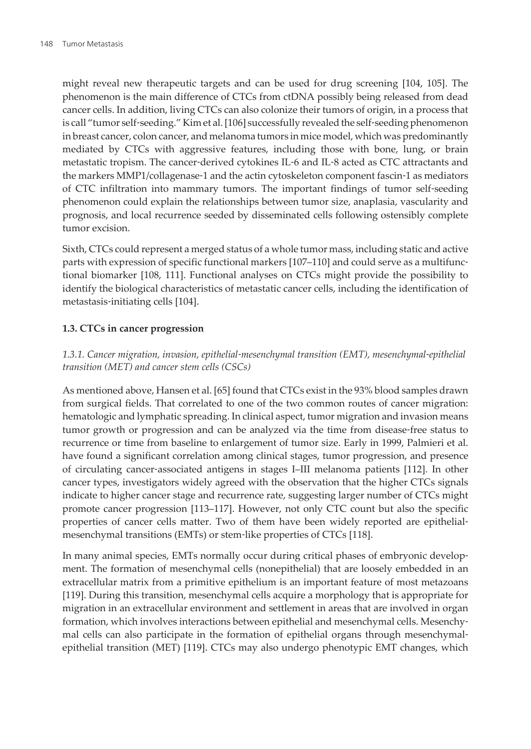might reveal new therapeutic targets and can be used for drug screening [\[104,](#page-30-0) [105](#page-30-0)]. The phenomenon is the main difference of CTCs from ctDNA possibly being released from dead cancer cells. In addition, living CTCs can also colonize their tumors of origin, in a process that is call "tumor self-seeding." Kim et al. [[106](#page-31-0)] successfully revealed the self-seeding phenomenon in breast cancer, colon cancer, and melanoma tumors in mice model, which was predominantly mediated by CTCs with aggressive features, including those with bone, lung, or brain metastatic tropism. The cancer-derived cytokines IL-6 and IL-8 acted as CTC attractants and the markers MMP1/collagenase‐1 and the actin cytoskeleton component fascin‐1 as mediators of CTC infiltration into mammary tumors. The important findings of tumor self‐seeding phenomenon could explain the relationships between tumor size, anaplasia, vascularity and prognosis, and local recurrence seeded by disseminated cells following ostensibly complete tumor excision.

Sixth, CTCs could represent a merged status of a whole tumor mass, including static and active parts with expression of specific functional markers [\[107–110\]](#page-31-0) and could serve as a multifunctional biomarker [[108](#page-31-0), [111\]](#page-31-0). Functional analyses on CTCs might provide the possibility to identify the biological characteristics of metastatic cancer cells, including the identification of metastasis‐initiating cells [[104](#page-30-0)].

#### **1.3. CTCs in cancer progression**

#### *1.3.1. Cancer migration, invasion, epithelial‐mesenchymal transition (EMT), mesenchymal‐epithelial transition (MET) and cancer stem cells (CSCs)*

As mentioned above, Hansen et al. [\[65](#page-27-0)] found that CTCs exist in the 93% blood samples drawn from surgical fields. That correlated to one of the two common routes of cancer migration: hematologic and lymphatic spreading. In clinical aspect, tumor migration and invasion means tumor growth or progression and can be analyzed via the time from disease-free status to recurrence or time from baseline to enlargement of tumor size. Early in 1999, Palmieri et al. have found a significant correlation among clinical stages, tumor progression, and presence of circulating cancer‐associated antigens in stages I–III melanoma patients [[112](#page-31-0)]. In other cancer types, investigators widely agreed with the observation that the higher CTCs signals indicate to higher cancer stage and recurrence rate, suggesting larger number of CTCs might promote cancer progression [\[113–117\]](#page-31-0). However, not only CTC count but also the specific properties of cancer cells matter. Two of them have been widely reported are epithelialmesenchymal transitions (EMTs) or stem‐like properties of CTCs [[118](#page-32-0)].

In many animal species, EMTs normally occur during critical phases of embryonic develop‐ ment. The formation of mesenchymal cells (nonepithelial) that are loosely embedded in an extracellular matrix from a primitive epithelium is an important feature of most metazoans [[119](#page-32-0)]. During this transition, mesenchymal cells acquire a morphology that is appropriate for migration in an extracellular environment and settlement in areas that are involved in organ formation, which involves interactions between epithelial and mesenchymal cells. Mesenchy‐ mal cells can also participate in the formation of epithelial organs through mesenchymalepithelial transition (MET) [[119](#page-32-0)]. CTCs may also undergo phenotypic EMT changes, which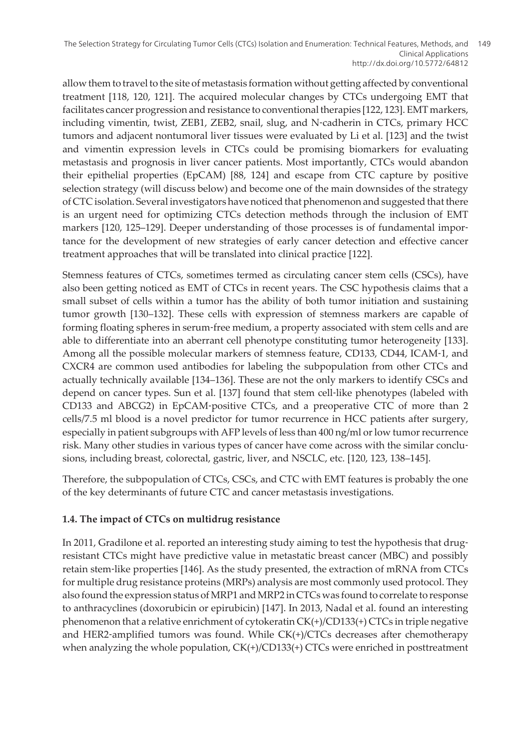allow them to travel to the site of metastasis formation without getting affected by conventional treatment [[118](#page-32-0), [120](#page-32-0), [121\]](#page-32-0). The acquired molecular changes by CTCs undergoing EMT that facilitates cancer progression and resistance to conventional therapies [[122, 123\]](#page-32-0). EMT markers, including vimentin, twist, ZEB1, ZEB2, snail, slug, and N‐cadherin in CTCs, primary HCC tumors and adjacent nontumoral liver tissues were evaluated by Li et al. [\[123\]](#page-32-0) and the twist and vimentin expression levels in CTCs could be promising biomarkers for evaluating metastasis and prognosis in liver cancer patients. Most importantly, CTCs would abandon their epithelial properties (EpCAM) [\[88](#page-29-0), [124](#page-32-0)] and escape from CTC capture by positive selection strategy (will discuss below) and become one of the main downsides of the strategy of CTC isolation. Several investigators have noticed that phenomenon and suggested that there is an urgent need for optimizing CTCs detection methods through the inclusion of EMT markers [\[120,](#page-32-0) [125–](#page-32-0)[129\]](#page-33-0). Deeper understanding of those processes is of fundamental importance for the development of new strategies of early cancer detection and effective cancer treatment approaches that will be translated into clinical practice [[122](#page-32-0)].

Stemness features of CTCs, sometimes termed as circulating cancer stem cells (CSCs), have also been getting noticed as EMT of CTCs in recent years. The CSC hypothesis claims that a small subset of cells within a tumor has the ability of both tumor initiation and sustaining tumor growth [\[130–132\]](#page-33-0). These cells with expression of stemness markers are capable of forming floating spheres in serum‐free medium, a property associated with stem cells and are able to differentiate into an aberrant cell phenotype constituting tumor heterogeneity [\[133\]](#page-33-0). Among all the possible molecular markers of stemness feature, CD133, CD44, ICAM‐1, and CXCR4 are common used antibodies for labeling the subpopulation from other CTCs and actually technically available [\[134–136\]](#page-33-0). These are not the only markers to identify CSCs and depend on cancer types. Sun et al. [[137](#page-33-0)] found that stem cell-like phenotypes (labeled with CD133 and ABCG2) in EpCAM‐positive CTCs, and a preoperative CTC of more than 2 cells/7.5 ml blood is a novel predictor for tumor recurrence in HCC patients after surgery, especially in patient subgroups with AFP levels of less than 400 ng/ml or low tumor recurrence risk. Many other studies in various types of cancer have come across with the similar conclusions, including breast, colorectal, gastric, liver, and NSCLC, etc. [\[120, 123,](#page-32-0) [138](#page-33-0)[–145\]](#page-34-0).

Therefore, the subpopulation of CTCs, CSCs, and CTC with EMT features is probably the one of the key determinants of future CTC and cancer metastasis investigations.

# **1.4. The impact of CTCs on multidrug resistance**

In 2011, Gradilone et al. reported an interesting study aiming to test the hypothesis that drug‐ resistant CTCs might have predictive value in metastatic breast cancer (MBC) and possibly retain stem‐like properties [[146](#page-34-0)]. As the study presented, the extraction of mRNA from CTCs for multiple drug resistance proteins (MRPs) analysis are most commonly used protocol. They also found the expression status of MRP1 and MRP2 in CTCs was found to correlate to response to anthracyclines (doxorubicin or epirubicin) [[147](#page-34-0)]. In 2013, Nadal et al. found an interesting phenomenon that a relative enrichment of cytokeratin CK(+)/CD133(+) CTCs in triple negative and HER2‐amplified tumors was found. While CK(+)/CTCs decreases after chemotherapy when analyzing the whole population, CK(+)/CD133(+) CTCs were enriched in posttreatment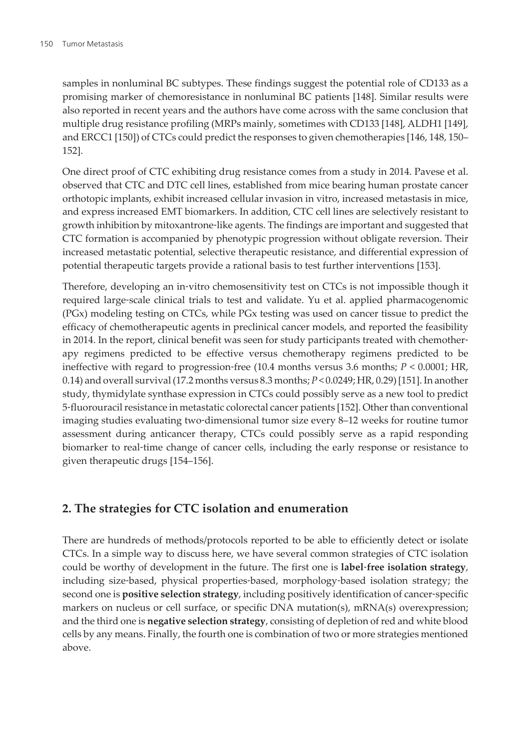samples in nonluminal BC subtypes. These findings suggest the potential role of CD133 as a promising marker of chemoresistance in nonluminal BC patients [\[148\]](#page-34-0). Similar results were also reported in recent years and the authors have come across with the same conclusion that multiple drug resistance profiling (MRPs mainly, sometimes with CD133 [\[148\]](#page-34-0), ALDH1 [\[149\]](#page-34-0), and ERCC1 [\[150\]](#page-34-0)) of CTCs could predict the responses to given chemotherapies [\[146, 148](#page-34-0), [150–](#page-34-0) [152](#page-35-0)].

One direct proof of CTC exhibiting drug resistance comes from a study in 2014. Pavese et al. observed that CTC and DTC cell lines, established from mice bearing human prostate cancer orthotopic implants, exhibit increased cellular invasion in vitro, increased metastasis in mice, and express increased EMT biomarkers. In addition, CTC cell lines are selectively resistant to growth inhibition by mitoxantrone‐like agents. The findings are important and suggested that CTC formation is accompanied by phenotypic progression without obligate reversion. Their increased metastatic potential, selective therapeutic resistance, and differential expression of potential therapeutic targets provide a rational basis to test further interventions [\[153\]](#page-35-0).

Therefore, developing an in‐vitro chemosensitivity test on CTCs is not impossible though it required large‐scale clinical trials to test and validate. Yu et al. applied pharmacogenomic (PGx) modeling testing on CTCs, while PGx testing was used on cancer tissue to predict the efficacy of chemotherapeutic agents in preclinical cancer models, and reported the feasibility in 2014. In the report, clinical benefit was seen for study participants treated with chemother‐ apy regimens predicted to be effective versus chemotherapy regimens predicted to be ineffective with regard to progression-free (10.4 months versus 3.6 months; *P* < 0.0001; HR, 0.14) and overall survival (17.2 months versus 8.3 months; *P* < 0.0249; HR, 0.29) [[151](#page-34-0)]. In another study, thymidylate synthase expression in CTCs could possibly serve as a new tool to predict 5‐fluorouracil resistance in metastatic colorectal cancer patients [[152](#page-35-0)]. Other than conventional imaging studies evaluating two-dimensional tumor size every 8–12 weeks for routine tumor assessment during anticancer therapy, CTCs could possibly serve as a rapid responding biomarker to real‐time change of cancer cells, including the early response or resistance to given therapeutic drugs [\[154–156\]](#page-35-0).

# **2. The strategies for CTC isolation and enumeration**

There are hundreds of methods/protocols reported to be able to efficiently detect or isolate CTCs. In a simple way to discuss here, we have several common strategies of CTC isolation could be worthy of development in the future. The first one is **label‐free isolation strategy**, including size‐based, physical properties‐based, morphology‐based isolation strategy; the second one is **positive selection strategy**, including positively identification of cancer-specific markers on nucleus or cell surface, or specific DNA mutation(s), mRNA(s) overexpression; and the third one is **negative selection strategy**, consisting of depletion of red and white blood cells by any means. Finally, the fourth one is combination of two or more strategies mentioned above.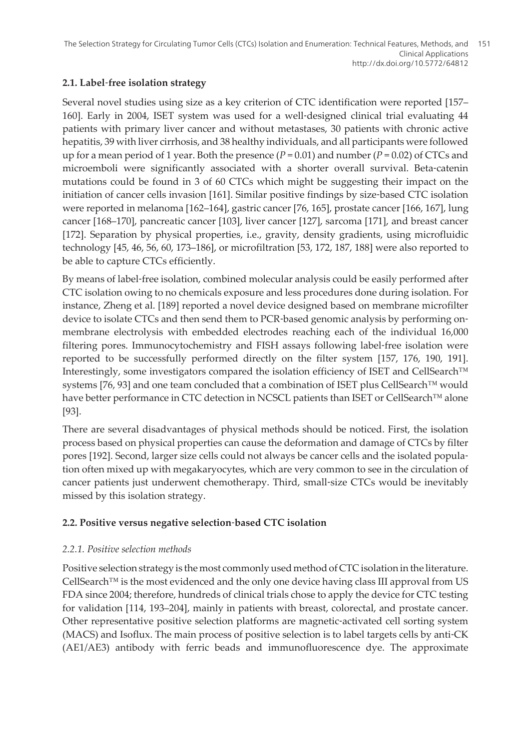# **2.1. Label‐free isolation strategy**

Several novel studies using size as a key criterion of CTC identification were reported [\[157–](#page-35-0) [160](#page-35-0)]. Early in 2004, ISET system was used for a well‐designed clinical trial evaluating 44 patients with primary liver cancer and without metastases, 30 patients with chronic active hepatitis, 39 with liver cirrhosis, and 38 healthy individuals, and all participants were followed up for a mean period of 1 year. Both the presence  $(P = 0.01)$  and number  $(P = 0.02)$  of CTCs and microemboli were significantly associated with a shorter overall survival. Beta‐catenin mutations could be found in 3 of 60 CTCs which might be suggesting their impact on the initiation of cancer cells invasion [[161](#page-35-0)]. Similar positive findings by size‐based CTC isolation were reported in melanoma [[162](#page-35-0)–[164](#page-36-0)], gastric cancer [\[76](#page-28-0), [165](#page-36-0)], prostate cancer [\[166, 167\]](#page-36-0), lung cancer [[168](#page-36-0)–[170](#page-36-0)], pancreatic cancer [\[103\]](#page-30-0), liver cancer [\[127\]](#page-32-0), sarcoma [\[171\]](#page-36-0), and breast cancer [[172](#page-37-0)]. Separation by physical properties, i.e., gravity, density gradients, using microfluidic technology [\[45](#page-25-0), [46,](#page-25-0) [56, 60](#page-26-0), [173](#page-37-0)–[186](#page-38-0)], or microfiltration [[53,](#page-26-0) [172,](#page-37-0) [187, 188\]](#page-38-0) were also reported to be able to capture CTCs efficiently.

By means of label‐free isolation, combined molecular analysis could be easily performed after CTC isolation owing to no chemicals exposure and less procedures done during isolation. For instance, Zheng et al. [\[189\]](#page-38-0) reported a novel device designed based on membrane microfilter device to isolate CTCs and then send them to PCR-based genomic analysis by performing onmembrane electrolysis with embedded electrodes reaching each of the individual 16,000 filtering pores. Immunocytochemistry and FISH assays following label‐free isolation were reported to be successfully performed directly on the filter system [[157](#page-35-0), [176,](#page-37-0) [190,](#page-38-0) [191\]](#page-38-0). Interestingly, some investigators compared the isolation efficiency of ISET and CellSearch™ systems [\[76](#page-28-0), [93\]](#page-29-0) and one team concluded that a combination of ISET plus CellSearch™ would have better performance in CTC detection in NCSCL patients than ISET or CellSearch™ alone [[93\]](#page-29-0).

There are several disadvantages of physical methods should be noticed. First, the isolation process based on physical properties can cause the deformation and damage of CTCs by filter pores [[192](#page-38-0)]. Second, larger size cells could not always be cancer cells and the isolated popula‐ tion often mixed up with megakaryocytes, which are very common to see in the circulation of cancer patients just underwent chemotherapy. Third, small‐size CTCs would be inevitably missed by this isolation strategy.

# **2.2. Positive versus negative selection‐based CTC isolation**

#### *2.2.1. Positive selection methods*

Positive selection strategy is the most commonly used method of CTC isolation in the literature. CellSearch™ is the most evidenced and the only one device having class III approval from US FDA since 2004; therefore, hundreds of clinical trials chose to apply the device for CTC testing for validation [\[114,](#page-31-0) [193](#page-38-0)–[204](#page-40-0)], mainly in patients with breast, colorectal, and prostate cancer. Other representative positive selection platforms are magnetic‐activated cell sorting system (MACS) and Isoflux. The main process of positive selection is to label targets cells by anti‐CK (AE1/AE3) antibody with ferric beads and immunofluorescence dye. The approximate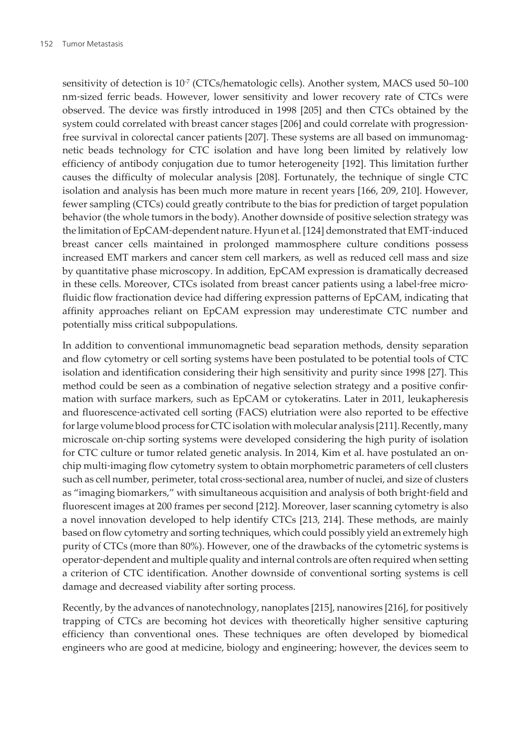sensitivity of detection is  $10<sup>7</sup>$  (CTCs/hematologic cells). Another system, MACS used 50–100 nm‐sized ferric beads. However, lower sensitivity and lower recovery rate of CTCs were observed. The device was firstly introduced in 1998 [[205](#page-40-0)] and then CTCs obtained by the system could correlated with breast cancer stages [\[206\]](#page-40-0) and could correlate with progression-free survival in colorectal cancer patients [\[207\]](#page-40-0). These systems are all based on immunomagnetic beads technology for CTC isolation and have long been limited by relatively low efficiency of antibody conjugation due to tumor heterogeneity [[192](#page-38-0)]. This limitation further causes the difficulty of molecular analysis [[208](#page-40-0)]. Fortunately, the technique of single CTC isolation and analysis has been much more mature in recent years [[166](#page-36-0), [209, 210\]](#page-40-0). However, fewer sampling (CTCs) could greatly contribute to the bias for prediction of target population behavior (the whole tumors in the body). Another downside of positive selection strategy was the limitation of EpCAM‐dependent nature. Hyun et al. [[124](#page-32-0)] demonstrated that EMT‐induced breast cancer cells maintained in prolonged mammosphere culture conditions possess increased EMT markers and cancer stem cell markers, as well as reduced cell mass and size by quantitative phase microscopy. In addition, EpCAM expression is dramatically decreased in these cells. Moreover, CTCs isolated from breast cancer patients using a label-free microfluidic flow fractionation device had differing expression patterns of EpCAM, indicating that affinity approaches reliant on EpCAM expression may underestimate CTC number and potentially miss critical subpopulations.

In addition to conventional immunomagnetic bead separation methods, density separation and flow cytometry or cell sorting systems have been postulated to be potential tools of CTC isolation and identification considering their high sensitivity and purity since 1998 [\[27](#page-23-0)]. This method could be seen as a combination of negative selection strategy and a positive confirmation with surface markers, such as EpCAM or cytokeratins. Later in 2011, leukapheresis and fluorescence‐activated cell sorting (FACS) elutriation were also reported to be effective for large volume blood process for CTC isolation with molecular analysis [\[211\]](#page-40-0). Recently, many microscale on‐chip sorting systems were developed considering the high purity of isolation for CTC culture or tumor related genetic analysis. In 2014, Kim et al. have postulated an onchip multi-imaging flow cytometry system to obtain morphometric parameters of cell clusters such as cell number, perimeter, total cross-sectional area, number of nuclei, and size of clusters as "imaging biomarkers," with simultaneous acquisition and analysis of both bright‐field and fluorescent images at 200 frames per second [\[212\]](#page-40-0). Moreover, laser scanning cytometry is also a novel innovation developed to help identify CTCs [[213](#page-40-0), [214](#page-40-0)]. These methods, are mainly based on flow cytometry and sorting techniques, which could possibly yield an extremely high purity of CTCs (more than 80%). However, one of the drawbacks of the cytometric systems is operator‐dependent and multiple quality and internal controls are often required when setting a criterion of CTC identification. Another downside of conventional sorting systems is cell damage and decreased viability after sorting process.

Recently, by the advances of nanotechnology, nanoplates [\[215\]](#page-40-0), nanowires [\[216\]](#page-40-0), for positively trapping of CTCs are becoming hot devices with theoretically higher sensitive capturing efficiency than conventional ones. These techniques are often developed by biomedical engineers who are good at medicine, biology and engineering; however, the devices seem to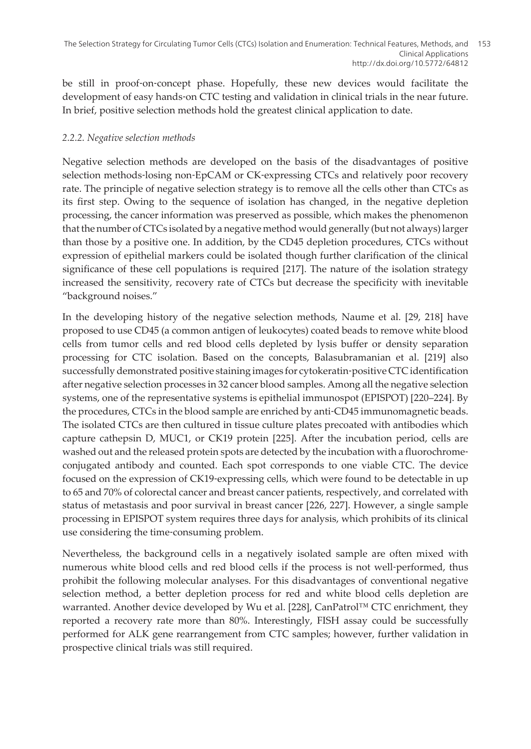be still in proof‐on‐concept phase. Hopefully, these new devices would facilitate the development of easy hands‐on CTC testing and validation in clinical trials in the near future. In brief, positive selection methods hold the greatest clinical application to date.

#### *2.2.2. Negative selection methods*

Negative selection methods are developed on the basis of the disadvantages of positive selection methods-losing non-EpCAM or CK-expressing CTCs and relatively poor recovery rate. The principle of negative selection strategy is to remove all the cells other than CTCs as its first step. Owing to the sequence of isolation has changed, in the negative depletion processing, the cancer information was preserved as possible, which makes the phenomenon that the number of CTCs isolated by a negative method would generally (but not always) larger than those by a positive one. In addition, by the CD45 depletion procedures, CTCs without expression of epithelial markers could be isolated though further clarification of the clinical significance of these cell populations is required [[217](#page-41-0)]. The nature of the isolation strategy increased the sensitivity, recovery rate of CTCs but decrease the specificity with inevitable "background noises."

In the developing history of the negative selection methods, Naume et al. [[29,](#page-24-0) [218](#page-41-0)] have proposed to use CD45 (a common antigen of leukocytes) coated beads to remove white blood cells from tumor cells and red blood cells depleted by lysis buffer or density separation processing for CTC isolation. Based on the concepts, Balasubramanian et al. [\[219\]](#page-41-0) also successfully demonstrated positive staining images for cytokeratin‐positive CTC identification after negative selection processes in 32 cancer blood samples. Among all the negative selection systems, one of the representative systems is epithelial immunospot (EPISPOT) [[220](#page-41-0)–[224](#page-41-0)]. By the procedures, CTCs in the blood sample are enriched by anti‐CD45 immunomagnetic beads. The isolated CTCs are then cultured in tissue culture plates precoated with antibodies which capture cathepsin D, MUC1, or CK19 protein [[225](#page-41-0)]. After the incubation period, cells are washed out and the released protein spots are detected by the incubation with a fluorochrome‐ conjugated antibody and counted. Each spot corresponds to one viable CTC. The device focused on the expression of CK19‐expressing cells, which were found to be detectable in up to 65 and 70% of colorectal cancer and breast cancer patients, respectively, and correlated with status of metastasis and poor survival in breast cancer [[226](#page-41-0), [227\]](#page-41-0). However, a single sample processing in EPISPOT system requires three days for analysis, which prohibits of its clinical use considering the time‐consuming problem.

Nevertheless, the background cells in a negatively isolated sample are often mixed with numerous white blood cells and red blood cells if the process is not well‐performed, thus prohibit the following molecular analyses. For this disadvantages of conventional negative selection method, a better depletion process for red and white blood cells depletion are warranted. Another device developed by Wu et al. [[228](#page-41-0)], CanPatrol™ CTC enrichment, they reported a recovery rate more than 80%. Interestingly, FISH assay could be successfully performed for ALK gene rearrangement from CTC samples; however, further validation in prospective clinical trials was still required.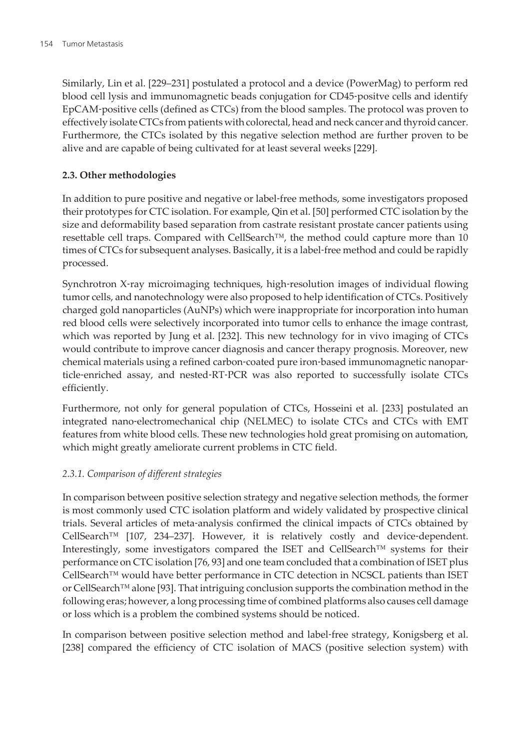Similarly, Lin et al. [[229](#page-42-0)–[231](#page-42-0)] postulated a protocol and a device (PowerMag) to perform red blood cell lysis and immunomagnetic beads conjugation for CD45‐positve cells and identify EpCAM‐positive cells (defined as CTCs) from the blood samples. The protocol was proven to effectively isolate CTCs from patients with colorectal, head and neck cancer and thyroid cancer. Furthermore, the CTCs isolated by this negative selection method are further proven to be alive and are capable of being cultivated for at least several weeks [[229](#page-42-0)].

## **2.3. Other methodologies**

In addition to pure positive and negative or label‐free methods, some investigators proposed their prototypes for CTC isolation. For example, Qin et al. [[50\]](#page-25-0) performed CTC isolation by the size and deformability based separation from castrate resistant prostate cancer patients using resettable cell traps. Compared with CellSearch™, the method could capture more than 10 times of CTCs for subsequent analyses. Basically, it is a label-free method and could be rapidly processed.

Synchrotron X-ray microimaging techniques, high-resolution images of individual flowing tumor cells, and nanotechnology were also proposed to help identification of CTCs. Positively charged gold nanoparticles (AuNPs) which were inappropriate for incorporation into human red blood cells were selectively incorporated into tumor cells to enhance the image contrast, which was reported by Jung et al. [[232](#page-42-0)]. This new technology for in vivo imaging of CTCs would contribute to improve cancer diagnosis and cancer therapy prognosis. Moreover, new chemical materials using a refined carbon‐coated pure iron‐based immunomagnetic nanopar‐ ticle‐enriched assay, and nested‐RT‐PCR was also reported to successfully isolate CTCs efficiently.

Furthermore, not only for general population of CTCs, Hosseini et al. [[233](#page-42-0)] postulated an integrated nano‐electromechanical chip (NELMEC) to isolate CTCs and CTCs with EMT features from white blood cells. These new technologies hold great promising on automation, which might greatly ameliorate current problems in CTC field.

# *2.3.1. Comparison of different strategies*

In comparison between positive selection strategy and negative selection methods, the former is most commonly used CTC isolation platform and widely validated by prospective clinical trials. Several articles of meta‐analysis confirmed the clinical impacts of CTCs obtained by CellSearch™ [[107](#page-31-0), [234](#page-42-0)–[237](#page-42-0)]. However, it is relatively costly and device‐dependent. Interestingly, some investigators compared the ISET and CellSearch™ systems for their performance on CTC isolation [\[76](#page-28-0), [93](#page-29-0)] and one team concluded that a combination of ISET plus CellSearch™ would have better performance in CTC detection in NCSCL patients than ISET or CellSearch™ alone [[93\]](#page-29-0). That intriguing conclusion supports the combination method in the following eras; however, a long processing time of combined platforms also causes cell damage or loss which is a problem the combined systems should be noticed.

In comparison between positive selection method and label‐free strategy, Konigsberg et al. [[238](#page-42-0)] compared the efficiency of CTC isolation of MACS (positive selection system) with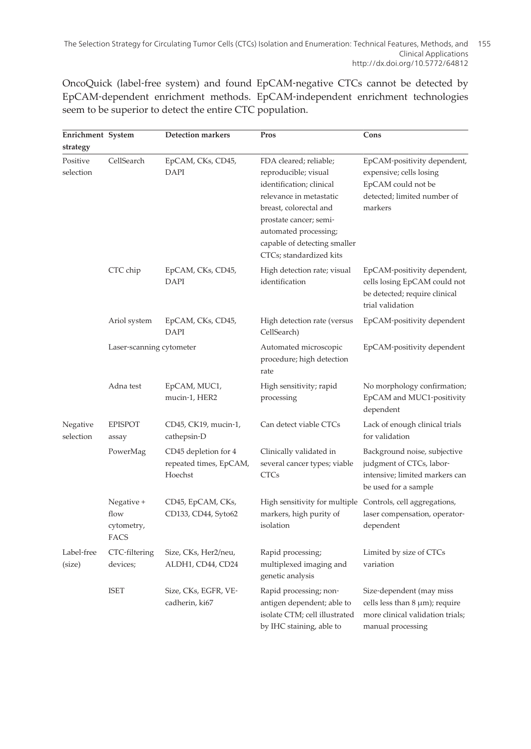<span id="page-10-0"></span>OncoQuick (label‐free system) and found EpCAM‐negative CTCs cannot be detected by EpCAM‐dependent enrichment methods. EpCAM‐independent enrichment technologies seem to be superior to detect the entire CTC population.

| Enrichment System     |                                                 | <b>Detection markers</b>                                  | Pros                                                                                                                                                                                                                                          | Cons                                                                                                                     |
|-----------------------|-------------------------------------------------|-----------------------------------------------------------|-----------------------------------------------------------------------------------------------------------------------------------------------------------------------------------------------------------------------------------------------|--------------------------------------------------------------------------------------------------------------------------|
| strategy              |                                                 |                                                           |                                                                                                                                                                                                                                               |                                                                                                                          |
| Positive<br>selection | CellSearch                                      | EpCAM, CKs, CD45,<br><b>DAPI</b>                          | FDA cleared; reliable;<br>reproducible; visual<br>identification; clinical<br>relevance in metastatic<br>breast, colorectal and<br>prostate cancer; semi-<br>automated processing;<br>capable of detecting smaller<br>CTCs; standardized kits | EpCAM-positivity dependent,<br>expensive; cells losing<br>EpCAM could not be<br>detected; limited number of<br>markers   |
|                       | CTC chip                                        | EpCAM, CKs, CD45,<br>DAPI                                 | High detection rate; visual<br>identification                                                                                                                                                                                                 | EpCAM-positivity dependent,<br>cells losing EpCAM could not<br>be detected; require clinical<br>trial validation         |
|                       | Ariol system                                    | EpCAM, CKs, CD45,<br>DAPI                                 | High detection rate (versus<br>CellSearch)                                                                                                                                                                                                    | EpCAM-positivity dependent                                                                                               |
|                       | Laser-scanning cytometer                        |                                                           | Automated microscopic<br>procedure; high detection<br>rate                                                                                                                                                                                    | EpCAM-positivity dependent                                                                                               |
|                       | Adna test                                       | EpCAM, MUC1,<br>mucin-1, HER2                             | High sensitivity; rapid<br>processing                                                                                                                                                                                                         | No morphology confirmation;<br>EpCAM and MUC1-positivity<br>dependent                                                    |
| Negative<br>selection | <b>EPISPOT</b><br>assay                         | CD45, CK19, mucin-1,<br>cathepsin-D                       | Can detect viable CTCs                                                                                                                                                                                                                        | Lack of enough clinical trials<br>for validation                                                                         |
|                       | PowerMag                                        | CD45 depletion for 4<br>repeated times, EpCAM,<br>Hoechst | Clinically validated in<br>several cancer types; viable<br><b>CTCs</b>                                                                                                                                                                        | Background noise, subjective<br>judgment of CTCs, labor-<br>intensive; limited markers can<br>be used for a sample       |
|                       | Negative +<br>flow<br>cytometry,<br><b>FACS</b> | CD45, EpCAM, CKs,<br>CD133, CD44, Syto62                  | High sensitivity for multiple Controls, cell aggregations,<br>markers, high purity of<br>isolation                                                                                                                                            | laser compensation, operator-<br>dependent                                                                               |
| Label-free<br>(size)  | CTC-filtering<br>devices;                       | Size, CKs, Her2/neu,<br>ALDH1, CD44, CD24                 | Rapid processing;<br>multiplexed imaging and<br>genetic analysis                                                                                                                                                                              | Limited by size of CTCs<br>variation                                                                                     |
|                       | <b>ISET</b>                                     | Size, CKs, EGFR, VE-<br>cadherin, ki67                    | Rapid processing; non-<br>antigen dependent; able to<br>isolate CTM; cell illustrated<br>by IHC staining, able to                                                                                                                             | Size-dependent (may miss<br>cells less than $8 \mu m$ ; require<br>more clinical validation trials;<br>manual processing |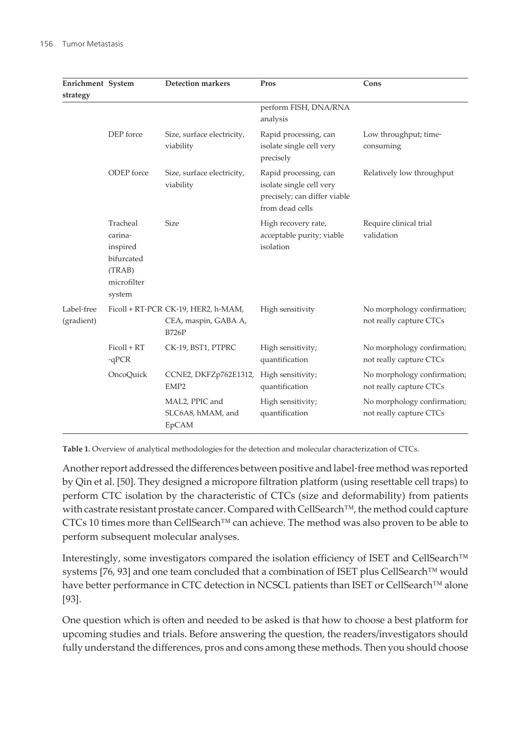| Enrichment System        |                                                                                  | <b>Detection markers</b>                                                    | Pros                                                                                                 | Cons                                                   |
|--------------------------|----------------------------------------------------------------------------------|-----------------------------------------------------------------------------|------------------------------------------------------------------------------------------------------|--------------------------------------------------------|
| strategy                 |                                                                                  |                                                                             |                                                                                                      |                                                        |
|                          |                                                                                  |                                                                             | perform FISH, DNA/RNA<br>analysis                                                                    |                                                        |
|                          | DEP force                                                                        | Size, surface electricity,<br>viability                                     | Rapid processing, can<br>isolate single cell very<br>precisely                                       | Low throughput; time-<br>consuming                     |
|                          | ODEP force                                                                       | Size, surface electricity,<br>viability                                     | Rapid processing, can<br>isolate single cell very<br>precisely; can differ viable<br>from dead cells | Relatively low throughput                              |
|                          | Tracheal<br>carina-<br>inspired<br>bifurcated<br>(TRAB)<br>microfilter<br>system | <b>Size</b>                                                                 | High recovery rate,<br>acceptable purity; viable<br>isolation                                        | Require clinical trial<br>validation                   |
| Label-free<br>(gradient) |                                                                                  | Ficoll + RT-PCR CK-19, HER2, h-MAM,<br>CEA, maspin, GABA A,<br><b>B726P</b> | High sensitivity                                                                                     | No morphology confirmation;<br>not really capture CTCs |
|                          | $Ficoll + RT$<br>$-qPCR$                                                         | CK-19, BST1, PTPRC                                                          | High sensitivity;<br>quantification                                                                  | No morphology confirmation;<br>not really capture CTCs |
|                          | <b>OncoQuick</b>                                                                 | CCNE2, DKFZp762E1312,<br>EMP <sub>2</sub>                                   | High sensitivity;<br>quantification                                                                  | No morphology confirmation;<br>not really capture CTCs |
|                          |                                                                                  | MAL2, PPIC and<br>SLC6A8, hMAM, and<br>EpCAM                                | High sensitivity;<br>quantification                                                                  | No morphology confirmation;<br>not really capture CTCs |

**Table 1.** Overview of analytical methodologies for the detection and molecular characterization of CTCs.

Another report addressed the differences between positive and label‐free method was reported by Qin et al. [\[50](#page-25-0)]. They designed a micropore filtration platform (using resettable cell traps) to perform CTC isolation by the characteristic of CTCs (size and deformability) from patients with castrate resistant prostate cancer. Compared with CellSearch™, the method could capture CTCs 10 times more than CellSearch™ can achieve. The method was also proven to be able to perform subsequent molecular analyses.

Interestingly, some investigators compared the isolation efficiency of ISET and CellSearch™ systems [\[76](#page-28-0), [93\]](#page-29-0) and one team concluded that a combination of ISET plus CellSearch™ would have better performance in CTC detection in NCSCL patients than ISET or CellSearch™ alone [[93\]](#page-29-0).

One question which is often and needed to be asked is that how to choose a best platform for upcoming studies and trials. Before answering the question, the readers/investigators should fully understand the differences, pros and cons among these methods. Then you should choose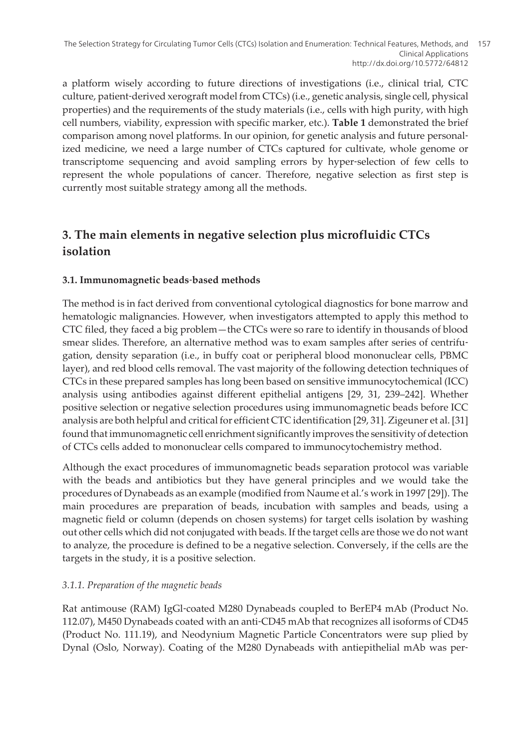a platform wisely according to future directions of investigations (i.e., clinical trial, CTC culture, patient‐derived xerograft model from CTCs) (i.e., genetic analysis, single cell, physical properties) and the requirements of the study materials (i.e., cells with high purity, with high cell numbers, viability, expression with specific marker, etc.). **[Table 1](#page-10-0)** demonstrated the brief comparison among novel platforms. In our opinion, for genetic analysis and future personalized medicine, we need a large number of CTCs captured for cultivate, whole genome or transcriptome sequencing and avoid sampling errors by hyper-selection of few cells to represent the whole populations of cancer. Therefore, negative selection as first step is currently most suitable strategy among all the methods.

# **3. The main elements in negative selection plus microfluidic CTCs isolation**

## **3.1. Immunomagnetic beads‐based methods**

The method is in fact derived from conventional cytological diagnostics for bone marrow and hematologic malignancies. However, when investigators attempted to apply this method to CTC filed, they faced a big problem—the CTCs were so rare to identify in thousands of blood smear slides. Therefore, an alternative method was to exam samples after series of centrifugation, density separation (i.e., in buffy coat or peripheral blood mononuclear cells, PBMC layer), and red blood cells removal. The vast majority of the following detection techniques of CTCs in these prepared samples has long been based on sensitive immunocytochemical (ICC) analysis using antibodies against different epithelial antigens [[29,](#page-24-0) [31](#page-24-0), [239](#page-42-0)–[242](#page-43-0)]. Whether positive selection or negative selection procedures using immunomagnetic beads before ICC analysis are both helpful and critical for efficient CTC identification [[29, 31](#page-24-0)]. Zigeuner et al. [\[31](#page-24-0)] found that immunomagnetic cell enrichment significantly improves the sensitivity of detection of CTCs cells added to mononuclear cells compared to immunocytochemistry method.

Although the exact procedures of immunomagnetic beads separation protocol was variable with the beads and antibiotics but they have general principles and we would take the procedures of Dynabeads as an example (modified from Naume et al.'s work in 1997 [\[29](#page-24-0)]). The main procedures are preparation of beads, incubation with samples and beads, using a magnetic field or column (depends on chosen systems) for target cells isolation by washing out other cells which did not conjugated with beads. If the target cells are those we do not want to analyze, the procedure is defined to be a negative selection. Conversely, if the cells are the targets in the study, it is a positive selection.

#### *3.1.1. Preparation of the magnetic beads*

Rat antimouse (RAM) IgGl‐coated M280 Dynabeads coupled to BerEP4 mAb (Product No. 112.07), M450 Dynabeads coated with an anti‐CD45 mAb that recognizes all isoforms of CD45 (Product No. 111.19), and Neodynium Magnetic Particle Concentrators were sup plied by Dynal (Oslo, Norway). Coating of the M280 Dynabeads with antiepithelial mAb was per‐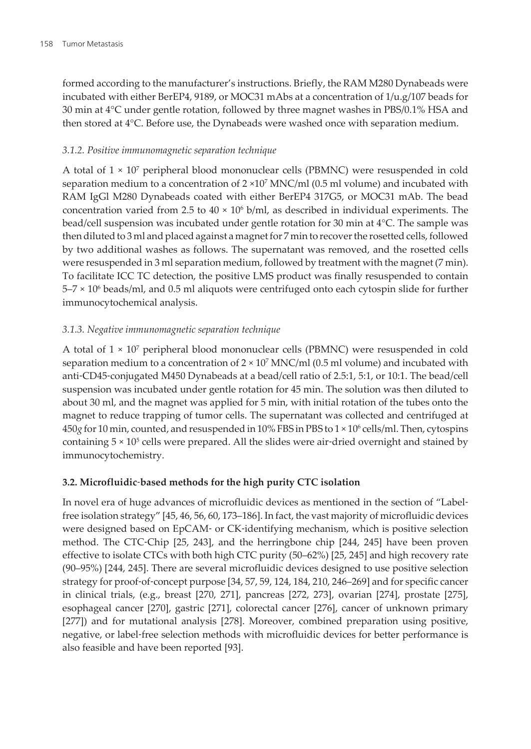formed according to the manufacturer's instructions. Briefly, the RAM M280 Dynabeads were incubated with either BerEP4, 9189, or MOC31 mAbs at a concentration of 1/u.g/107 beads for 30 min at 4°C under gentle rotation, followed by three magnet washes in PBS/0.1% HSA and then stored at 4°C. Before use, the Dynabeads were washed once with separation medium.

#### *3.1.2. Positive immunomagnetic separation technique*

A total of 1 × 10<sup>7</sup> peripheral blood mononuclear cells (PBMNC) were resuspended in cold separation medium to a concentration of  $2 \times 10^7$  MNC/ml (0.5 ml volume) and incubated with RAM IgGl M280 Dynabeads coated with either BerEP4 317G5, or MOC31 mAb. The bead concentration varied from 2.5 to  $40 \times 10^6$  b/ml, as described in individual experiments. The bead/cell suspension was incubated under gentle rotation for 30 min at 4°C. The sample was then diluted to 3 ml and placed against a magnet for 7 min to recover the rosetted cells, followed by two additional washes as follows. The supernatant was removed, and the rosetted cells were resuspended in 3 ml separation medium, followed by treatment with the magnet (7 min). To facilitate ICC TC detection, the positive LMS product was finally resuspended to contain  $5-7 \times 10^6$  beads/ml, and 0.5 ml aliquots were centrifuged onto each cytospin slide for further immunocytochemical analysis.

#### *3.1.3. Negative immunomagnetic separation technique*

A total of 1 × 10<sup>7</sup> peripheral blood mononuclear cells (PBMNC) were resuspended in cold separation medium to a concentration of  $2 \times 10^7$  MNC/ml (0.5 ml volume) and incubated with anti‐CD45‐conjugated M450 Dynabeads at a bead/cell ratio of 2.5:1, 5:1, or 10:1. The bead/cell suspension was incubated under gentle rotation for 45 min. The solution was then diluted to about 30 ml, and the magnet was applied for 5 min, with initial rotation of the tubes onto the magnet to reduce trapping of tumor cells. The supernatant was collected and centrifuged at 450*g* for 10 min, counted, and resuspended in 10% FBS in PBS to 1 × 10<sup>6</sup> cells/ml. Then, cytospins containing  $5 \times 10^5$  cells were prepared. All the slides were air-dried overnight and stained by immunocytochemistry.

#### **3.2. Microfluidic‐based methods for the high purity CTC isolation**

In novel era of huge advances of microfluidic devices as mentioned in the section of "Label‐ free isolation strategy" [\[45](#page-25-0), [46](#page-25-0), [56](#page-26-0), [60](#page-26-0), [173](#page-37-0)–[186](#page-38-0)]. In fact, the vast majority of microfluidic devices were designed based on EpCAM- or CK-identifying mechanism, which is positive selection method. The CTC‐Chip [\[25](#page-23-0), [243](#page-43-0)], and the herringbone chip [[244](#page-43-0), [245\]](#page-43-0) have been proven effective to isolate CTCs with both high CTC purity (50–62%) [[25,](#page-23-0) [245](#page-43-0)] and high recovery rate (90–95%) [[244, 245\]](#page-43-0). There are several microfluidic devices designed to use positive selection strategy for proof‐of‐concept purpose [[34,](#page-24-0) [57, 59,](#page-26-0) [124](#page-32-0), [184,](#page-38-0) [210](#page-40-0), [246](#page-43-0)[–269\]](#page-45-0) and for specific cancer in clinical trials, (e.g., breast [[270](#page-45-0), [271\]](#page-45-0), pancreas [\[272,](#page-45-0) [273](#page-46-0)], ovarian [[274](#page-46-0)], prostate [\[275\]](#page-46-0), esophageal cancer [[270](#page-45-0)], gastric [[271](#page-45-0)], colorectal cancer [[276](#page-46-0)], cancer of unknown primary [[277](#page-46-0)]) and for mutational analysis [[278](#page-46-0)]. Moreover, combined preparation using positive, negative, or label‐free selection methods with microfluidic devices for better performance is also feasible and have been reported [[93\]](#page-29-0).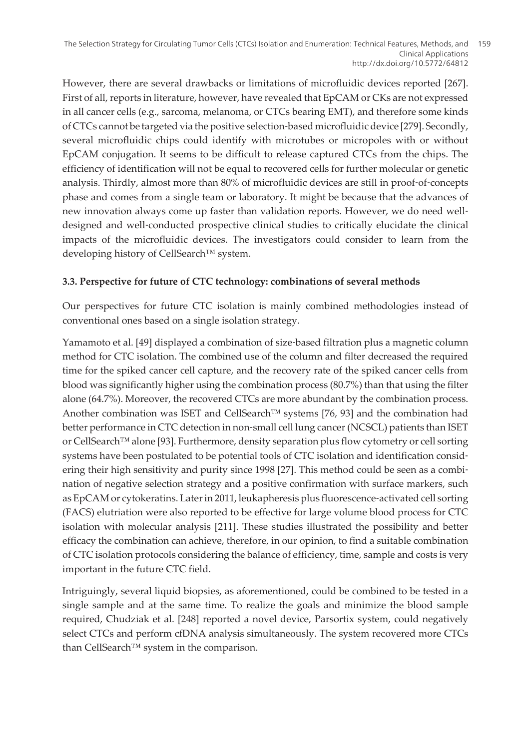However, there are several drawbacks or limitations of microfluidic devices reported [\[267\]](#page-45-0). First of all, reports in literature, however, have revealed that EpCAM or CKs are not expressed in all cancer cells (e.g., sarcoma, melanoma, or CTCs bearing EMT), and therefore some kinds of CTCs cannot be targeted via the positive selection‐based microfluidic device [\[279\]](#page-46-0). Secondly, several microfluidic chips could identify with microtubes or micropoles with or without EpCAM conjugation. It seems to be difficult to release captured CTCs from the chips. The efficiency of identification will not be equal to recovered cells for further molecular or genetic analysis. Thirdly, almost more than 80% of microfluidic devices are still in proof‐of‐concepts phase and comes from a single team or laboratory. It might be because that the advances of new innovation always come up faster than validation reports. However, we do need welldesigned and well-conducted prospective clinical studies to critically elucidate the clinical impacts of the microfluidic devices. The investigators could consider to learn from the developing history of CellSearch™ system.

## **3.3. Perspective for future of CTC technology: combinations of several methods**

Our perspectives for future CTC isolation is mainly combined methodologies instead of conventional ones based on a single isolation strategy.

Yamamoto et al. [\[49](#page-25-0)] displayed a combination of size-based filtration plus a magnetic column method for CTC isolation. The combined use of the column and filter decreased the required time for the spiked cancer cell capture, and the recovery rate of the spiked cancer cells from blood was significantly higher using the combination process (80.7%) than that using the filter alone (64.7%). Moreover, the recovered CTCs are more abundant by the combination process. Another combination was ISET and CellSearch™ systems [\[76](#page-28-0), [93](#page-29-0)] and the combination had better performance in CTC detection in non-small cell lung cancer (NCSCL) patients than ISET or CellSearch™ alone [[93\]](#page-29-0). Furthermore, density separation plus flow cytometry or cell sorting systems have been postulated to be potential tools of CTC isolation and identification consid‐ ering their high sensitivity and purity since 1998 [[27\]](#page-23-0). This method could be seen as a combination of negative selection strategy and a positive confirmation with surface markers, such as EpCAM or cytokeratins. Later in 2011, leukapheresis plus fluorescence-activated cell sorting (FACS) elutriation were also reported to be effective for large volume blood process for CTC isolation with molecular analysis [[211](#page-40-0)]. These studies illustrated the possibility and better efficacy the combination can achieve, therefore, in our opinion, to find a suitable combination of CTC isolation protocols considering the balance of efficiency, time, sample and costs is very important in the future CTC field.

Intriguingly, several liquid biopsies, as aforementioned, could be combined to be tested in a single sample and at the same time. To realize the goals and minimize the blood sample required, Chudziak et al. [\[248\]](#page-43-0) reported a novel device, Parsortix system, could negatively select CTCs and perform cfDNA analysis simultaneously. The system recovered more CTCs than CellSearch™ system in the comparison.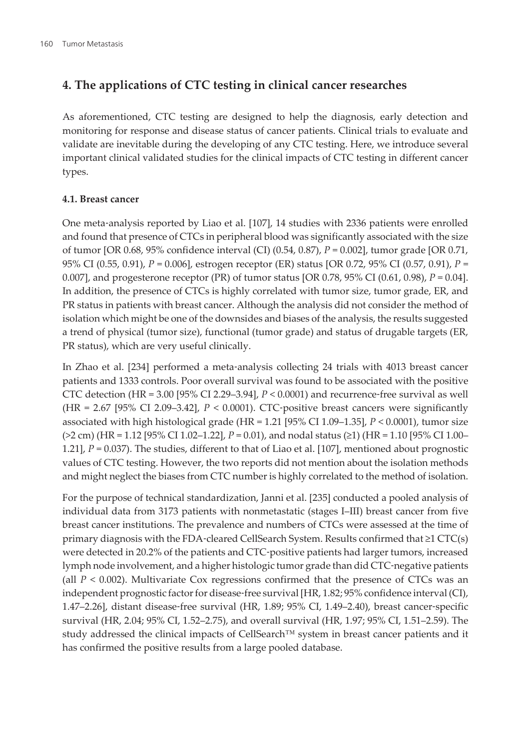# **4. The applications of CTC testing in clinical cancer researches**

As aforementioned, CTC testing are designed to help the diagnosis, early detection and monitoring for response and disease status of cancer patients. Clinical trials to evaluate and validate are inevitable during the developing of any CTC testing. Here, we introduce several important clinical validated studies for the clinical impacts of CTC testing in different cancer types.

## **4.1. Breast cancer**

One meta‐analysis reported by Liao et al. [[107](#page-31-0)], 14 studies with 2336 patients were enrolled and found that presence of CTCs in peripheral blood was significantly associated with the size of tumor [OR 0.68, 95% confidence interval (CI) (0.54, 0.87), *P* = 0.002], tumor grade [OR 0.71, 95% CI (0.55, 0.91), *P* = 0.006], estrogen receptor (ER) status [OR 0.72, 95% CI (0.57, 0.91), *P* = 0.007], and progesterone receptor (PR) of tumor status [OR 0.78, 95% CI (0.61, 0.98), *P* = 0.04]. In addition, the presence of CTCs is highly correlated with tumor size, tumor grade, ER, and PR status in patients with breast cancer. Although the analysis did not consider the method of isolation which might be one of the downsides and biases of the analysis, the results suggested a trend of physical (tumor size), functional (tumor grade) and status of drugable targets (ER, PR status), which are very useful clinically.

In Zhao et al. [\[234\]](#page-42-0) performed a meta‐analysis collecting 24 trials with 4013 breast cancer patients and 1333 controls. Poor overall survival was found to be associated with the positive CTC detection (HR =  $3.00$  [95% CI 2.29– $3.94$ ],  $P < 0.0001$ ) and recurrence-free survival as well  $(HR = 2.67 \, [95\% \, CI \, 2.09-3.42], P < 0.0001$ ). CTC-positive breast cancers were significantly associated with high histological grade (HR = 1.21 [95% CI 1.09–1.35], *P* < 0.0001), tumor size (>2 cm) (HR = 1.12 [95% CI 1.02–1.22], *P* = 0.01), and nodal status (≥1) (HR = 1.10 [95% CI 1.00– 1.21], *P* = 0.037). The studies, different to that of Liao et al. [\[107\]](#page-31-0), mentioned about prognostic values of CTC testing. However, the two reports did not mention about the isolation methods and might neglect the biases from CTC number is highly correlated to the method of isolation.

For the purpose of technical standardization, Janni et al. [[235](#page-42-0)] conducted a pooled analysis of individual data from 3173 patients with nonmetastatic (stages I–III) breast cancer from five breast cancer institutions. The prevalence and numbers of CTCs were assessed at the time of primary diagnosis with the FDA‐cleared CellSearch System. Results confirmed that ≥1 CTC(s) were detected in 20.2% of the patients and CTC‐positive patients had larger tumors, increased lymph node involvement, and a higher histologic tumor grade than did CTC‐negative patients (all  $P < 0.002$ ). Multivariate Cox regressions confirmed that the presence of CTCs was an independent prognostic factor for disease-free survival [HR, 1.82; 95% confidence interval (CI), 1.47–2.26], distant disease‐free survival (HR, 1.89; 95% CI, 1.49–2.40), breast cancer‐specific survival (HR, 2.04; 95% CI, 1.52–2.75), and overall survival (HR, 1.97; 95% CI, 1.51–2.59). The study addressed the clinical impacts of CellSearch™ system in breast cancer patients and it has confirmed the positive results from a large pooled database.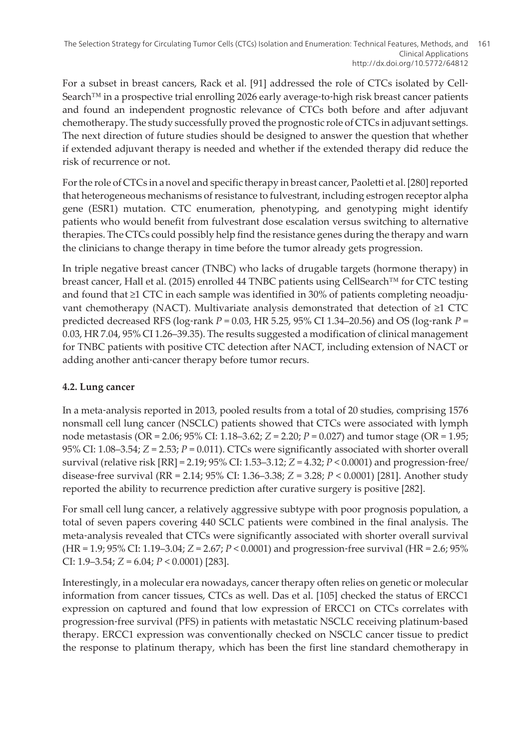For a subset in breast cancers, Rack et al. [\[91](#page-29-0)] addressed the role of CTCs isolated by Cell-Search<sup>™</sup> in a prospective trial enrolling 2026 early average-to-high risk breast cancer patients and found an independent prognostic relevance of CTCs both before and after adjuvant chemotherapy. The study successfully proved the prognostic role of CTCs in adjuvant settings. The next direction of future studies should be designed to answer the question that whether if extended adjuvant therapy is needed and whether if the extended therapy did reduce the risk of recurrence or not.

For the role of CTCs in a novel and specific therapy in breast cancer, Paoletti et al. [[280](#page-46-0)] reported that heterogeneous mechanisms of resistance to fulvestrant, including estrogen receptor alpha gene (ESR1) mutation. CTC enumeration, phenotyping, and genotyping might identify patients who would benefit from fulvestrant dose escalation versus switching to alternative therapies. The CTCs could possibly help find the resistance genes during the therapy and warn the clinicians to change therapy in time before the tumor already gets progression.

In triple negative breast cancer (TNBC) who lacks of drugable targets (hormone therapy) in breast cancer, Hall et al. (2015) enrolled 44 TNBC patients using CellSearch™ for CTC testing and found that  $\geq 1$  CTC in each sample was identified in 30% of patients completing neoadjuvant chemotherapy (NACT). Multivariate analysis demonstrated that detection of ≥1 CTC predicted decreased RFS (log‐rank *P* = 0.03, HR 5.25, 95% CI 1.34–20.56) and OS (log‐rank *P* = 0.03, HR 7.04, 95% CI 1.26–39.35). The results suggested a modification of clinical management for TNBC patients with positive CTC detection after NACT, including extension of NACT or adding another anti-cancer therapy before tumor recurs.

# **4.2. Lung cancer**

In a meta-analysis reported in 2013, pooled results from a total of 20 studies, comprising 1576 nonsmall cell lung cancer (NSCLC) patients showed that CTCs were associated with lymph node metastasis (OR = 2.06; 95% CI: 1.18–3.62; *Z* = 2.20; *P* = 0.027) and tumor stage (OR = 1.95; 95% CI: 1.08–3.54; *Z* = 2.53; *P* = 0.011). CTCs were significantly associated with shorter overall survival (relative risk [RR] = 2.19; 95% CI: 1.53–3.12; *Z* = 4.32; *P* < 0.0001) and progression‐free/ disease‐free survival (RR = 2.14; 95% CI: 1.36–3.38; *Z* = 3.28; *P* < 0.0001) [\[281\]](#page-46-0). Another study reported the ability to recurrence prediction after curative surgery is positive [\[282\]](#page-46-0).

For small cell lung cancer, a relatively aggressive subtype with poor prognosis population, a total of seven papers covering 440 SCLC patients were combined in the final analysis. The meta‐analysis revealed that CTCs were significantly associated with shorter overall survival (HR = 1.9; 95% CI: 1.19–3.04; *Z* = 2.67; *P* < 0.0001) and progression‐free survival (HR = 2.6; 95% CI: 1.9–3.54; *Z* = 6.04; *P* < 0.0001) [\[283\]](#page-46-0).

Interestingly, in a molecular era nowadays, cancer therapy often relies on genetic or molecular information from cancer tissues, CTCs as well. Das et al. [\[105\]](#page-30-0) checked the status of ERCC1 expression on captured and found that low expression of ERCC1 on CTCs correlates with progression‐free survival (PFS) in patients with metastatic NSCLC receiving platinum‐based therapy. ERCC1 expression was conventionally checked on NSCLC cancer tissue to predict the response to platinum therapy, which has been the first line standard chemotherapy in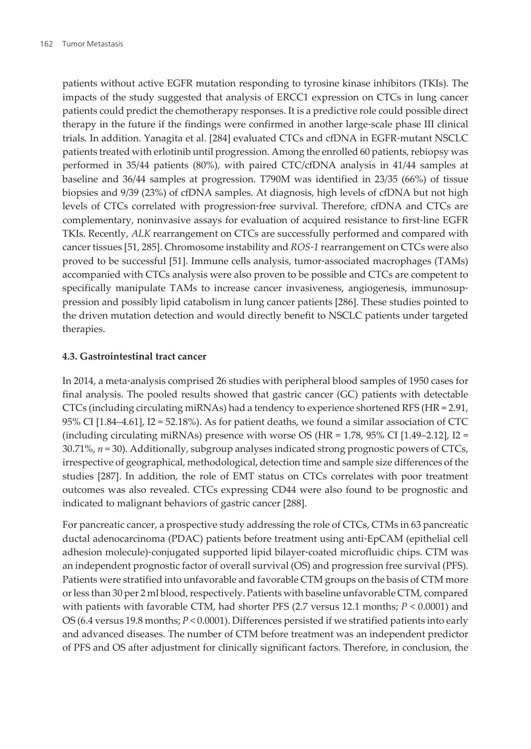patients without active EGFR mutation responding to tyrosine kinase inhibitors (TKIs). The impacts of the study suggested that analysis of ERCC1 expression on CTCs in lung cancer patients could predict the chemotherapy responses. It is a predictive role could possible direct therapy in the future if the findings were confirmed in another large-scale phase III clinical trials. In addition. Yanagita et al. [[284](#page-47-0)] evaluated CTCs and cfDNA in EGFR‐mutant NSCLC patients treated with erlotinib until progression. Among the enrolled 60 patients, rebiopsy was performed in 35/44 patients (80%), with paired CTC/cfDNA analysis in 41/44 samples at baseline and 36/44 samples at progression. T790M was identified in 23/35 (66%) of tissue biopsies and 9/39 (23%) of cfDNA samples. At diagnosis, high levels of cfDNA but not high levels of CTCs correlated with progression‐free survival. Therefore, cfDNA and CTCs are complementary, noninvasive assays for evaluation of acquired resistance to first-line EGFR TKIs. Recently, *ALK* rearrangement on CTCs are successfully performed and compared with cancer tissues [[51,](#page-26-0) [285](#page-47-0)]. Chromosome instability and *ROS‐1* rearrangement on CTCs were also proved to be successful [[51\]](#page-26-0). Immune cells analysis, tumor-associated macrophages (TAMs) accompanied with CTCs analysis were also proven to be possible and CTCs are competent to specifically manipulate TAMs to increase cancer invasiveness, angiogenesis, immunosuppression and possibly lipid catabolism in lung cancer patients [\[286\]](#page-47-0). These studies pointed to the driven mutation detection and would directly benefit to NSCLC patients under targeted therapies.

#### **4.3. Gastrointestinal tract cancer**

In 2014, a meta‐analysis comprised 26 studies with peripheral blood samples of 1950 cases for final analysis. The pooled results showed that gastric cancer (GC) patients with detectable CTCs (including circulating miRNAs) had a tendency to experience shortened RFS (HR = 2.91, 95% CI [1.84–4.61], I2 = 52.18%). As for patient deaths, we found a similar association of CTC (including circulating miRNAs) presence with worse OS (HR =  $1.78$ ,  $95\%$  CI [1.49–2.12], I2 = 30.71%, *n* = 30). Additionally, subgroup analyses indicated strong prognostic powers of CTCs, irrespective of geographical, methodological, detection time and sample size differences of the studies [[287](#page-47-0)]. In addition, the role of EMT status on CTCs correlates with poor treatment outcomes was also revealed. CTCs expressing CD44 were also found to be prognostic and indicated to malignant behaviors of gastric cancer [\[288\]](#page-47-0).

For pancreatic cancer, a prospective study addressing the role of CTCs, CTMs in 63 pancreatic ductal adenocarcinoma (PDAC) patients before treatment using anti‐EpCAM (epithelial cell adhesion molecule)‐conjugated supported lipid bilayer‐coated microfluidic chips. CTM was an independent prognostic factor of overall survival (OS) and progression free survival (PFS). Patients were stratified into unfavorable and favorable CTM groups on the basis of CTM more or less than 30 per 2 ml blood, respectively. Patients with baseline unfavorable CTM, compared with patients with favorable CTM, had shorter PFS (2.7 versus 12.1 months; *P* < 0.0001) and OS (6.4 versus 19.8 months; *P* < 0.0001). Differences persisted if we stratified patients into early and advanced diseases. The number of CTM before treatment was an independent predictor of PFS and OS after adjustment for clinically significant factors. Therefore, in conclusion, the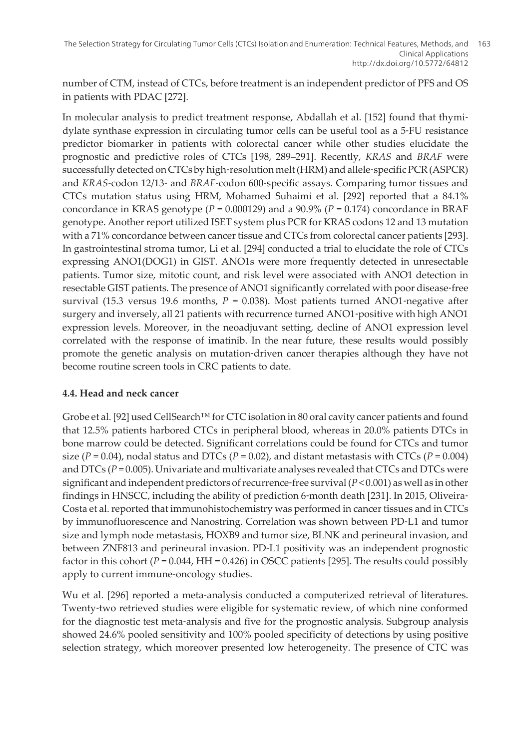number of CTM, instead of CTCs, before treatment is an independent predictor of PFS and OS in patients with PDAC [\[272\]](#page-45-0).

In molecular analysis to predict treatment response, Abdallah et al. [[152](#page-35-0)] found that thymidylate synthase expression in circulating tumor cells can be useful tool as a 5‐FU resistance predictor biomarker in patients with colorectal cancer while other studies elucidate the prognostic and predictive roles of CTCs [[198](#page-39-0), [289–291\]](#page-47-0). Recently, *KRAS* and *BRAF* were successfully detected on CTCs by high-resolution melt (HRM) and allele-specific PCR (ASPCR) and *KRAS*‐codon 12/13‐ and *BRAF*‐codon 600‐specific assays. Comparing tumor tissues and CTCs mutation status using HRM, Mohamed Suhaimi et al. [[292](#page-47-0)] reported that a 84.1% concordance in KRAS genotype (*P* = 0.000129) and a 90.9% (*P* = 0.174) concordance in BRAF genotype. Another report utilized ISET system plus PCR for KRAS codons 12 and 13 mutation with a 71% concordance between cancer tissue and CTCs from colorectal cancer patients [\[293\]](#page-47-0). In gastrointestinal stroma tumor, Li et al. [\[294\]](#page-48-0) conducted a trial to elucidate the role of CTCs expressing ANO1(DOG1) in GIST. ANO1s were more frequently detected in unresectable patients. Tumor size, mitotic count, and risk level were associated with ANO1 detection in resectable GIST patients. The presence of ANO1 significantly correlated with poor disease-free survival (15.3 versus 19.6 months,  $P = 0.038$ ). Most patients turned ANO1-negative after surgery and inversely, all 21 patients with recurrence turned ANO1-positive with high ANO1 expression levels. Moreover, in the neoadjuvant setting, decline of ANO1 expression level correlated with the response of imatinib. In the near future, these results would possibly promote the genetic analysis on mutation‐driven cancer therapies although they have not become routine screen tools in CRC patients to date.

# **4.4. Head and neck cancer**

Grobe et al. [[92\]](#page-29-0) used CellSearch™ for CTC isolation in 80 oral cavity cancer patients and found that 12.5% patients harbored CTCs in peripheral blood, whereas in 20.0% patients DTCs in bone marrow could be detected. Significant correlations could be found for CTCs and tumor size ( $P = 0.04$ ), nodal status and DTCs ( $P = 0.02$ ), and distant metastasis with CTCs ( $P = 0.004$ ) and DTCs (*P* = 0.005). Univariate and multivariate analyses revealed that CTCs and DTCs were significant and independent predictors of recurrence-free survival ( $P < 0.001$ ) as well as in other findings in HNSCC, including the ability of prediction 6‐month death [[231](#page-42-0)]. In 2015, Oliveira‐ Costa et al. reported that immunohistochemistry was performed in cancer tissues and in CTCs by immunofluorescence and Nanostring. Correlation was shown between PD‐L1 and tumor size and lymph node metastasis, HOXB9 and tumor size, BLNK and perineural invasion, and between ZNF813 and perineural invasion. PD‐L1 positivity was an independent prognostic factor in this cohort  $(P = 0.044, HH = 0.426)$  in OSCC patients [[295](#page-48-0)]. The results could possibly apply to current immune‐oncology studies.

Wu et al. [\[296\]](#page-48-0) reported a meta-analysis conducted a computerized retrieval of literatures. Twenty‐two retrieved studies were eligible for systematic review, of which nine conformed for the diagnostic test meta-analysis and five for the prognostic analysis. Subgroup analysis showed 24.6% pooled sensitivity and 100% pooled specificity of detections by using positive selection strategy, which moreover presented low heterogeneity. The presence of CTC was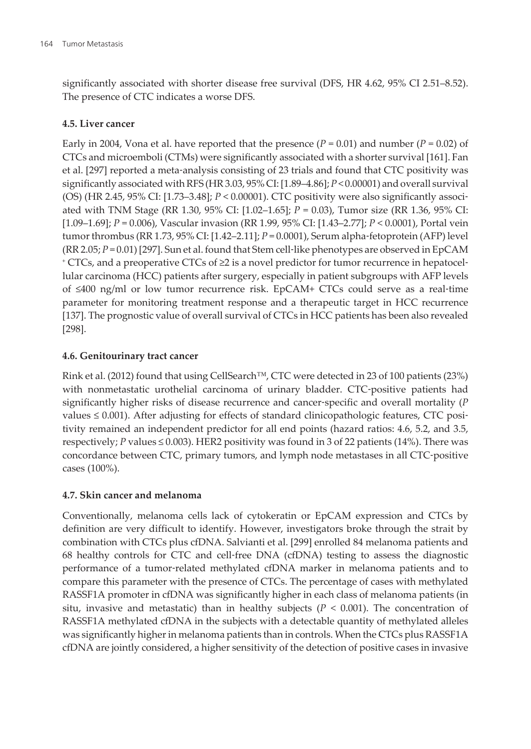significantly associated with shorter disease free survival (DFS, HR 4.62, 95% CI 2.51–8.52). The presence of CTC indicates a worse DFS.

#### **4.5. Liver cancer**

Early in 2004, Vona et al. have reported that the presence  $(P = 0.01)$  and number  $(P = 0.02)$  of CTCs and microemboli (CTMs) were significantly associated with a shorter survival [[161\]](#page-35-0). Fan et al. [[297](#page-48-0)] reported a meta‐analysis consisting of 23 trials and found that CTC positivity was significantly associated with RFS (HR 3.03, 95% CI: [1.89–4.86]; *P* < 0.00001) and overall survival (OS) (HR 2.45, 95% CI: [1.73–3.48];  $P < 0.00001$ ). CTC positivity were also significantly associated with TNM Stage (RR 1.30, 95% CI: [1.02–1.65]; *P* = 0.03), Tumor size (RR 1.36, 95% CI: [1.09–1.69]; *P* = 0.006), Vascular invasion (RR 1.99, 95% CI: [1.43–2.77]; *P* < 0.0001), Portal vein tumor thrombus (RR 1.73, 95% CI: [1.42–2.11]; *P* = 0.0001), Serum alpha‐fetoprotein (AFP) level (RR 2.05; *P* = 0.01) [\[297\]](#page-48-0). Sun et al. found that Stem cell‐like phenotypes are observed in EpCAM <sup>+</sup> CTCs, and a preoperative CTCs of ≥2 is a novel predictor for tumor recurrence in hepatocel‐ lular carcinoma (HCC) patients after surgery, especially in patient subgroups with AFP levels of ≤400 ng/ml or low tumor recurrence risk. EpCAM+ CTCs could serve as a real‐time parameter for monitoring treatment response and a therapeutic target in HCC recurrence [[137](#page-33-0)]. The prognostic value of overall survival of CTCs in HCC patients has been also revealed [[298](#page-48-0)].

#### **4.6. Genitourinary tract cancer**

Rink et al. (2012) found that using CellSearch™, CTC were detected in 23 of 100 patients (23%) with nonmetastatic urothelial carcinoma of urinary bladder. CTC‐positive patients had significantly higher risks of disease recurrence and cancer-specific and overall mortality (*P* values  $\leq$  0.001). After adjusting for effects of standard clinicopathologic features, CTC positivity remained an independent predictor for all end points (hazard ratios: 4.6, 5.2, and 3.5, respectively; *P* values  $\leq$  0.003). HER2 positivity was found in 3 of 22 patients (14%). There was concordance between CTC, primary tumors, and lymph node metastases in all CTC‐positive cases (100%).

#### **4.7. Skin cancer and melanoma**

Conventionally, melanoma cells lack of cytokeratin or EpCAM expression and CTCs by definition are very difficult to identify. However, investigators broke through the strait by combination with CTCs plus cfDNA. Salvianti et al. [[299](#page-48-0)] enrolled 84 melanoma patients and 68 healthy controls for CTC and cell‐free DNA (cfDNA) testing to assess the diagnostic performance of a tumor‐related methylated cfDNA marker in melanoma patients and to compare this parameter with the presence of CTCs. The percentage of cases with methylated RASSF1A promoter in cfDNA was significantly higher in each class of melanoma patients (in situ, invasive and metastatic) than in healthy subjects ( $P < 0.001$ ). The concentration of RASSF1A methylated cfDNA in the subjects with a detectable quantity of methylated alleles was significantly higher in melanoma patients than in controls. When the CTCs plus RASSF1A cfDNA are jointly considered, a higher sensitivity of the detection of positive cases in invasive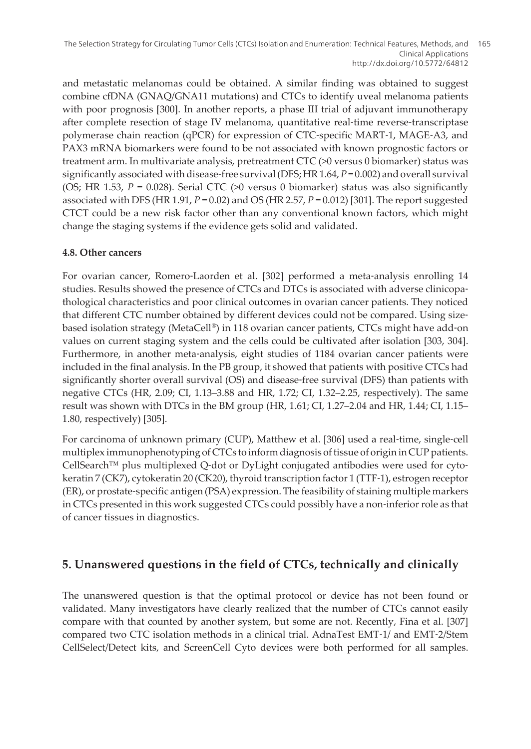and metastatic melanomas could be obtained. A similar finding was obtained to suggest combine cfDNA (GNAQ/GNA11 mutations) and CTCs to identify uveal melanoma patients with poor prognosis [\[300\]](#page-48-0). In another reports, a phase III trial of adjuvant immunotherapy after complete resection of stage IV melanoma, quantitative real‐time reverse‐transcriptase polymerase chain reaction (qPCR) for expression of CTC‐specific MART‐1, MAGE‐A3, and PAX3 mRNA biomarkers were found to be not associated with known prognostic factors or treatment arm. In multivariate analysis, pretreatment CTC (>0 versus 0 biomarker) status was significantly associated with disease-free survival (DFS; HR 1.64,  $P = 0.002$ ) and overall survival (OS; HR 1.53,  $P = 0.028$ ). Serial CTC (>0 versus 0 biomarker) status was also significantly associated with DFS (HR 1.91, *P* = 0.02) and OS (HR 2.57, *P* = 0.012) [\[301\]](#page-48-0). The report suggested CTCT could be a new risk factor other than any conventional known factors, which might change the staging systems if the evidence gets solid and validated.

## **4.8. Other cancers**

For ovarian cancer, Romero‐Laorden et al. [\[302\]](#page-48-0) performed a meta‐analysis enrolling 14 studies. Results showed the presence of CTCs and DTCs is associated with adverse clinicopa‐ thological characteristics and poor clinical outcomes in ovarian cancer patients. They noticed that different CTC number obtained by different devices could not be compared. Using sizebased isolation strategy (MetaCell®) in 118 ovarian cancer patients, CTCs might have add‐on values on current staging system and the cells could be cultivated after isolation [[303](#page-48-0), [304\]](#page-48-0). Furthermore, in another meta-analysis, eight studies of 1184 ovarian cancer patients were included in the final analysis. In the PB group, it showed that patients with positive CTCs had significantly shorter overall survival (OS) and disease-free survival (DFS) than patients with negative CTCs (HR, 2.09; CI, 1.13–3.88 and HR, 1.72; CI, 1.32–2.25, respectively). The same result was shown with DTCs in the BM group (HR, 1.61; CI, 1.27–2.04 and HR, 1.44; CI, 1.15– 1.80, respectively) [\[305\]](#page-49-0).

For carcinoma of unknown primary (CUP), Matthew et al. [[306](#page-49-0)] used a real-time, single-cell multiplex immunophenotyping of CTCs to inform diagnosis of tissue of origin in CUP patients. CellSearch™ plus multiplexed Q-dot or DyLight conjugated antibodies were used for cytokeratin 7 (CK7), cytokeratin 20 (CK20), thyroid transcription factor 1 (TTF‐1), estrogen receptor (ER), or prostate‐specific antigen (PSA) expression. The feasibility of staining multiple markers in CTCs presented in this work suggested CTCs could possibly have a non-inferior role as that of cancer tissues in diagnostics.

# **5. Unanswered questions in the field of CTCs, technically and clinically**

The unanswered question is that the optimal protocol or device has not been found or validated. Many investigators have clearly realized that the number of CTCs cannot easily compare with that counted by another system, but some are not. Recently, Fina et al. [[307](#page-49-0)] compared two CTC isolation methods in a clinical trial. AdnaTest EMT‐1/ and EMT‐2/Stem CellSelect/Detect kits, and ScreenCell Cyto devices were both performed for all samples.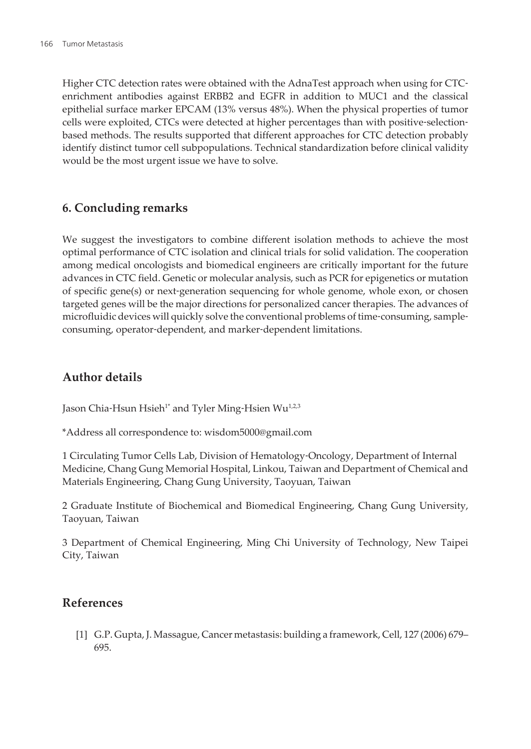<span id="page-21-0"></span>Higher CTC detection rates were obtained with the AdnaTest approach when using for CTC‐ enrichment antibodies against ERBB2 and EGFR in addition to MUC1 and the classical epithelial surface marker EPCAM (13% versus 48%). When the physical properties of tumor cells were exploited, CTCs were detected at higher percentages than with positive‐selection‐ based methods. The results supported that different approaches for CTC detection probably identify distinct tumor cell subpopulations. Technical standardization before clinical validity would be the most urgent issue we have to solve.

# **6. Concluding remarks**

We suggest the investigators to combine different isolation methods to achieve the most optimal performance of CTC isolation and clinical trials for solid validation. The cooperation among medical oncologists and biomedical engineers are critically important for the future advances in CTC field. Genetic or molecular analysis, such as PCR for epigenetics or mutation of specific gene(s) or next-generation sequencing for whole genome, whole exon, or chosen targeted genes will be the major directions for personalized cancer therapies. The advances of microfluidic devices will quickly solve the conventional problems of time-consuming, sampleconsuming, operator‐dependent, and marker‐dependent limitations.

# **Author details**

Jason Chia-Hsun Hsieh<sup>1\*</sup> and Tyler Ming-Hsien Wu<sup>1,2,3</sup>

\*Address all correspondence to: wisdom5000@gmail.com

1 Circulating Tumor Cells Lab, Division of Hematology‐Oncology, Department of Internal Medicine, Chang Gung Memorial Hospital, Linkou, Taiwan and Department of Chemical and Materials Engineering, Chang Gung University, Taoyuan, Taiwan

2 Graduate Institute of Biochemical and Biomedical Engineering, Chang Gung University, Taoyuan, Taiwan

3 Department of Chemical Engineering, Ming Chi University of Technology, New Taipei City, Taiwan

# **References**

[1] G.P. Gupta, J. Massague, Cancer metastasis: building a framework, Cell, 127 (2006) 679– 695.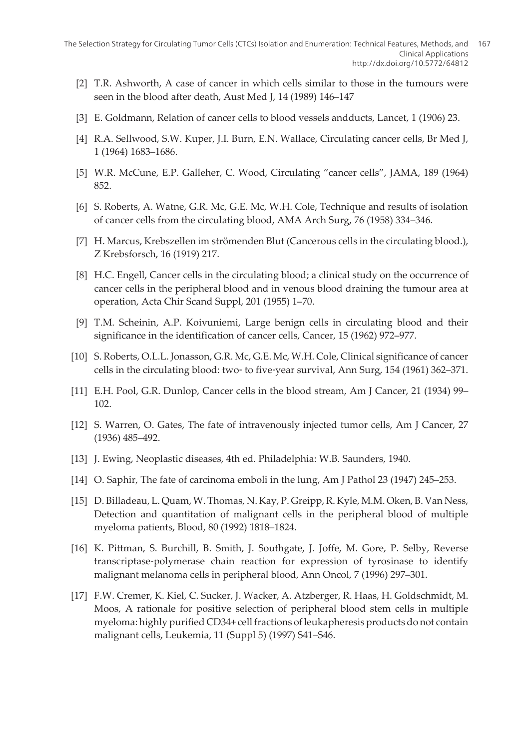- <span id="page-22-0"></span>[2] T.R. Ashworth, A case of cancer in which cells similar to those in the tumours were seen in the blood after death, Aust Med J, 14 (1989) 146–147
- [3] E. Goldmann, Relation of cancer cells to blood vessels andducts, Lancet, 1 (1906) 23.
- [4] R.A. Sellwood, S.W. Kuper, J.I. Burn, E.N. Wallace, Circulating cancer cells, Br Med J, 1 (1964) 1683–1686.
- [5] W.R. McCune, E.P. Galleher, C. Wood, Circulating "cancer cells", JAMA, 189 (1964) 852.
- [6] S. Roberts, A. Watne, G.R. Mc, G.E. Mc, W.H. Cole, Technique and results of isolation of cancer cells from the circulating blood, AMA Arch Surg, 76 (1958) 334–346.
- [7] H. Marcus, Krebszellen im strömenden Blut (Cancerous cells in the circulating blood.), Z Krebsforsch, 16 (1919) 217.
- [8] H.C. Engell, Cancer cells in the circulating blood; a clinical study on the occurrence of cancer cells in the peripheral blood and in venous blood draining the tumour area at operation, Acta Chir Scand Suppl, 201 (1955) 1–70.
- [9] T.M. Scheinin, A.P. Koivuniemi, Large benign cells in circulating blood and their significance in the identification of cancer cells, Cancer, 15 (1962) 972–977.
- [10] S. Roberts, O.L.L. Jonasson, G.R. Mc, G.E. Mc, W.H. Cole, Clinical significance of cancer cells in the circulating blood: two‐ to five‐year survival, Ann Surg, 154 (1961) 362–371.
- [11] E.H. Pool, G.R. Dunlop, Cancer cells in the blood stream, Am J Cancer, 21 (1934) 99– 102.
- [12] S. Warren, O. Gates, The fate of intravenously injected tumor cells, Am J Cancer, 27 (1936) 485–492.
- [13] J. Ewing, Neoplastic diseases, 4th ed. Philadelphia: W.B. Saunders, 1940.
- [14] O. Saphir, The fate of carcinoma emboli in the lung, Am J Pathol 23 (1947) 245–253.
- [15] D. Billadeau, L. Quam, W. Thomas, N. Kay, P. Greipp, R. Kyle, M.M. Oken, B. Van Ness, Detection and quantitation of malignant cells in the peripheral blood of multiple myeloma patients, Blood, 80 (1992) 1818–1824.
- [16] K. Pittman, S. Burchill, B. Smith, J. Southgate, J. Joffe, M. Gore, P. Selby, Reverse transcriptase‐polymerase chain reaction for expression of tyrosinase to identify malignant melanoma cells in peripheral blood, Ann Oncol, 7 (1996) 297–301.
- [17] F.W. Cremer, K. Kiel, C. Sucker, J. Wacker, A. Atzberger, R. Haas, H. Goldschmidt, M. Moos, A rationale for positive selection of peripheral blood stem cells in multiple myeloma: highly purified CD34+ cell fractions of leukapheresis products do not contain malignant cells, Leukemia, 11 (Suppl 5) (1997) S41–S46.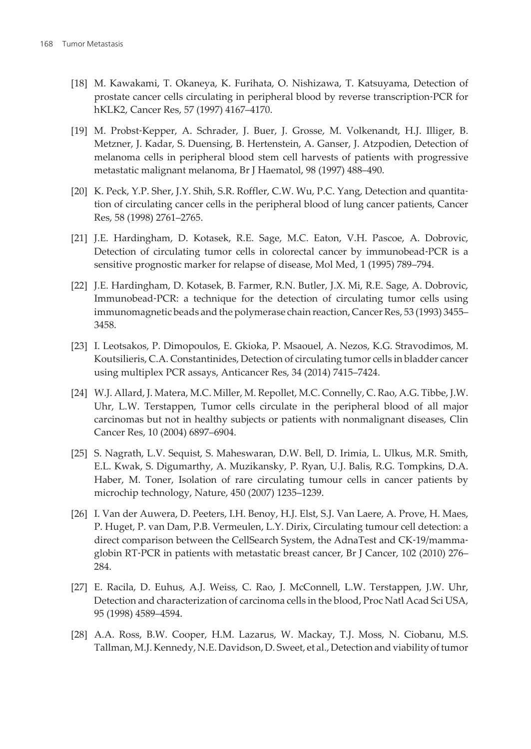- <span id="page-23-0"></span>[18] M. Kawakami, T. Okaneya, K. Furihata, O. Nishizawa, T. Katsuyama, Detection of prostate cancer cells circulating in peripheral blood by reverse transcription‐PCR for hKLK2, Cancer Res, 57 (1997) 4167–4170.
- [19] M. Probst‐Kepper, A. Schrader, J. Buer, J. Grosse, M. Volkenandt, H.J. Illiger, B. Metzner, J. Kadar, S. Duensing, B. Hertenstein, A. Ganser, J. Atzpodien, Detection of melanoma cells in peripheral blood stem cell harvests of patients with progressive metastatic malignant melanoma, Br J Haematol, 98 (1997) 488–490.
- [20] K. Peck, Y.P. Sher, J.Y. Shih, S.R. Roffler, C.W. Wu, P.C. Yang, Detection and quantitation of circulating cancer cells in the peripheral blood of lung cancer patients, Cancer Res, 58 (1998) 2761–2765.
- [21] J.E. Hardingham, D. Kotasek, R.E. Sage, M.C. Eaton, V.H. Pascoe, A. Dobrovic, Detection of circulating tumor cells in colorectal cancer by immunobead‐PCR is a sensitive prognostic marker for relapse of disease, Mol Med, 1 (1995) 789–794.
- [22] J.E. Hardingham, D. Kotasek, B. Farmer, R.N. Butler, J.X. Mi, R.E. Sage, A. Dobrovic, Immunobead‐PCR: a technique for the detection of circulating tumor cells using immunomagnetic beads and the polymerase chain reaction, Cancer Res, 53 (1993) 3455– 3458.
- [23] I. Leotsakos, P. Dimopoulos, E. Gkioka, P. Msaouel, A. Nezos, K.G. Stravodimos, M. Koutsilieris, C.A. Constantinides, Detection of circulating tumor cells in bladder cancer using multiplex PCR assays, Anticancer Res, 34 (2014) 7415–7424.
- [24] W.J. Allard, J. Matera, M.C. Miller, M. Repollet, M.C. Connelly, C. Rao, A.G. Tibbe, J.W. Uhr, L.W. Terstappen, Tumor cells circulate in the peripheral blood of all major carcinomas but not in healthy subjects or patients with nonmalignant diseases, Clin Cancer Res, 10 (2004) 6897–6904.
- [25] S. Nagrath, L.V. Sequist, S. Maheswaran, D.W. Bell, D. Irimia, L. Ulkus, M.R. Smith, E.L. Kwak, S. Digumarthy, A. Muzikansky, P. Ryan, U.J. Balis, R.G. Tompkins, D.A. Haber, M. Toner, Isolation of rare circulating tumour cells in cancer patients by microchip technology, Nature, 450 (2007) 1235–1239.
- [26] I. Van der Auwera, D. Peeters, I.H. Benoy, H.J. Elst, S.J. Van Laere, A. Prove, H. Maes, P. Huget, P. van Dam, P.B. Vermeulen, L.Y. Dirix, Circulating tumour cell detection: a direct comparison between the CellSearch System, the AdnaTest and CK‐19/mamma‐ globin RT‐PCR in patients with metastatic breast cancer, Br J Cancer, 102 (2010) 276– 284.
- [27] E. Racila, D. Euhus, A.J. Weiss, C. Rao, J. McConnell, L.W. Terstappen, J.W. Uhr, Detection and characterization of carcinoma cells in the blood, Proc Natl Acad Sci USA, 95 (1998) 4589–4594.
- [28] A.A. Ross, B.W. Cooper, H.M. Lazarus, W. Mackay, T.J. Moss, N. Ciobanu, M.S. Tallman, M.J. Kennedy, N.E. Davidson, D. Sweet, et al., Detection and viability of tumor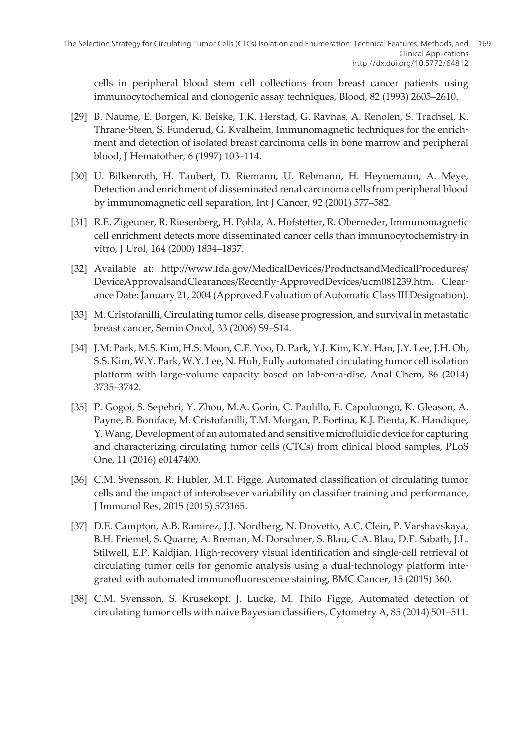<span id="page-24-0"></span>cells in peripheral blood stem cell collections from breast cancer patients using immunocytochemical and clonogenic assay techniques, Blood, 82 (1993) 2605–2610.

- [29] B. Naume, E. Borgen, K. Beiske, T.K. Herstad, G. Ravnas, A. Renolen, S. Trachsel, K. Thrane‐Steen, S. Funderud, G. Kvalheim, Immunomagnetic techniques for the enrich‐ ment and detection of isolated breast carcinoma cells in bone marrow and peripheral blood, J Hematother, 6 (1997) 103–114.
- [30] U. Bilkenroth, H. Taubert, D. Riemann, U. Rebmann, H. Heynemann, A. Meye, Detection and enrichment of disseminated renal carcinoma cells from peripheral blood by immunomagnetic cell separation, Int J Cancer, 92 (2001) 577–582.
- [31] R.E. Zigeuner, R. Riesenberg, H. Pohla, A. Hofstetter, R. Oberneder, Immunomagnetic cell enrichment detects more disseminated cancer cells than immunocytochemistry in vitro, J Urol, 164 (2000) 1834–1837.
- [32] Available at: http://www.fda.gov/MedicalDevices/ProductsandMedicalProcedures/ DeviceApprovalsandClearances/Recently‐ApprovedDevices/ucm081239.htm. Clear‐ ance Date: January 21, 2004 (Approved Evaluation of Automatic Class III Designation).
- [33] M. Cristofanilli, Circulating tumor cells, disease progression, and survival in metastatic breast cancer, Semin Oncol, 33 (2006) S9–S14.
- [34] J.M. Park, M.S. Kim, H.S. Moon, C.E. Yoo, D. Park, Y.J. Kim, K.Y. Han, J.Y. Lee, J.H. Oh, S.S. Kim, W.Y. Park, W.Y. Lee, N. Huh, Fully automated circulating tumor cell isolation platform with large‐volume capacity based on lab‐on‐a‐disc, Anal Chem, 86 (2014) 3735–3742.
- [35] P. Gogoi, S. Sepehri, Y. Zhou, M.A. Gorin, C. Paolillo, E. Capoluongo, K. Gleason, A. Payne, B. Boniface, M. Cristofanilli, T.M. Morgan, P. Fortina, K.J. Pienta, K. Handique, Y. Wang, Development of an automated and sensitive microfluidic device for capturing and characterizing circulating tumor cells (CTCs) from clinical blood samples, PLoS One, 11 (2016) e0147400.
- [36] C.M. Svensson, R. Hubler, M.T. Figge, Automated classification of circulating tumor cells and the impact of interobsever variability on classifier training and performance, J Immunol Res, 2015 (2015) 573165.
- [37] D.E. Campton, A.B. Ramirez, J.J. Nordberg, N. Drovetto, A.C. Clein, P. Varshavskaya, B.H. Friemel, S. Quarre, A. Breman, M. Dorschner, S. Blau, C.A. Blau, D.E. Sabath, J.L. Stilwell, E.P. Kaldjian, High‐recovery visual identification and single‐cell retrieval of circulating tumor cells for genomic analysis using a dual‐technology platform inte‐ grated with automated immunofluorescence staining, BMC Cancer, 15 (2015) 360.
- [38] C.M. Svensson, S. Krusekopf, J. Lucke, M. Thilo Figge, Automated detection of circulating tumor cells with naive Bayesian classifiers, Cytometry A, 85 (2014) 501–511.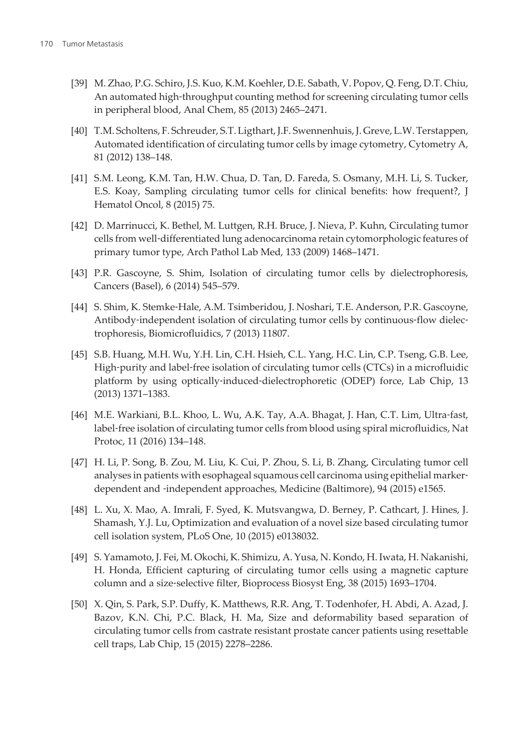- <span id="page-25-0"></span>[39] M. Zhao, P.G. Schiro, J.S. Kuo, K.M. Koehler, D.E. Sabath, V. Popov, Q. Feng, D.T. Chiu, An automated high-throughput counting method for screening circulating tumor cells in peripheral blood, Anal Chem, 85 (2013) 2465–2471.
- [40] T.M. Scholtens, F. Schreuder, S.T. Ligthart, J.F. Swennenhuis, J. Greve, L.W. Terstappen, Automated identification of circulating tumor cells by image cytometry, Cytometry A, 81 (2012) 138–148.
- [41] S.M. Leong, K.M. Tan, H.W. Chua, D. Tan, D. Fareda, S. Osmany, M.H. Li, S. Tucker, E.S. Koay, Sampling circulating tumor cells for clinical benefits: how frequent?, J Hematol Oncol, 8 (2015) 75.
- [42] D. Marrinucci, K. Bethel, M. Luttgen, R.H. Bruce, J. Nieva, P. Kuhn, Circulating tumor cells from well‐differentiated lung adenocarcinoma retain cytomorphologic features of primary tumor type, Arch Pathol Lab Med, 133 (2009) 1468–1471.
- [43] P.R. Gascoyne, S. Shim, Isolation of circulating tumor cells by dielectrophoresis, Cancers (Basel), 6 (2014) 545–579.
- [44] S. Shim, K. Stemke‐Hale, A.M. Tsimberidou, J. Noshari, T.E. Anderson, P.R. Gascoyne, Antibody‐independent isolation of circulating tumor cells by continuous‐flow dielec‐ trophoresis, Biomicrofluidics, 7 (2013) 11807.
- [45] S.B. Huang, M.H. Wu, Y.H. Lin, C.H. Hsieh, C.L. Yang, H.C. Lin, C.P. Tseng, G.B. Lee, High-purity and label-free isolation of circulating tumor cells (CTCs) in a microfluidic platform by using optically‐induced‐dielectrophoretic (ODEP) force, Lab Chip, 13 (2013) 1371–1383.
- [46] M.E. Warkiani, B.L. Khoo, L. Wu, A.K. Tay, A.A. Bhagat, J. Han, C.T. Lim, Ultra‐fast, label-free isolation of circulating tumor cells from blood using spiral microfluidics, Nat Protoc, 11 (2016) 134–148.
- [47] H. Li, P. Song, B. Zou, M. Liu, K. Cui, P. Zhou, S. Li, B. Zhang, Circulating tumor cell analyses in patients with esophageal squamous cell carcinoma using epithelial marker‐ dependent and ‐independent approaches, Medicine (Baltimore), 94 (2015) e1565.
- [48] L. Xu, X. Mao, A. Imrali, F. Syed, K. Mutsvangwa, D. Berney, P. Cathcart, J. Hines, J. Shamash, Y.J. Lu, Optimization and evaluation of a novel size based circulating tumor cell isolation system, PLoS One, 10 (2015) e0138032.
- [49] S. Yamamoto, J. Fei, M. Okochi, K. Shimizu, A. Yusa, N. Kondo, H. Iwata, H. Nakanishi, H. Honda, Efficient capturing of circulating tumor cells using a magnetic capture column and a size‐selective filter, Bioprocess Biosyst Eng, 38 (2015) 1693–1704.
- [50] X. Qin, S. Park, S.P. Duffy, K. Matthews, R.R. Ang, T. Todenhofer, H. Abdi, A. Azad, J. Bazov, K.N. Chi, P.C. Black, H. Ma, Size and deformability based separation of circulating tumor cells from castrate resistant prostate cancer patients using resettable cell traps, Lab Chip, 15 (2015) 2278–2286.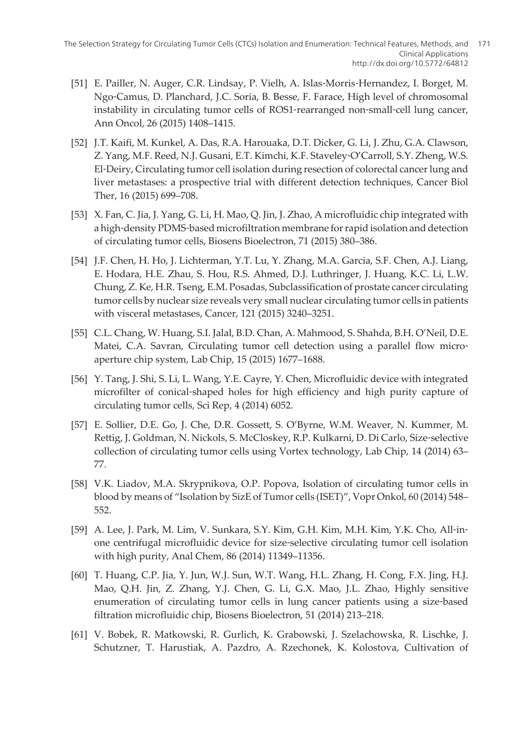- <span id="page-26-0"></span>[51] E. Pailler, N. Auger, C.R. Lindsay, P. Vielh, A. Islas‐Morris‐Hernandez, I. Borget, M. Ngo‐Camus, D. Planchard, J.C. Soria, B. Besse, F. Farace, High level of chromosomal instability in circulating tumor cells of ROS1-rearranged non-small-cell lung cancer, Ann Oncol, 26 (2015) 1408–1415.
- [52] J.T. Kaifi, M. Kunkel, A. Das, R.A. Harouaka, D.T. Dicker, G. Li, J. Zhu, G.A. Clawson, Z. Yang, M.F. Reed, N.J. Gusani, E.T. Kimchi, K.F. Staveley‐O'Carroll, S.Y. Zheng, W.S. El‐Deiry, Circulating tumor cell isolation during resection of colorectal cancer lung and liver metastases: a prospective trial with different detection techniques, Cancer Biol Ther, 16 (2015) 699–708.
- [53] X. Fan, C. Jia, J. Yang, G. Li, H. Mao, Q. Jin, J. Zhao, A microfluidic chip integrated with a high‐density PDMS‐based microfiltration membrane for rapid isolation and detection of circulating tumor cells, Biosens Bioelectron, 71 (2015) 380–386.
- [54] J.F. Chen, H. Ho, J. Lichterman, Y.T. Lu, Y. Zhang, M.A. Garcia, S.F. Chen, A.J. Liang, E. Hodara, H.E. Zhau, S. Hou, R.S. Ahmed, D.J. Luthringer, J. Huang, K.C. Li, L.W. Chung, Z. Ke, H.R. Tseng, E.M. Posadas, Subclassification of prostate cancer circulating tumor cells by nuclear size reveals very small nuclear circulating tumor cells in patients with visceral metastases, Cancer, 121 (2015) 3240–3251.
- [55] C.L. Chang, W. Huang, S.I. Jalal, B.D. Chan, A. Mahmood, S. Shahda, B.H. O'Neil, D.E. Matei, C.A. Savran, Circulating tumor cell detection using a parallel flow microaperture chip system, Lab Chip, 15 (2015) 1677–1688.
- [56] Y. Tang, J. Shi, S. Li, L. Wang, Y.E. Cayre, Y. Chen, Microfluidic device with integrated microfilter of conical‐shaped holes for high efficiency and high purity capture of circulating tumor cells, Sci Rep, 4 (2014) 6052.
- [57] E. Sollier, D.E. Go, J. Che, D.R. Gossett, S. O'Byrne, W.M. Weaver, N. Kummer, M. Rettig, J. Goldman, N. Nickols, S. McCloskey, R.P. Kulkarni, D. Di Carlo, Size-selective collection of circulating tumor cells using Vortex technology, Lab Chip, 14 (2014) 63– 77.
- [58] V.K. Liadov, M.A. Skrypnikova, O.P. Popova, Isolation of circulating tumor cells in blood by means of "Isolation by SizE of Tumor cells (ISET)", Vopr Onkol, 60 (2014) 548– 552.
- [59] A. Lee, J. Park, M. Lim, V. Sunkara, S.Y. Kim, G.H. Kim, M.H. Kim, Y.K. Cho, All‐in‐ one centrifugal microfluidic device for size‐selective circulating tumor cell isolation with high purity, Anal Chem, 86 (2014) 11349–11356.
- [60] T. Huang, C.P. Jia, Y. Jun, W.J. Sun, W.T. Wang, H.L. Zhang, H. Cong, F.X. Jing, H.J. Mao, Q.H. Jin, Z. Zhang, Y.J. Chen, G. Li, G.X. Mao, J.L. Zhao, Highly sensitive enumeration of circulating tumor cells in lung cancer patients using a size‐based filtration microfluidic chip, Biosens Bioelectron, 51 (2014) 213–218.
- [61] V. Bobek, R. Matkowski, R. Gurlich, K. Grabowski, J. Szelachowska, R. Lischke, J. Schutzner, T. Harustiak, A. Pazdro, A. Rzechonek, K. Kolostova, Cultivation of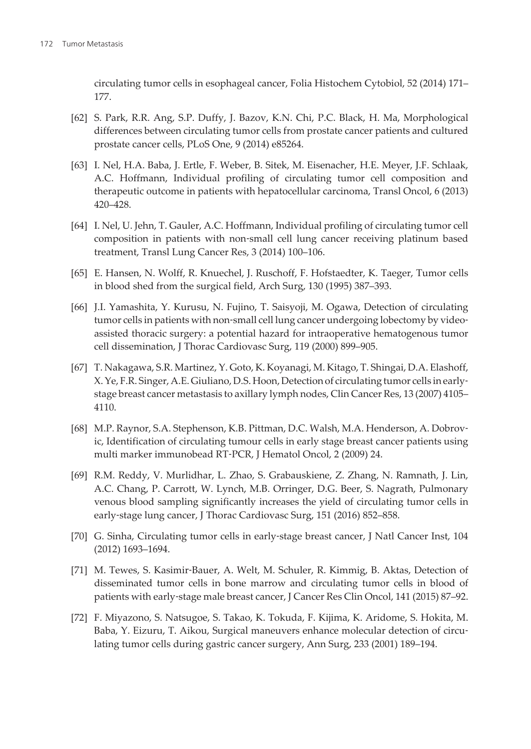<span id="page-27-0"></span>circulating tumor cells in esophageal cancer, Folia Histochem Cytobiol, 52 (2014) 171– 177.

- [62] S. Park, R.R. Ang, S.P. Duffy, J. Bazov, K.N. Chi, P.C. Black, H. Ma, Morphological differences between circulating tumor cells from prostate cancer patients and cultured prostate cancer cells, PLoS One, 9 (2014) e85264.
- [63] I. Nel, H.A. Baba, J. Ertle, F. Weber, B. Sitek, M. Eisenacher, H.E. Meyer, J.F. Schlaak, A.C. Hoffmann, Individual profiling of circulating tumor cell composition and therapeutic outcome in patients with hepatocellular carcinoma, Transl Oncol, 6 (2013) 420–428.
- [64] I. Nel, U. Jehn, T. Gauler, A.C. Hoffmann, Individual profiling of circulating tumor cell composition in patients with non-small cell lung cancer receiving platinum based treatment, Transl Lung Cancer Res, 3 (2014) 100–106.
- [65] E. Hansen, N. Wolff, R. Knuechel, J. Ruschoff, F. Hofstaedter, K. Taeger, Tumor cells in blood shed from the surgical field, Arch Surg, 130 (1995) 387–393.
- [66] J.I. Yamashita, Y. Kurusu, N. Fujino, T. Saisyoji, M. Ogawa, Detection of circulating tumor cells in patients with non-small cell lung cancer undergoing lobectomy by videoassisted thoracic surgery: a potential hazard for intraoperative hematogenous tumor cell dissemination, J Thorac Cardiovasc Surg, 119 (2000) 899–905.
- [67] T. Nakagawa, S.R. Martinez, Y. Goto, K. Koyanagi, M. Kitago, T. Shingai, D.A. Elashoff, X. Ye, F.R. Singer, A.E. Giuliano, D.S. Hoon, Detection of circulating tumor cells in early‐ stage breast cancer metastasis to axillary lymph nodes, Clin Cancer Res, 13 (2007) 4105– 4110.
- [68] M.P. Raynor, S.A. Stephenson, K.B. Pittman, D.C. Walsh, M.A. Henderson, A. Dobrov‐ ic, Identification of circulating tumour cells in early stage breast cancer patients using multi marker immunobead RT‐PCR, J Hematol Oncol, 2 (2009) 24.
- [69] R.M. Reddy, V. Murlidhar, L. Zhao, S. Grabauskiene, Z. Zhang, N. Ramnath, J. Lin, A.C. Chang, P. Carrott, W. Lynch, M.B. Orringer, D.G. Beer, S. Nagrath, Pulmonary venous blood sampling significantly increases the yield of circulating tumor cells in early‐stage lung cancer, J Thorac Cardiovasc Surg, 151 (2016) 852–858.
- [70] G. Sinha, Circulating tumor cells in early-stage breast cancer, J Natl Cancer Inst, 104 (2012) 1693–1694.
- [71] M. Tewes, S. Kasimir-Bauer, A. Welt, M. Schuler, R. Kimmig, B. Aktas, Detection of disseminated tumor cells in bone marrow and circulating tumor cells in blood of patients with early‐stage male breast cancer, J Cancer Res Clin Oncol, 141 (2015) 87–92.
- [72] F. Miyazono, S. Natsugoe, S. Takao, K. Tokuda, F. Kijima, K. Aridome, S. Hokita, M. Baba, Y. Eizuru, T. Aikou, Surgical maneuvers enhance molecular detection of circu‐ lating tumor cells during gastric cancer surgery, Ann Surg, 233 (2001) 189–194.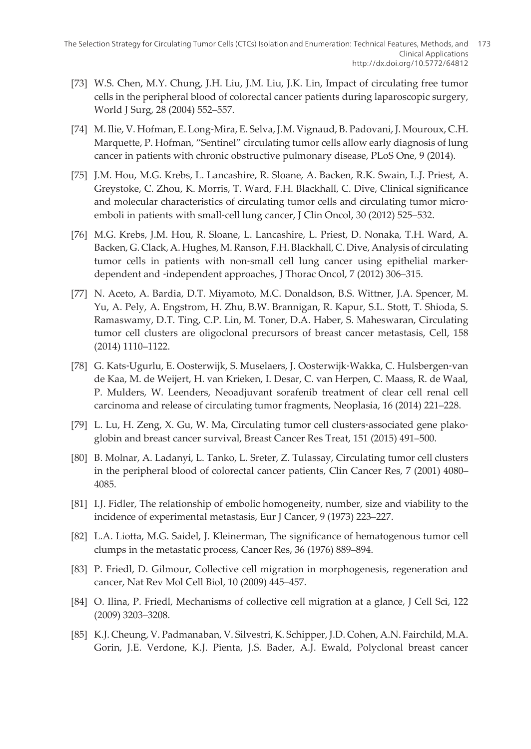- <span id="page-28-0"></span>[73] W.S. Chen, M.Y. Chung, J.H. Liu, J.M. Liu, J.K. Lin, Impact of circulating free tumor cells in the peripheral blood of colorectal cancer patients during laparoscopic surgery, World J Surg, 28 (2004) 552–557.
- [74] M. Ilie, V. Hofman, E. Long‐Mira, E. Selva, J.M. Vignaud, B. Padovani, J. Mouroux, C.H. Marquette, P. Hofman, "Sentinel" circulating tumor cells allow early diagnosis of lung cancer in patients with chronic obstructive pulmonary disease, PLoS One, 9 (2014).
- [75] J.M. Hou, M.G. Krebs, L. Lancashire, R. Sloane, A. Backen, R.K. Swain, L.J. Priest, A. Greystoke, C. Zhou, K. Morris, T. Ward, F.H. Blackhall, C. Dive, Clinical significance and molecular characteristics of circulating tumor cells and circulating tumor microemboli in patients with small-cell lung cancer, J Clin Oncol, 30 (2012) 525–532.
- [76] M.G. Krebs, J.M. Hou, R. Sloane, L. Lancashire, L. Priest, D. Nonaka, T.H. Ward, A. Backen, G. Clack, A. Hughes, M. Ranson, F.H. Blackhall, C. Dive, Analysis of circulating tumor cells in patients with non-small cell lung cancer using epithelial markerdependent and ‐independent approaches, J Thorac Oncol, 7 (2012) 306–315.
- [77] N. Aceto, A. Bardia, D.T. Miyamoto, M.C. Donaldson, B.S. Wittner, J.A. Spencer, M. Yu, A. Pely, A. Engstrom, H. Zhu, B.W. Brannigan, R. Kapur, S.L. Stott, T. Shioda, S. Ramaswamy, D.T. Ting, C.P. Lin, M. Toner, D.A. Haber, S. Maheswaran, Circulating tumor cell clusters are oligoclonal precursors of breast cancer metastasis, Cell, 158 (2014) 1110–1122.
- [78] G. Kats‐Ugurlu, E. Oosterwijk, S. Muselaers, J. Oosterwijk‐Wakka, C. Hulsbergen‐van de Kaa, M. de Weijert, H. van Krieken, I. Desar, C. van Herpen, C. Maass, R. de Waal, P. Mulders, W. Leenders, Neoadjuvant sorafenib treatment of clear cell renal cell carcinoma and release of circulating tumor fragments, Neoplasia, 16 (2014) 221–228.
- [79] L. Lu, H. Zeng, X. Gu, W. Ma, Circulating tumor cell clusters-associated gene plakoglobin and breast cancer survival, Breast Cancer Res Treat, 151 (2015) 491–500.
- [80] B. Molnar, A. Ladanyi, L. Tanko, L. Sreter, Z. Tulassay, Circulating tumor cell clusters in the peripheral blood of colorectal cancer patients, Clin Cancer Res, 7 (2001) 4080– 4085.
- [81] I.J. Fidler, The relationship of embolic homogeneity, number, size and viability to the incidence of experimental metastasis, Eur J Cancer, 9 (1973) 223–227.
- [82] L.A. Liotta, M.G. Saidel, J. Kleinerman, The significance of hematogenous tumor cell clumps in the metastatic process, Cancer Res, 36 (1976) 889–894.
- [83] P. Friedl, D. Gilmour, Collective cell migration in morphogenesis, regeneration and cancer, Nat Rev Mol Cell Biol, 10 (2009) 445–457.
- [84] O. Ilina, P. Friedl, Mechanisms of collective cell migration at a glance, J Cell Sci, 122 (2009) 3203–3208.
- [85] K.J. Cheung, V. Padmanaban, V. Silvestri, K. Schipper, J.D. Cohen, A.N. Fairchild, M.A. Gorin, J.E. Verdone, K.J. Pienta, J.S. Bader, A.J. Ewald, Polyclonal breast cancer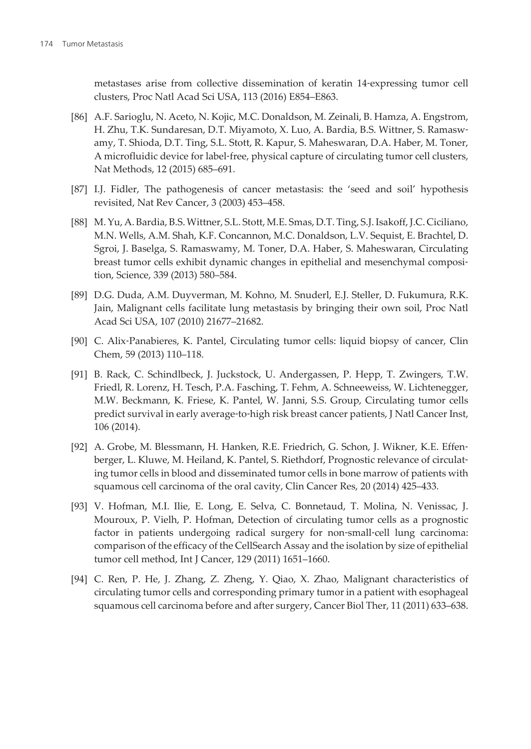<span id="page-29-0"></span>metastases arise from collective dissemination of keratin 14‐expressing tumor cell clusters, Proc Natl Acad Sci USA, 113 (2016) E854–E863.

- [86] A.F. Sarioglu, N. Aceto, N. Kojic, M.C. Donaldson, M. Zeinali, B. Hamza, A. Engstrom, H. Zhu, T.K. Sundaresan, D.T. Miyamoto, X. Luo, A. Bardia, B.S. Wittner, S. Ramaswamy, T. Shioda, D.T. Ting, S.L. Stott, R. Kapur, S. Maheswaran, D.A. Haber, M. Toner, A microfluidic device for label‐free, physical capture of circulating tumor cell clusters, Nat Methods, 12 (2015) 685–691.
- [87] I.J. Fidler, The pathogenesis of cancer metastasis: the 'seed and soil' hypothesis revisited, Nat Rev Cancer, 3 (2003) 453–458.
- [88] M. Yu, A. Bardia, B.S. Wittner, S.L. Stott, M.E. Smas, D.T. Ting, S.J. Isakoff, J.C. Ciciliano, M.N. Wells, A.M. Shah, K.F. Concannon, M.C. Donaldson, L.V. Sequist, E. Brachtel, D. Sgroi, J. Baselga, S. Ramaswamy, M. Toner, D.A. Haber, S. Maheswaran, Circulating breast tumor cells exhibit dynamic changes in epithelial and mesenchymal composition, Science, 339 (2013) 580–584.
- [89] D.G. Duda, A.M. Duyverman, M. Kohno, M. Snuderl, E.J. Steller, D. Fukumura, R.K. Jain, Malignant cells facilitate lung metastasis by bringing their own soil, Proc Natl Acad Sci USA, 107 (2010) 21677–21682.
- [90] C. Alix‐Panabieres, K. Pantel, Circulating tumor cells: liquid biopsy of cancer, Clin Chem, 59 (2013) 110–118.
- [91] B. Rack, C. Schindlbeck, J. Juckstock, U. Andergassen, P. Hepp, T. Zwingers, T.W. Friedl, R. Lorenz, H. Tesch, P.A. Fasching, T. Fehm, A. Schneeweiss, W. Lichtenegger, M.W. Beckmann, K. Friese, K. Pantel, W. Janni, S.S. Group, Circulating tumor cells predict survival in early average‐to‐high risk breast cancer patients, J Natl Cancer Inst, 106 (2014).
- [92] A. Grobe, M. Blessmann, H. Hanken, R.E. Friedrich, G. Schon, J. Wikner, K.E. Effen‐ berger, L. Kluwe, M. Heiland, K. Pantel, S. Riethdorf, Prognostic relevance of circulating tumor cells in blood and disseminated tumor cells in bone marrow of patients with squamous cell carcinoma of the oral cavity, Clin Cancer Res, 20 (2014) 425–433.
- [93] V. Hofman, M.I. Ilie, E. Long, E. Selva, C. Bonnetaud, T. Molina, N. Venissac, J. Mouroux, P. Vielh, P. Hofman, Detection of circulating tumor cells as a prognostic factor in patients undergoing radical surgery for non-small-cell lung carcinoma: comparison of the efficacy of the CellSearch Assay and the isolation by size of epithelial tumor cell method, Int J Cancer, 129 (2011) 1651–1660.
- [94] C. Ren, P. He, J. Zhang, Z. Zheng, Y. Qiao, X. Zhao, Malignant characteristics of circulating tumor cells and corresponding primary tumor in a patient with esophageal squamous cell carcinoma before and after surgery, Cancer Biol Ther, 11 (2011) 633–638.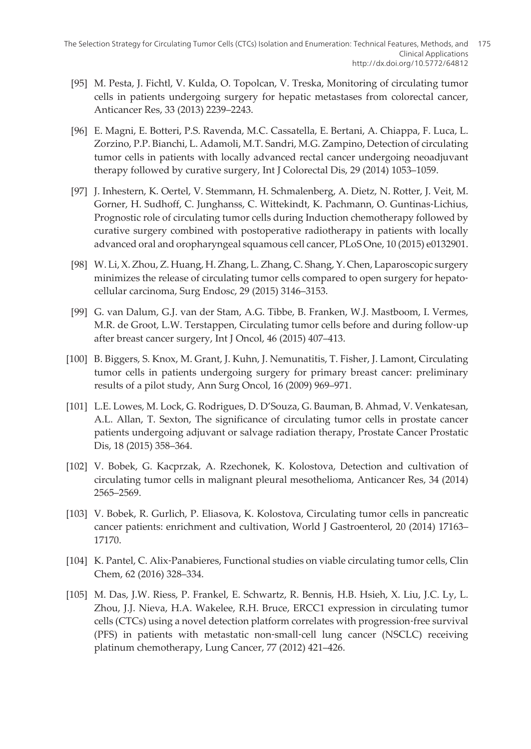- <span id="page-30-0"></span>[95] M. Pesta, J. Fichtl, V. Kulda, O. Topolcan, V. Treska, Monitoring of circulating tumor cells in patients undergoing surgery for hepatic metastases from colorectal cancer, Anticancer Res, 33 (2013) 2239–2243.
- [96] E. Magni, E. Botteri, P.S. Ravenda, M.C. Cassatella, E. Bertani, A. Chiappa, F. Luca, L. Zorzino, P.P. Bianchi, L. Adamoli, M.T. Sandri, M.G. Zampino, Detection of circulating tumor cells in patients with locally advanced rectal cancer undergoing neoadjuvant therapy followed by curative surgery, Int J Colorectal Dis, 29 (2014) 1053–1059.
- [97] J. Inhestern, K. Oertel, V. Stemmann, H. Schmalenberg, A. Dietz, N. Rotter, J. Veit, M. Gorner, H. Sudhoff, C. Junghanss, C. Wittekindt, K. Pachmann, O. Guntinas‐Lichius, Prognostic role of circulating tumor cells during Induction chemotherapy followed by curative surgery combined with postoperative radiotherapy in patients with locally advanced oral and oropharyngeal squamous cell cancer, PLoS One, 10 (2015) e0132901.
- [98] W. Li, X. Zhou, Z. Huang, H. Zhang, L. Zhang, C. Shang, Y. Chen, Laparoscopic surgery minimizes the release of circulating tumor cells compared to open surgery for hepato‐ cellular carcinoma, Surg Endosc, 29 (2015) 3146–3153.
- [99] G. van Dalum, G.J. van der Stam, A.G. Tibbe, B. Franken, W.J. Mastboom, I. Vermes, M.R. de Groot, L.W. Terstappen, Circulating tumor cells before and during follow‐up after breast cancer surgery, Int J Oncol, 46 (2015) 407–413.
- [100] B. Biggers, S. Knox, M. Grant, J. Kuhn, J. Nemunatitis, T. Fisher, J. Lamont, Circulating tumor cells in patients undergoing surgery for primary breast cancer: preliminary results of a pilot study, Ann Surg Oncol, 16 (2009) 969–971.
- [101] L.E. Lowes, M. Lock, G. Rodrigues, D. D'Souza, G. Bauman, B. Ahmad, V. Venkatesan, A.L. Allan, T. Sexton, The significance of circulating tumor cells in prostate cancer patients undergoing adjuvant or salvage radiation therapy, Prostate Cancer Prostatic Dis, 18 (2015) 358–364.
- [102] V. Bobek, G. Kacprzak, A. Rzechonek, K. Kolostova, Detection and cultivation of circulating tumor cells in malignant pleural mesothelioma, Anticancer Res, 34 (2014) 2565–2569.
- [103] V. Bobek, R. Gurlich, P. Eliasova, K. Kolostova, Circulating tumor cells in pancreatic cancer patients: enrichment and cultivation, World J Gastroenterol, 20 (2014) 17163– 17170.
- [104] K. Pantel, C. Alix-Panabieres, Functional studies on viable circulating tumor cells, Clin Chem, 62 (2016) 328–334.
- [105] M. Das, J.W. Riess, P. Frankel, E. Schwartz, R. Bennis, H.B. Hsieh, X. Liu, J.C. Ly, L. Zhou, J.J. Nieva, H.A. Wakelee, R.H. Bruce, ERCC1 expression in circulating tumor cells (CTCs) using a novel detection platform correlates with progression‐free survival (PFS) in patients with metastatic non‐small‐cell lung cancer (NSCLC) receiving platinum chemotherapy, Lung Cancer, 77 (2012) 421–426.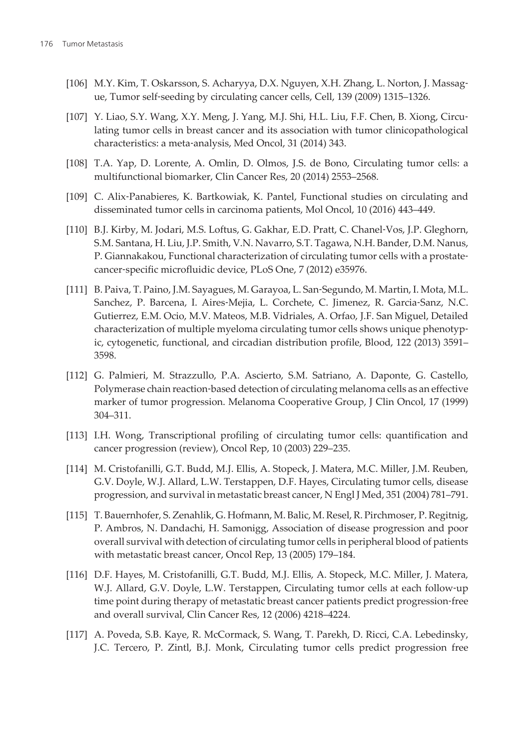- <span id="page-31-0"></span>[106] M.Y. Kim, T. Oskarsson, S. Acharyya, D.X. Nguyen, X.H. Zhang, L. Norton, J. Massag‐ ue, Tumor self‐seeding by circulating cancer cells, Cell, 139 (2009) 1315–1326.
- [107] Y. Liao, S.Y. Wang, X.Y. Meng, J. Yang, M.J. Shi, H.L. Liu, F.F. Chen, B. Xiong, Circulating tumor cells in breast cancer and its association with tumor clinicopathological characteristics: a meta‐analysis, Med Oncol, 31 (2014) 343.
- [108] T.A. Yap, D. Lorente, A. Omlin, D. Olmos, J.S. de Bono, Circulating tumor cells: a multifunctional biomarker, Clin Cancer Res, 20 (2014) 2553–2568.
- [109] C. Alix‐Panabieres, K. Bartkowiak, K. Pantel, Functional studies on circulating and disseminated tumor cells in carcinoma patients, Mol Oncol, 10 (2016) 443–449.
- [110] B.J. Kirby, M. Jodari, M.S. Loftus, G. Gakhar, E.D. Pratt, C. Chanel‐Vos, J.P. Gleghorn, S.M. Santana, H. Liu, J.P. Smith, V.N. Navarro, S.T. Tagawa, N.H. Bander, D.M. Nanus, P. Giannakakou, Functional characterization of circulating tumor cells with a prostate‐ cancer‐specific microfluidic device, PLoS One, 7 (2012) e35976.
- [111] B. Paiva, T. Paino, J.M. Sayagues, M. Garayoa, L. San‐Segundo, M. Martin, I. Mota, M.L. Sanchez, P. Barcena, I. Aires‐Mejia, L. Corchete, C. Jimenez, R. Garcia‐Sanz, N.C. Gutierrez, E.M. Ocio, M.V. Mateos, M.B. Vidriales, A. Orfao, J.F. San Miguel, Detailed characterization of multiple myeloma circulating tumor cells shows unique phenotyp‐ ic, cytogenetic, functional, and circadian distribution profile, Blood, 122 (2013) 3591– 3598.
- [112] G. Palmieri, M. Strazzullo, P.A. Ascierto, S.M. Satriano, A. Daponte, G. Castello, Polymerase chain reaction‐based detection of circulating melanoma cells as an effective marker of tumor progression. Melanoma Cooperative Group, J Clin Oncol, 17 (1999) 304–311.
- [113] I.H. Wong, Transcriptional profiling of circulating tumor cells: quantification and cancer progression (review), Oncol Rep, 10 (2003) 229–235.
- [114] M. Cristofanilli, G.T. Budd, M.J. Ellis, A. Stopeck, J. Matera, M.C. Miller, J.M. Reuben, G.V. Doyle, W.J. Allard, L.W. Terstappen, D.F. Hayes, Circulating tumor cells, disease progression, and survival in metastatic breast cancer, N Engl J Med, 351 (2004) 781–791.
- [115] T. Bauernhofer, S. Zenahlik, G. Hofmann, M. Balic, M. Resel, R. Pirchmoser, P. Regitnig, P. Ambros, N. Dandachi, H. Samonigg, Association of disease progression and poor overall survival with detection of circulating tumor cells in peripheral blood of patients with metastatic breast cancer, Oncol Rep, 13 (2005) 179–184.
- [116] D.F. Hayes, M. Cristofanilli, G.T. Budd, M.J. Ellis, A. Stopeck, M.C. Miller, J. Matera, W.J. Allard, G.V. Doyle, L.W. Terstappen, Circulating tumor cells at each follow-up time point during therapy of metastatic breast cancer patients predict progression‐free and overall survival, Clin Cancer Res, 12 (2006) 4218–4224.
- [117] A. Poveda, S.B. Kaye, R. McCormack, S. Wang, T. Parekh, D. Ricci, C.A. Lebedinsky, J.C. Tercero, P. Zintl, B.J. Monk, Circulating tumor cells predict progression free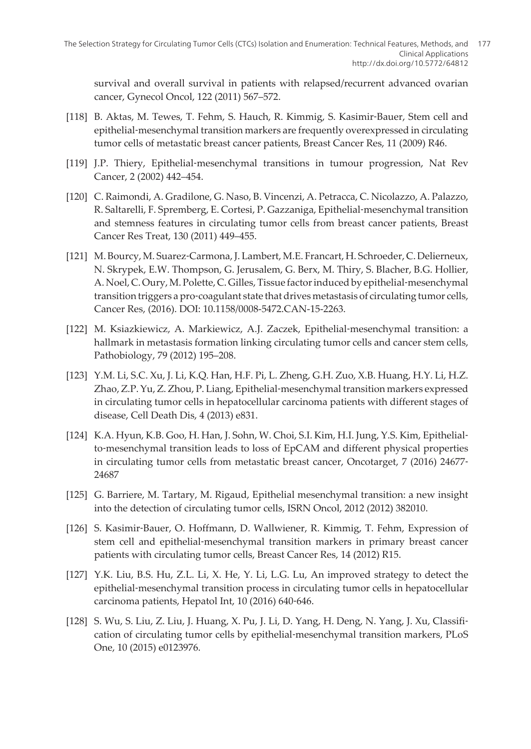<span id="page-32-0"></span>survival and overall survival in patients with relapsed/recurrent advanced ovarian cancer, Gynecol Oncol, 122 (2011) 567–572.

- [118] B. Aktas, M. Tewes, T. Fehm, S. Hauch, R. Kimmig, S. Kasimir‐Bauer, Stem cell and epithelial‐mesenchymal transition markers are frequently overexpressed in circulating tumor cells of metastatic breast cancer patients, Breast Cancer Res, 11 (2009) R46.
- [119] J.P. Thiery, Epithelial‐mesenchymal transitions in tumour progression, Nat Rev Cancer, 2 (2002) 442–454.
- [120] C. Raimondi, A. Gradilone, G. Naso, B. Vincenzi, A. Petracca, C. Nicolazzo, A. Palazzo, R. Saltarelli, F. Spremberg, E. Cortesi, P. Gazzaniga, Epithelial‐mesenchymal transition and stemness features in circulating tumor cells from breast cancer patients, Breast Cancer Res Treat, 130 (2011) 449–455.
- [121] M. Bourcy, M. Suarez‐Carmona, J. Lambert, M.E. Francart, H. Schroeder, C. Delierneux, N. Skrypek, E.W. Thompson, G. Jerusalem, G. Berx, M. Thiry, S. Blacher, B.G. Hollier, A. Noel, C. Oury, M. Polette, C. Gilles, Tissue factor induced by epithelial‐mesenchymal transition triggers a pro‐coagulant state that drives metastasis of circulating tumor cells, Cancer Res, (2016). DOI: 10.1158/0008-5472.CAN-15-2263.
- [122] M. Ksiazkiewicz, A. Markiewicz, A.J. Zaczek, Epithelial‐mesenchymal transition: a hallmark in metastasis formation linking circulating tumor cells and cancer stem cells, Pathobiology, 79 (2012) 195–208.
- [123] Y.M. Li, S.C. Xu, J. Li, K.Q. Han, H.F. Pi, L. Zheng, G.H. Zuo, X.B. Huang, H.Y. Li, H.Z. Zhao, Z.P. Yu, Z. Zhou, P. Liang, Epithelial‐mesenchymal transition markers expressed in circulating tumor cells in hepatocellular carcinoma patients with different stages of disease, Cell Death Dis, 4 (2013) e831.
- [124] K.A. Hyun, K.B. Goo, H. Han, J. Sohn, W. Choi, S.I. Kim, H.I. Jung, Y.S. Kim, Epithelial‐ to-mesenchymal transition leads to loss of EpCAM and different physical properties in circulating tumor cells from metastatic breast cancer, Oncotarget, 7 (2016) 24677‐ 24687
- [125] G. Barriere, M. Tartary, M. Rigaud, Epithelial mesenchymal transition: a new insight into the detection of circulating tumor cells, ISRN Oncol, 2012 (2012) 382010.
- [126] S. Kasimir‐Bauer, O. Hoffmann, D. Wallwiener, R. Kimmig, T. Fehm, Expression of stem cell and epithelial‐mesenchymal transition markers in primary breast cancer patients with circulating tumor cells, Breast Cancer Res, 14 (2012) R15.
- [127] Y.K. Liu, B.S. Hu, Z.L. Li, X. He, Y. Li, L.G. Lu, An improved strategy to detect the epithelial‐mesenchymal transition process in circulating tumor cells in hepatocellular carcinoma patients, Hepatol Int, 10 (2016) 640‐646.
- [128] S. Wu, S. Liu, Z. Liu, J. Huang, X. Pu, J. Li, D. Yang, H. Deng, N. Yang, J. Xu, Classifi‐ cation of circulating tumor cells by epithelial‐mesenchymal transition markers, PLoS One, 10 (2015) e0123976.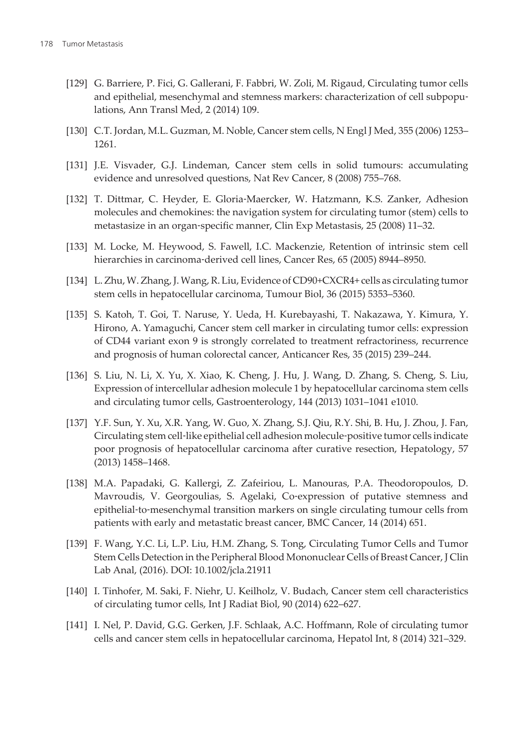- <span id="page-33-0"></span>[129] G. Barriere, P. Fici, G. Gallerani, F. Fabbri, W. Zoli, M. Rigaud, Circulating tumor cells and epithelial, mesenchymal and stemness markers: characterization of cell subpopulations, Ann Transl Med, 2 (2014) 109.
- [130] C.T. Jordan, M.L. Guzman, M. Noble, Cancer stem cells, N Engl J Med, 355 (2006) 1253– 1261.
- [131] J.E. Visvader, G.J. Lindeman, Cancer stem cells in solid tumours: accumulating evidence and unresolved questions, Nat Rev Cancer, 8 (2008) 755–768.
- [132] T. Dittmar, C. Heyder, E. Gloria‐Maercker, W. Hatzmann, K.S. Zanker, Adhesion molecules and chemokines: the navigation system for circulating tumor (stem) cells to metastasize in an organ‐specific manner, Clin Exp Metastasis, 25 (2008) 11–32.
- [133] M. Locke, M. Heywood, S. Fawell, I.C. Mackenzie, Retention of intrinsic stem cell hierarchies in carcinoma-derived cell lines, Cancer Res, 65 (2005) 8944–8950.
- [134] L. Zhu, W. Zhang, J. Wang, R. Liu, Evidence of CD90+CXCR4+ cells as circulating tumor stem cells in hepatocellular carcinoma, Tumour Biol, 36 (2015) 5353–5360.
- [135] S. Katoh, T. Goi, T. Naruse, Y. Ueda, H. Kurebayashi, T. Nakazawa, Y. Kimura, Y. Hirono, A. Yamaguchi, Cancer stem cell marker in circulating tumor cells: expression of CD44 variant exon 9 is strongly correlated to treatment refractoriness, recurrence and prognosis of human colorectal cancer, Anticancer Res, 35 (2015) 239–244.
- [136] S. Liu, N. Li, X. Yu, X. Xiao, K. Cheng, J. Hu, J. Wang, D. Zhang, S. Cheng, S. Liu, Expression of intercellular adhesion molecule 1 by hepatocellular carcinoma stem cells and circulating tumor cells, Gastroenterology, 144 (2013) 1031–1041 e1010.
- [137] Y.F. Sun, Y. Xu, X.R. Yang, W. Guo, X. Zhang, S.J. Qiu, R.Y. Shi, B. Hu, J. Zhou, J. Fan, Circulating stem cell‐like epithelial cell adhesion molecule‐positive tumor cells indicate poor prognosis of hepatocellular carcinoma after curative resection, Hepatology, 57 (2013) 1458–1468.
- [138] M.A. Papadaki, G. Kallergi, Z. Zafeiriou, L. Manouras, P.A. Theodoropoulos, D. Mavroudis, V. Georgoulias, S. Agelaki, Co‐expression of putative stemness and epithelial‐to‐mesenchymal transition markers on single circulating tumour cells from patients with early and metastatic breast cancer, BMC Cancer, 14 (2014) 651.
- [139] F. Wang, Y.C. Li, L.P. Liu, H.M. Zhang, S. Tong, Circulating Tumor Cells and Tumor Stem Cells Detection in the Peripheral Blood Mononuclear Cells of Breast Cancer, J Clin Lab Anal, (2016). DOI: 10.1002/jcla.21911
- [140] I. Tinhofer, M. Saki, F. Niehr, U. Keilholz, V. Budach, Cancer stem cell characteristics of circulating tumor cells, Int J Radiat Biol, 90 (2014) 622–627.
- [141] I. Nel, P. David, G.G. Gerken, J.F. Schlaak, A.C. Hoffmann, Role of circulating tumor cells and cancer stem cells in hepatocellular carcinoma, Hepatol Int, 8 (2014) 321–329.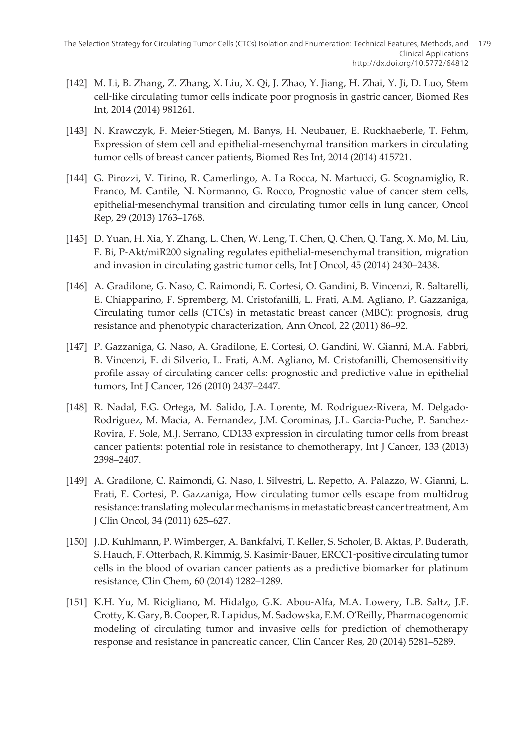- <span id="page-34-0"></span>[142] M. Li, B. Zhang, Z. Zhang, X. Liu, X. Qi, J. Zhao, Y. Jiang, H. Zhai, Y. Ji, D. Luo, Stem cell‐like circulating tumor cells indicate poor prognosis in gastric cancer, Biomed Res Int, 2014 (2014) 981261.
- [143] N. Krawczyk, F. Meier‐Stiegen, M. Banys, H. Neubauer, E. Ruckhaeberle, T. Fehm, Expression of stem cell and epithelial‐mesenchymal transition markers in circulating tumor cells of breast cancer patients, Biomed Res Int, 2014 (2014) 415721.
- [144] G. Pirozzi, V. Tirino, R. Camerlingo, A. La Rocca, N. Martucci, G. Scognamiglio, R. Franco, M. Cantile, N. Normanno, G. Rocco, Prognostic value of cancer stem cells, epithelial‐mesenchymal transition and circulating tumor cells in lung cancer, Oncol Rep, 29 (2013) 1763–1768.
- [145] D. Yuan, H. Xia, Y. Zhang, L. Chen, W. Leng, T. Chen, Q. Chen, Q. Tang, X. Mo, M. Liu, F. Bi, P‐Akt/miR200 signaling regulates epithelial‐mesenchymal transition, migration and invasion in circulating gastric tumor cells, Int J Oncol, 45 (2014) 2430–2438.
- [146] A. Gradilone, G. Naso, C. Raimondi, E. Cortesi, O. Gandini, B. Vincenzi, R. Saltarelli, E. Chiapparino, F. Spremberg, M. Cristofanilli, L. Frati, A.M. Agliano, P. Gazzaniga, Circulating tumor cells (CTCs) in metastatic breast cancer (MBC): prognosis, drug resistance and phenotypic characterization, Ann Oncol, 22 (2011) 86–92.
- [147] P. Gazzaniga, G. Naso, A. Gradilone, E. Cortesi, O. Gandini, W. Gianni, M.A. Fabbri, B. Vincenzi, F. di Silverio, L. Frati, A.M. Agliano, M. Cristofanilli, Chemosensitivity profile assay of circulating cancer cells: prognostic and predictive value in epithelial tumors, Int J Cancer, 126 (2010) 2437–2447.
- [148] R. Nadal, F.G. Ortega, M. Salido, J.A. Lorente, M. Rodriguez-Rivera, M. Delgado-Rodriguez, M. Macia, A. Fernandez, J.M. Corominas, J.L. Garcia‐Puche, P. Sanchez‐ Rovira, F. Sole, M.J. Serrano, CD133 expression in circulating tumor cells from breast cancer patients: potential role in resistance to chemotherapy, Int J Cancer, 133 (2013) 2398–2407.
- [149] A. Gradilone, C. Raimondi, G. Naso, I. Silvestri, L. Repetto, A. Palazzo, W. Gianni, L. Frati, E. Cortesi, P. Gazzaniga, How circulating tumor cells escape from multidrug resistance: translating molecular mechanisms in metastatic breast cancer treatment, Am J Clin Oncol, 34 (2011) 625–627.
- [150] J.D. Kuhlmann, P. Wimberger, A. Bankfalvi, T. Keller, S. Scholer, B. Aktas, P. Buderath, S. Hauch, F. Otterbach, R. Kimmig, S. Kasimir‐Bauer, ERCC1‐positive circulating tumor cells in the blood of ovarian cancer patients as a predictive biomarker for platinum resistance, Clin Chem, 60 (2014) 1282–1289.
- [151] K.H. Yu, M. Ricigliano, M. Hidalgo, G.K. Abou‐Alfa, M.A. Lowery, L.B. Saltz, J.F. Crotty, K. Gary, B. Cooper, R. Lapidus, M. Sadowska, E.M. O'Reilly, Pharmacogenomic modeling of circulating tumor and invasive cells for prediction of chemotherapy response and resistance in pancreatic cancer, Clin Cancer Res, 20 (2014) 5281–5289.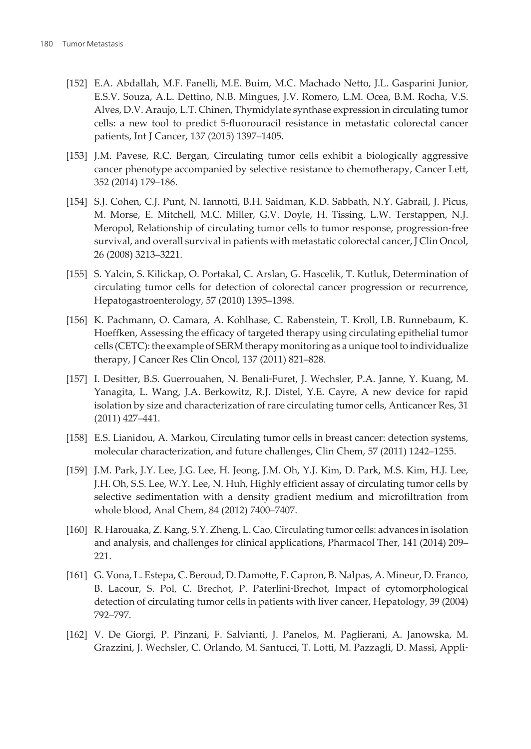- <span id="page-35-0"></span>[152] E.A. Abdallah, M.F. Fanelli, M.E. Buim, M.C. Machado Netto, J.L. Gasparini Junior, E.S.V. Souza, A.L. Dettino, N.B. Mingues, J.V. Romero, L.M. Ocea, B.M. Rocha, V.S. Alves, D.V. Araujo, L.T. Chinen, Thymidylate synthase expression in circulating tumor cells: a new tool to predict 5‐fluorouracil resistance in metastatic colorectal cancer patients, Int J Cancer, 137 (2015) 1397–1405.
- [153] J.M. Pavese, R.C. Bergan, Circulating tumor cells exhibit a biologically aggressive cancer phenotype accompanied by selective resistance to chemotherapy, Cancer Lett, 352 (2014) 179–186.
- [154] S.J. Cohen, C.J. Punt, N. Iannotti, B.H. Saidman, K.D. Sabbath, N.Y. Gabrail, J. Picus, M. Morse, E. Mitchell, M.C. Miller, G.V. Doyle, H. Tissing, L.W. Terstappen, N.J. Meropol, Relationship of circulating tumor cells to tumor response, progression‐free survival, and overall survival in patients with metastatic colorectal cancer, J Clin Oncol, 26 (2008) 3213–3221.
- [155] S. Yalcin, S. Kilickap, O. Portakal, C. Arslan, G. Hascelik, T. Kutluk, Determination of circulating tumor cells for detection of colorectal cancer progression or recurrence, Hepatogastroenterology, 57 (2010) 1395–1398.
- [156] K. Pachmann, O. Camara, A. Kohlhase, C. Rabenstein, T. Kroll, I.B. Runnebaum, K. Hoeffken, Assessing the efficacy of targeted therapy using circulating epithelial tumor cells (CETC): the example of SERM therapy monitoring as a unique tool to individualize therapy, J Cancer Res Clin Oncol, 137 (2011) 821–828.
- [157] I. Desitter, B.S. Guerrouahen, N. Benali‐Furet, J. Wechsler, P.A. Janne, Y. Kuang, M. Yanagita, L. Wang, J.A. Berkowitz, R.J. Distel, Y.E. Cayre, A new device for rapid isolation by size and characterization of rare circulating tumor cells, Anticancer Res, 31 (2011) 427–441.
- [158] E.S. Lianidou, A. Markou, Circulating tumor cells in breast cancer: detection systems, molecular characterization, and future challenges, Clin Chem, 57 (2011) 1242–1255.
- [159] J.M. Park, J.Y. Lee, J.G. Lee, H. Jeong, J.M. Oh, Y.J. Kim, D. Park, M.S. Kim, H.J. Lee, J.H. Oh, S.S. Lee, W.Y. Lee, N. Huh, Highly efficient assay of circulating tumor cells by selective sedimentation with a density gradient medium and microfiltration from whole blood, Anal Chem, 84 (2012) 7400–7407.
- [160] R. Harouaka, Z. Kang, S.Y. Zheng, L. Cao, Circulating tumor cells: advances in isolation and analysis, and challenges for clinical applications, Pharmacol Ther, 141 (2014) 209– 221.
- [161] G. Vona, L. Estepa, C. Beroud, D. Damotte, F. Capron, B. Nalpas, A. Mineur, D. Franco, B. Lacour, S. Pol, C. Brechot, P. Paterlini‐Brechot, Impact of cytomorphological detection of circulating tumor cells in patients with liver cancer, Hepatology, 39 (2004) 792–797.
- [162] V. De Giorgi, P. Pinzani, F. Salvianti, J. Panelos, M. Paglierani, A. Janowska, M. Grazzini, J. Wechsler, C. Orlando, M. Santucci, T. Lotti, M. Pazzagli, D. Massi, Appli‐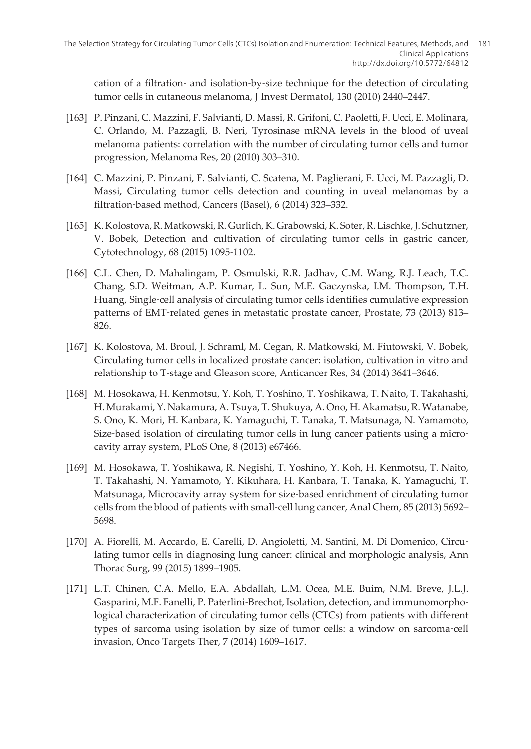<span id="page-36-0"></span>cation of a filtration‐ and isolation‐by‐size technique for the detection of circulating tumor cells in cutaneous melanoma, J Invest Dermatol, 130 (2010) 2440–2447.

- [163] P. Pinzani, C. Mazzini, F. Salvianti, D. Massi, R. Grifoni, C. Paoletti, F. Ucci, E. Molinara, C. Orlando, M. Pazzagli, B. Neri, Tyrosinase mRNA levels in the blood of uveal melanoma patients: correlation with the number of circulating tumor cells and tumor progression, Melanoma Res, 20 (2010) 303–310.
- [164] C. Mazzini, P. Pinzani, F. Salvianti, C. Scatena, M. Paglierani, F. Ucci, M. Pazzagli, D. Massi, Circulating tumor cells detection and counting in uveal melanomas by a filtration‐based method, Cancers (Basel), 6 (2014) 323–332.
- [165] K. Kolostova, R. Matkowski, R. Gurlich, K. Grabowski, K. Soter, R. Lischke, J. Schutzner, V. Bobek, Detection and cultivation of circulating tumor cells in gastric cancer, Cytotechnology, 68 (2015) 1095‐1102.
- [166] C.L. Chen, D. Mahalingam, P. Osmulski, R.R. Jadhav, C.M. Wang, R.J. Leach, T.C. Chang, S.D. Weitman, A.P. Kumar, L. Sun, M.E. Gaczynska, I.M. Thompson, T.H. Huang, Single‐cell analysis of circulating tumor cells identifies cumulative expression patterns of EMT‐related genes in metastatic prostate cancer, Prostate, 73 (2013) 813– 826.
- [167] K. Kolostova, M. Broul, J. Schraml, M. Cegan, R. Matkowski, M. Fiutowski, V. Bobek, Circulating tumor cells in localized prostate cancer: isolation, cultivation in vitro and relationship to T‐stage and Gleason score, Anticancer Res, 34 (2014) 3641–3646.
- [168] M. Hosokawa, H. Kenmotsu, Y. Koh, T. Yoshino, T. Yoshikawa, T. Naito, T. Takahashi, H. Murakami, Y. Nakamura, A. Tsuya, T. Shukuya, A. Ono, H. Akamatsu, R. Watanabe, S. Ono, K. Mori, H. Kanbara, K. Yamaguchi, T. Tanaka, T. Matsunaga, N. Yamamoto, Size-based isolation of circulating tumor cells in lung cancer patients using a microcavity array system, PLoS One, 8 (2013) e67466.
- [169] M. Hosokawa, T. Yoshikawa, R. Negishi, T. Yoshino, Y. Koh, H. Kenmotsu, T. Naito, T. Takahashi, N. Yamamoto, Y. Kikuhara, H. Kanbara, T. Tanaka, K. Yamaguchi, T. Matsunaga, Microcavity array system for size‐based enrichment of circulating tumor cells from the blood of patients with small‐cell lung cancer, Anal Chem, 85 (2013) 5692– 5698.
- [170] A. Fiorelli, M. Accardo, E. Carelli, D. Angioletti, M. Santini, M. Di Domenico, Circu‐ lating tumor cells in diagnosing lung cancer: clinical and morphologic analysis, Ann Thorac Surg, 99 (2015) 1899–1905.
- [171] L.T. Chinen, C.A. Mello, E.A. Abdallah, L.M. Ocea, M.E. Buim, N.M. Breve, J.L.J. Gasparini, M.F. Fanelli, P. Paterlini‐Brechot, Isolation, detection, and immunomorpho‐ logical characterization of circulating tumor cells (CTCs) from patients with different types of sarcoma using isolation by size of tumor cells: a window on sarcoma‐cell invasion, Onco Targets Ther, 7 (2014) 1609–1617.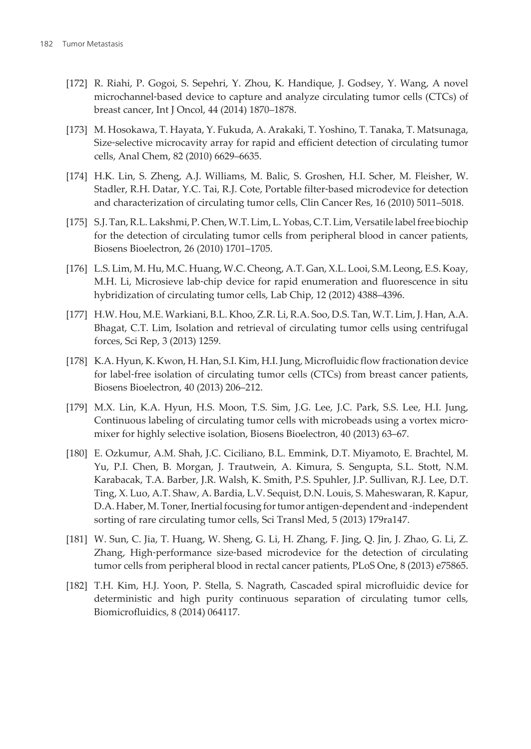- <span id="page-37-0"></span>[172] R. Riahi, P. Gogoi, S. Sepehri, Y. Zhou, K. Handique, J. Godsey, Y. Wang, A novel microchannel‐based device to capture and analyze circulating tumor cells (CTCs) of breast cancer, Int J Oncol, 44 (2014) 1870–1878.
- [173] M. Hosokawa, T. Hayata, Y. Fukuda, A. Arakaki, T. Yoshino, T. Tanaka, T. Matsunaga, Size-selective microcavity array for rapid and efficient detection of circulating tumor cells, Anal Chem, 82 (2010) 6629–6635.
- [174] H.K. Lin, S. Zheng, A.J. Williams, M. Balic, S. Groshen, H.I. Scher, M. Fleisher, W. Stadler, R.H. Datar, Y.C. Tai, R.J. Cote, Portable filter-based microdevice for detection and characterization of circulating tumor cells, Clin Cancer Res, 16 (2010) 5011–5018.
- [175] S.J. Tan, R.L. Lakshmi, P. Chen, W.T. Lim, L. Yobas, C.T. Lim, Versatile label free biochip for the detection of circulating tumor cells from peripheral blood in cancer patients, Biosens Bioelectron, 26 (2010) 1701–1705.
- [176] L.S. Lim, M. Hu, M.C. Huang, W.C. Cheong, A.T. Gan, X.L. Looi, S.M. Leong, E.S. Koay, M.H. Li, Microsieve lab‐chip device for rapid enumeration and fluorescence in situ hybridization of circulating tumor cells, Lab Chip, 12 (2012) 4388–4396.
- [177] H.W. Hou, M.E. Warkiani, B.L. Khoo, Z.R. Li, R.A. Soo, D.S. Tan, W.T. Lim, J. Han, A.A. Bhagat, C.T. Lim, Isolation and retrieval of circulating tumor cells using centrifugal forces, Sci Rep, 3 (2013) 1259.
- [178] K.A. Hyun, K. Kwon, H. Han, S.I. Kim, H.I. Jung, Microfluidic flow fractionation device for label-free isolation of circulating tumor cells (CTCs) from breast cancer patients, Biosens Bioelectron, 40 (2013) 206–212.
- [179] M.X. Lin, K.A. Hyun, H.S. Moon, T.S. Sim, J.G. Lee, J.C. Park, S.S. Lee, H.I. Jung, Continuous labeling of circulating tumor cells with microbeads using a vortex micro‐ mixer for highly selective isolation, Biosens Bioelectron, 40 (2013) 63–67.
- [180] E. Ozkumur, A.M. Shah, J.C. Ciciliano, B.L. Emmink, D.T. Miyamoto, E. Brachtel, M. Yu, P.I. Chen, B. Morgan, J. Trautwein, A. Kimura, S. Sengupta, S.L. Stott, N.M. Karabacak, T.A. Barber, J.R. Walsh, K. Smith, P.S. Spuhler, J.P. Sullivan, R.J. Lee, D.T. Ting, X. Luo, A.T. Shaw, A. Bardia, L.V. Sequist, D.N. Louis, S. Maheswaran, R. Kapur, D.A. Haber, M. Toner, Inertial focusing for tumor antigen‐dependent and ‐independent sorting of rare circulating tumor cells, Sci Transl Med, 5 (2013) 179ra147.
- [181] W. Sun, C. Jia, T. Huang, W. Sheng, G. Li, H. Zhang, F. Jing, Q. Jin, J. Zhao, G. Li, Z. Zhang, High-performance size-based microdevice for the detection of circulating tumor cells from peripheral blood in rectal cancer patients, PLoS One, 8 (2013) e75865.
- [182] T.H. Kim, H.J. Yoon, P. Stella, S. Nagrath, Cascaded spiral microfluidic device for deterministic and high purity continuous separation of circulating tumor cells, Biomicrofluidics, 8 (2014) 064117.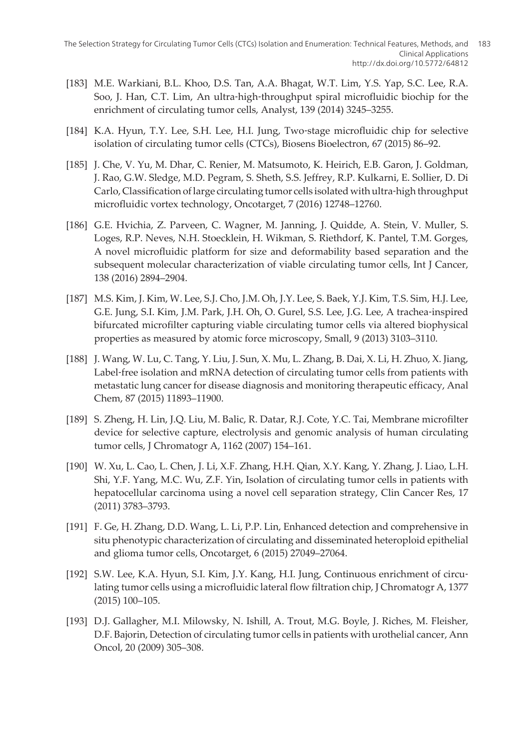- <span id="page-38-0"></span>[183] M.E. Warkiani, B.L. Khoo, D.S. Tan, A.A. Bhagat, W.T. Lim, Y.S. Yap, S.C. Lee, R.A. Soo, J. Han, C.T. Lim, An ultra‐high‐throughput spiral microfluidic biochip for the enrichment of circulating tumor cells, Analyst, 139 (2014) 3245–3255.
- [184] K.A. Hyun, T.Y. Lee, S.H. Lee, H.I. Jung, Two-stage microfluidic chip for selective isolation of circulating tumor cells (CTCs), Biosens Bioelectron, 67 (2015) 86–92.
- [185] J. Che, V. Yu, M. Dhar, C. Renier, M. Matsumoto, K. Heirich, E.B. Garon, J. Goldman, J. Rao, G.W. Sledge, M.D. Pegram, S. Sheth, S.S. Jeffrey, R.P. Kulkarni, E. Sollier, D. Di Carlo, Classification of large circulating tumor cells isolated with ultra‐high throughput microfluidic vortex technology, Oncotarget, 7 (2016) 12748–12760.
- [186] G.E. Hvichia, Z. Parveen, C. Wagner, M. Janning, J. Quidde, A. Stein, V. Muller, S. Loges, R.P. Neves, N.H. Stoecklein, H. Wikman, S. Riethdorf, K. Pantel, T.M. Gorges, A novel microfluidic platform for size and deformability based separation and the subsequent molecular characterization of viable circulating tumor cells, Int J Cancer, 138 (2016) 2894–2904.
- [187] M.S. Kim, J. Kim, W. Lee, S.J. Cho, J.M. Oh, J.Y. Lee, S. Baek, Y.J. Kim, T.S. Sim, H.J. Lee, G.E. Jung, S.I. Kim, J.M. Park, J.H. Oh, O. Gurel, S.S. Lee, J.G. Lee, A trachea‐inspired bifurcated microfilter capturing viable circulating tumor cells via altered biophysical properties as measured by atomic force microscopy, Small, 9 (2013) 3103–3110.
- [188] J. Wang, W. Lu, C. Tang, Y. Liu, J. Sun, X. Mu, L. Zhang, B. Dai, X. Li, H. Zhuo, X. Jiang, Label‐free isolation and mRNA detection of circulating tumor cells from patients with metastatic lung cancer for disease diagnosis and monitoring therapeutic efficacy, Anal Chem, 87 (2015) 11893–11900.
- [189] S. Zheng, H. Lin, J.Q. Liu, M. Balic, R. Datar, R.J. Cote, Y.C. Tai, Membrane microfilter device for selective capture, electrolysis and genomic analysis of human circulating tumor cells, J Chromatogr A, 1162 (2007) 154–161.
- [190] W. Xu, L. Cao, L. Chen, J. Li, X.F. Zhang, H.H. Qian, X.Y. Kang, Y. Zhang, J. Liao, L.H. Shi, Y.F. Yang, M.C. Wu, Z.F. Yin, Isolation of circulating tumor cells in patients with hepatocellular carcinoma using a novel cell separation strategy, Clin Cancer Res, 17 (2011) 3783–3793.
- [191] F. Ge, H. Zhang, D.D. Wang, L. Li, P.P. Lin, Enhanced detection and comprehensive in situ phenotypic characterization of circulating and disseminated heteroploid epithelial and glioma tumor cells, Oncotarget, 6 (2015) 27049–27064.
- [192] S.W. Lee, K.A. Hyun, S.I. Kim, J.Y. Kang, H.I. Jung, Continuous enrichment of circulating tumor cells using a microfluidic lateral flow filtration chip, J Chromatogr A, 1377 (2015) 100–105.
- [193] D.J. Gallagher, M.I. Milowsky, N. Ishill, A. Trout, M.G. Boyle, J. Riches, M. Fleisher, D.F. Bajorin, Detection of circulating tumor cells in patients with urothelial cancer, Ann Oncol, 20 (2009) 305–308.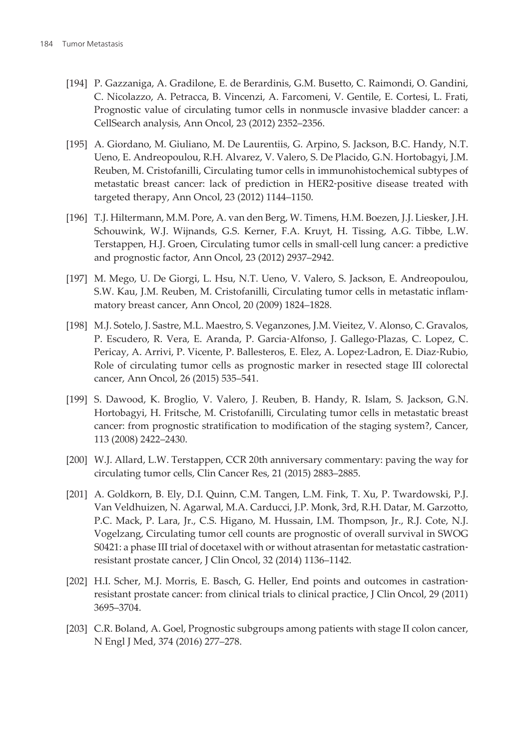- <span id="page-39-0"></span>[194] P. Gazzaniga, A. Gradilone, E. de Berardinis, G.M. Busetto, C. Raimondi, O. Gandini, C. Nicolazzo, A. Petracca, B. Vincenzi, A. Farcomeni, V. Gentile, E. Cortesi, L. Frati, Prognostic value of circulating tumor cells in nonmuscle invasive bladder cancer: a CellSearch analysis, Ann Oncol, 23 (2012) 2352–2356.
- [195] A. Giordano, M. Giuliano, M. De Laurentiis, G. Arpino, S. Jackson, B.C. Handy, N.T. Ueno, E. Andreopoulou, R.H. Alvarez, V. Valero, S. De Placido, G.N. Hortobagyi, J.M. Reuben, M. Cristofanilli, Circulating tumor cells in immunohistochemical subtypes of metastatic breast cancer: lack of prediction in HER2‐positive disease treated with targeted therapy, Ann Oncol, 23 (2012) 1144–1150.
- [196] T.J. Hiltermann, M.M. Pore, A. van den Berg, W. Timens, H.M. Boezen, J.J. Liesker, J.H. Schouwink, W.J. Wijnands, G.S. Kerner, F.A. Kruyt, H. Tissing, A.G. Tibbe, L.W. Terstappen, H.J. Groen, Circulating tumor cells in small‐cell lung cancer: a predictive and prognostic factor, Ann Oncol, 23 (2012) 2937–2942.
- [197] M. Mego, U. De Giorgi, L. Hsu, N.T. Ueno, V. Valero, S. Jackson, E. Andreopoulou, S.W. Kau, J.M. Reuben, M. Cristofanilli, Circulating tumor cells in metastatic inflam‐ matory breast cancer, Ann Oncol, 20 (2009) 1824–1828.
- [198] M.J. Sotelo, J. Sastre, M.L. Maestro, S. Veganzones, J.M. Vieitez, V. Alonso, C. Gravalos, P. Escudero, R. Vera, E. Aranda, P. Garcia‐Alfonso, J. Gallego‐Plazas, C. Lopez, C. Pericay, A. Arrivi, P. Vicente, P. Ballesteros, E. Elez, A. Lopez‐Ladron, E. Diaz‐Rubio, Role of circulating tumor cells as prognostic marker in resected stage III colorectal cancer, Ann Oncol, 26 (2015) 535–541.
- [199] S. Dawood, K. Broglio, V. Valero, J. Reuben, B. Handy, R. Islam, S. Jackson, G.N. Hortobagyi, H. Fritsche, M. Cristofanilli, Circulating tumor cells in metastatic breast cancer: from prognostic stratification to modification of the staging system?, Cancer, 113 (2008) 2422–2430.
- [200] W.J. Allard, L.W. Terstappen, CCR 20th anniversary commentary: paving the way for circulating tumor cells, Clin Cancer Res, 21 (2015) 2883–2885.
- [201] A. Goldkorn, B. Ely, D.I. Quinn, C.M. Tangen, L.M. Fink, T. Xu, P. Twardowski, P.J. Van Veldhuizen, N. Agarwal, M.A. Carducci, J.P. Monk, 3rd, R.H. Datar, M. Garzotto, P.C. Mack, P. Lara, Jr., C.S. Higano, M. Hussain, I.M. Thompson, Jr., R.J. Cote, N.J. Vogelzang, Circulating tumor cell counts are prognostic of overall survival in SWOG S0421: a phase III trial of docetaxel with or without atrasentan for metastatic castration‐ resistant prostate cancer, J Clin Oncol, 32 (2014) 1136–1142.
- [202] H.I. Scher, M.J. Morris, E. Basch, G. Heller, End points and outcomes in castrationresistant prostate cancer: from clinical trials to clinical practice, J Clin Oncol, 29 (2011) 3695–3704.
- [203] C.R. Boland, A. Goel, Prognostic subgroups among patients with stage II colon cancer, N Engl J Med, 374 (2016) 277–278.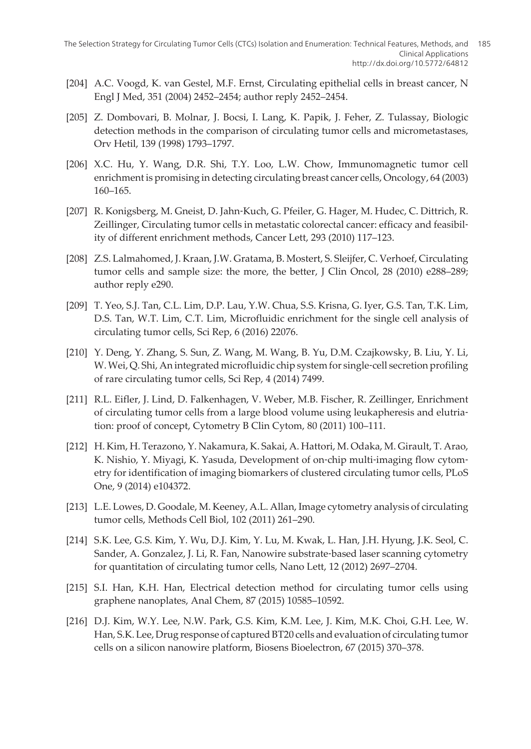- <span id="page-40-0"></span>[204] A.C. Voogd, K. van Gestel, M.F. Ernst, Circulating epithelial cells in breast cancer, N Engl J Med, 351 (2004) 2452–2454; author reply 2452–2454.
- [205] Z. Dombovari, B. Molnar, J. Bocsi, I. Lang, K. Papik, J. Feher, Z. Tulassay, Biologic detection methods in the comparison of circulating tumor cells and micrometastases, Orv Hetil, 139 (1998) 1793–1797.
- [206] X.C. Hu, Y. Wang, D.R. Shi, T.Y. Loo, L.W. Chow, Immunomagnetic tumor cell enrichment is promising in detecting circulating breast cancer cells, Oncology, 64 (2003) 160–165.
- [207] R. Konigsberg, M. Gneist, D. Jahn-Kuch, G. Pfeiler, G. Hager, M. Hudec, C. Dittrich, R. Zeillinger, Circulating tumor cells in metastatic colorectal cancer: efficacy and feasibil‐ ity of different enrichment methods, Cancer Lett, 293 (2010) 117–123.
- [208] Z.S. Lalmahomed, J. Kraan, J.W. Gratama, B. Mostert, S. Sleijfer, C. Verhoef, Circulating tumor cells and sample size: the more, the better, J Clin Oncol, 28 (2010) e288–289; author reply e290.
- [209] T. Yeo, S.J. Tan, C.L. Lim, D.P. Lau, Y.W. Chua, S.S. Krisna, G. Iyer, G.S. Tan, T.K. Lim, D.S. Tan, W.T. Lim, C.T. Lim, Microfluidic enrichment for the single cell analysis of circulating tumor cells, Sci Rep, 6 (2016) 22076.
- [210] Y. Deng, Y. Zhang, S. Sun, Z. Wang, M. Wang, B. Yu, D.M. Czajkowsky, B. Liu, Y. Li, W. Wei, Q. Shi, An integrated microfluidic chip system for single-cell secretion profiling of rare circulating tumor cells, Sci Rep, 4 (2014) 7499.
- [211] R.L. Eifler, J. Lind, D. Falkenhagen, V. Weber, M.B. Fischer, R. Zeillinger, Enrichment of circulating tumor cells from a large blood volume using leukapheresis and elutria‐ tion: proof of concept, Cytometry B Clin Cytom, 80 (2011) 100–111.
- [212] H. Kim, H. Terazono, Y. Nakamura, K. Sakai, A. Hattori, M. Odaka, M. Girault, T. Arao, K. Nishio, Y. Miyagi, K. Yasuda, Development of on-chip multi-imaging flow cytometry for identification of imaging biomarkers of clustered circulating tumor cells, PLoS One, 9 (2014) e104372.
- [213] L.E. Lowes, D. Goodale, M. Keeney, A.L. Allan, Image cytometry analysis of circulating tumor cells, Methods Cell Biol, 102 (2011) 261–290.
- [214] S.K. Lee, G.S. Kim, Y. Wu, D.J. Kim, Y. Lu, M. Kwak, L. Han, J.H. Hyung, J.K. Seol, C. Sander, A. Gonzalez, J. Li, R. Fan, Nanowire substrate‐based laser scanning cytometry for quantitation of circulating tumor cells, Nano Lett, 12 (2012) 2697–2704.
- [215] S.I. Han, K.H. Han, Electrical detection method for circulating tumor cells using graphene nanoplates, Anal Chem, 87 (2015) 10585–10592.
- [216] D.J. Kim, W.Y. Lee, N.W. Park, G.S. Kim, K.M. Lee, J. Kim, M.K. Choi, G.H. Lee, W. Han, S.K. Lee, Drug response of captured BT20 cells and evaluation of circulating tumor cells on a silicon nanowire platform, Biosens Bioelectron, 67 (2015) 370–378.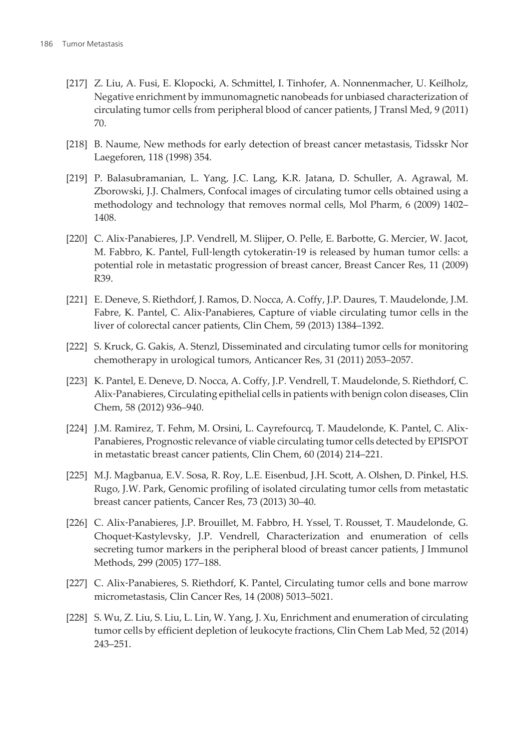- <span id="page-41-0"></span>[217] Z. Liu, A. Fusi, E. Klopocki, A. Schmittel, I. Tinhofer, A. Nonnenmacher, U. Keilholz, Negative enrichment by immunomagnetic nanobeads for unbiased characterization of circulating tumor cells from peripheral blood of cancer patients, J Transl Med, 9 (2011) 70.
- [218] B. Naume, New methods for early detection of breast cancer metastasis, Tidsskr Nor Laegeforen, 118 (1998) 354.
- [219] P. Balasubramanian, L. Yang, J.C. Lang, K.R. Jatana, D. Schuller, A. Agrawal, M. Zborowski, J.J. Chalmers, Confocal images of circulating tumor cells obtained using a methodology and technology that removes normal cells, Mol Pharm, 6 (2009) 1402– 1408.
- [220] C. Alix‐Panabieres, J.P. Vendrell, M. Slijper, O. Pelle, E. Barbotte, G. Mercier, W. Jacot, M. Fabbro, K. Pantel, Full‐length cytokeratin‐19 is released by human tumor cells: a potential role in metastatic progression of breast cancer, Breast Cancer Res, 11 (2009) R39.
- [221] E. Deneve, S. Riethdorf, J. Ramos, D. Nocca, A. Coffy, J.P. Daures, T. Maudelonde, J.M. Fabre, K. Pantel, C. Alix‐Panabieres, Capture of viable circulating tumor cells in the liver of colorectal cancer patients, Clin Chem, 59 (2013) 1384–1392.
- [222] S. Kruck, G. Gakis, A. Stenzl, Disseminated and circulating tumor cells for monitoring chemotherapy in urological tumors, Anticancer Res, 31 (2011) 2053–2057.
- [223] K. Pantel, E. Deneve, D. Nocca, A. Coffy, J.P. Vendrell, T. Maudelonde, S. Riethdorf, C. Alix‐Panabieres, Circulating epithelial cells in patients with benign colon diseases, Clin Chem, 58 (2012) 936–940.
- [224] J.M. Ramirez, T. Fehm, M. Orsini, L. Cayrefourcq, T. Maudelonde, K. Pantel, C. Alix‐ Panabieres, Prognostic relevance of viable circulating tumor cells detected by EPISPOT in metastatic breast cancer patients, Clin Chem, 60 (2014) 214–221.
- [225] M.J. Magbanua, E.V. Sosa, R. Roy, L.E. Eisenbud, J.H. Scott, A. Olshen, D. Pinkel, H.S. Rugo, J.W. Park, Genomic profiling of isolated circulating tumor cells from metastatic breast cancer patients, Cancer Res, 73 (2013) 30–40.
- [226] C. Alix‐Panabieres, J.P. Brouillet, M. Fabbro, H. Yssel, T. Rousset, T. Maudelonde, G. Choquet‐Kastylevsky, J.P. Vendrell, Characterization and enumeration of cells secreting tumor markers in the peripheral blood of breast cancer patients, J Immunol Methods, 299 (2005) 177–188.
- [227] C. Alix-Panabieres, S. Riethdorf, K. Pantel, Circulating tumor cells and bone marrow micrometastasis, Clin Cancer Res, 14 (2008) 5013–5021.
- [228] S. Wu, Z. Liu, S. Liu, L. Lin, W. Yang, J. Xu, Enrichment and enumeration of circulating tumor cells by efficient depletion of leukocyte fractions, Clin Chem Lab Med, 52 (2014) 243–251.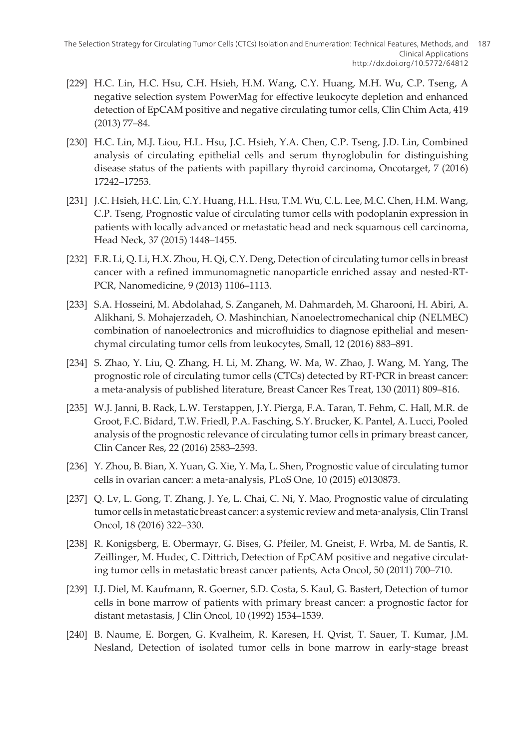- <span id="page-42-0"></span>[229] H.C. Lin, H.C. Hsu, C.H. Hsieh, H.M. Wang, C.Y. Huang, M.H. Wu, C.P. Tseng, A negative selection system PowerMag for effective leukocyte depletion and enhanced detection of EpCAM positive and negative circulating tumor cells, Clin Chim Acta, 419 (2013) 77–84.
- [230] H.C. Lin, M.J. Liou, H.L. Hsu, J.C. Hsieh, Y.A. Chen, C.P. Tseng, J.D. Lin, Combined analysis of circulating epithelial cells and serum thyroglobulin for distinguishing disease status of the patients with papillary thyroid carcinoma, Oncotarget, 7 (2016) 17242–17253.
- [231] J.C. Hsieh, H.C. Lin, C.Y. Huang, H.L. Hsu, T.M. Wu, C.L. Lee, M.C. Chen, H.M. Wang, C.P. Tseng, Prognostic value of circulating tumor cells with podoplanin expression in patients with locally advanced or metastatic head and neck squamous cell carcinoma, Head Neck, 37 (2015) 1448–1455.
- [232] F.R. Li, Q. Li, H.X. Zhou, H. Qi, C.Y. Deng, Detection of circulating tumor cells in breast cancer with a refined immunomagnetic nanoparticle enriched assay and nested‐RT‐ PCR, Nanomedicine, 9 (2013) 1106–1113.
- [233] S.A. Hosseini, M. Abdolahad, S. Zanganeh, M. Dahmardeh, M. Gharooni, H. Abiri, A. Alikhani, S. Mohajerzadeh, O. Mashinchian, Nanoelectromechanical chip (NELMEC) combination of nanoelectronics and microfluidics to diagnose epithelial and mesenchymal circulating tumor cells from leukocytes, Small, 12 (2016) 883–891.
- [234] S. Zhao, Y. Liu, Q. Zhang, H. Li, M. Zhang, W. Ma, W. Zhao, J. Wang, M. Yang, The prognostic role of circulating tumor cells (CTCs) detected by RT‐PCR in breast cancer: a meta‐analysis of published literature, Breast Cancer Res Treat, 130 (2011) 809–816.
- [235] W.J. Janni, B. Rack, L.W. Terstappen, J.Y. Pierga, F.A. Taran, T. Fehm, C. Hall, M.R. de Groot, F.C. Bidard, T.W. Friedl, P.A. Fasching, S.Y. Brucker, K. Pantel, A. Lucci, Pooled analysis of the prognostic relevance of circulating tumor cells in primary breast cancer, Clin Cancer Res, 22 (2016) 2583–2593.
- [236] Y. Zhou, B. Bian, X. Yuan, G. Xie, Y. Ma, L. Shen, Prognostic value of circulating tumor cells in ovarian cancer: a meta‐analysis, PLoS One, 10 (2015) e0130873.
- [237] Q. Lv, L. Gong, T. Zhang, J. Ye, L. Chai, C. Ni, Y. Mao, Prognostic value of circulating tumor cells in metastatic breast cancer: a systemic review and meta‐analysis, Clin Transl Oncol, 18 (2016) 322–330.
- [238] R. Konigsberg, E. Obermayr, G. Bises, G. Pfeiler, M. Gneist, F. Wrba, M. de Santis, R. Zeillinger, M. Hudec, C. Dittrich, Detection of EpCAM positive and negative circulating tumor cells in metastatic breast cancer patients, Acta Oncol, 50 (2011) 700–710.
- [239] I.J. Diel, M. Kaufmann, R. Goerner, S.D. Costa, S. Kaul, G. Bastert, Detection of tumor cells in bone marrow of patients with primary breast cancer: a prognostic factor for distant metastasis, J Clin Oncol, 10 (1992) 1534–1539.
- [240] B. Naume, E. Borgen, G. Kvalheim, R. Karesen, H. Qvist, T. Sauer, T. Kumar, J.M. Nesland, Detection of isolated tumor cells in bone marrow in early‐stage breast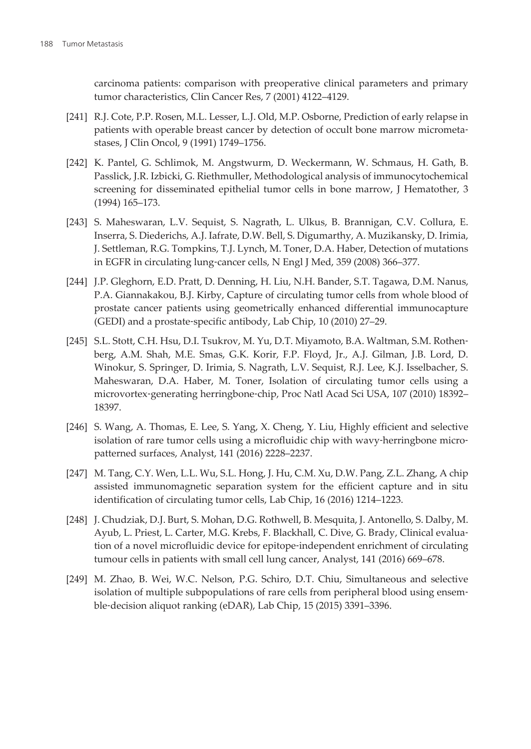<span id="page-43-0"></span>carcinoma patients: comparison with preoperative clinical parameters and primary tumor characteristics, Clin Cancer Res, 7 (2001) 4122–4129.

- [241] R.J. Cote, P.P. Rosen, M.L. Lesser, L.J. Old, M.P. Osborne, Prediction of early relapse in patients with operable breast cancer by detection of occult bone marrow micrometastases, J Clin Oncol, 9 (1991) 1749–1756.
- [242] K. Pantel, G. Schlimok, M. Angstwurm, D. Weckermann, W. Schmaus, H. Gath, B. Passlick, J.R. Izbicki, G. Riethmuller, Methodological analysis of immunocytochemical screening for disseminated epithelial tumor cells in bone marrow, J Hematother, 3 (1994) 165–173.
- [243] S. Maheswaran, L.V. Sequist, S. Nagrath, L. Ulkus, B. Brannigan, C.V. Collura, E. Inserra, S. Diederichs, A.J. Iafrate, D.W. Bell, S. Digumarthy, A. Muzikansky, D. Irimia, J. Settleman, R.G. Tompkins, T.J. Lynch, M. Toner, D.A. Haber, Detection of mutations in EGFR in circulating lung‐cancer cells, N Engl J Med, 359 (2008) 366–377.
- [244] J.P. Gleghorn, E.D. Pratt, D. Denning, H. Liu, N.H. Bander, S.T. Tagawa, D.M. Nanus, P.A. Giannakakou, B.J. Kirby, Capture of circulating tumor cells from whole blood of prostate cancer patients using geometrically enhanced differential immunocapture (GEDI) and a prostate‐specific antibody, Lab Chip, 10 (2010) 27–29.
- [245] S.L. Stott, C.H. Hsu, D.I. Tsukrov, M. Yu, D.T. Miyamoto, B.A. Waltman, S.M. Rothenberg, A.M. Shah, M.E. Smas, G.K. Korir, F.P. Floyd, Jr., A.J. Gilman, J.B. Lord, D. Winokur, S. Springer, D. Irimia, S. Nagrath, L.V. Sequist, R.J. Lee, K.J. Isselbacher, S. Maheswaran, D.A. Haber, M. Toner, Isolation of circulating tumor cells using a microvortex‐generating herringbone‐chip, Proc Natl Acad Sci USA, 107 (2010) 18392– 18397.
- [246] S. Wang, A. Thomas, E. Lee, S. Yang, X. Cheng, Y. Liu, Highly efficient and selective isolation of rare tumor cells using a microfluidic chip with wavy-herringbone micropatterned surfaces, Analyst, 141 (2016) 2228–2237.
- [247] M. Tang, C.Y. Wen, L.L. Wu, S.L. Hong, J. Hu, C.M. Xu, D.W. Pang, Z.L. Zhang, A chip assisted immunomagnetic separation system for the efficient capture and in situ identification of circulating tumor cells, Lab Chip, 16 (2016) 1214–1223.
- [248] J. Chudziak, D.J. Burt, S. Mohan, D.G. Rothwell, B. Mesquita, J. Antonello, S. Dalby, M. Ayub, L. Priest, L. Carter, M.G. Krebs, F. Blackhall, C. Dive, G. Brady, Clinical evalua‐ tion of a novel microfluidic device for epitope‐independent enrichment of circulating tumour cells in patients with small cell lung cancer, Analyst, 141 (2016) 669–678.
- [249] M. Zhao, B. Wei, W.C. Nelson, P.G. Schiro, D.T. Chiu, Simultaneous and selective isolation of multiple subpopulations of rare cells from peripheral blood using ensemble‐decision aliquot ranking (eDAR), Lab Chip, 15 (2015) 3391–3396.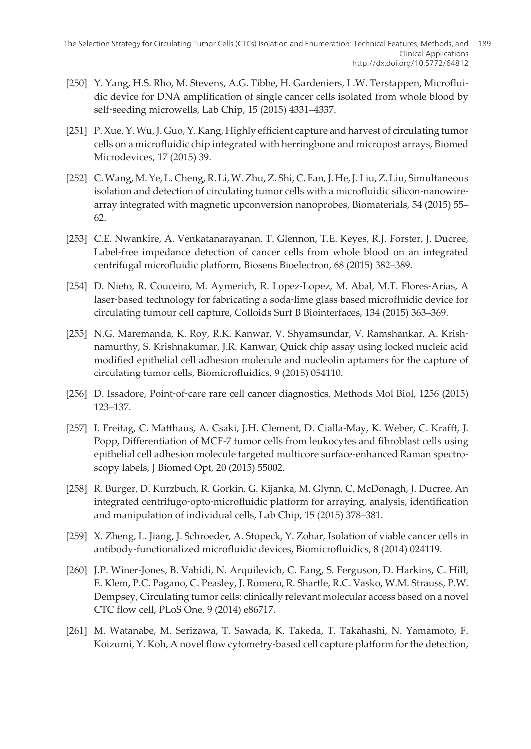- [250] Y. Yang, H.S. Rho, M. Stevens, A.G. Tibbe, H. Gardeniers, L.W. Terstappen, Microfluidic device for DNA amplification of single cancer cells isolated from whole blood by self‐seeding microwells, Lab Chip, 15 (2015) 4331–4337.
- [251] P. Xue, Y. Wu, J. Guo, Y. Kang, Highly efficient capture and harvest of circulating tumor cells on a microfluidic chip integrated with herringbone and micropost arrays, Biomed Microdevices, 17 (2015) 39.
- [252] C. Wang, M. Ye, L. Cheng, R. Li, W. Zhu, Z. Shi, C. Fan, J. He, J. Liu, Z. Liu, Simultaneous isolation and detection of circulating tumor cells with a microfluidic silicon-nanowirearray integrated with magnetic upconversion nanoprobes, Biomaterials, 54 (2015) 55– 62.
- [253] C.E. Nwankire, A. Venkatanarayanan, T. Glennon, T.E. Keyes, R.J. Forster, J. Ducree, Label‐free impedance detection of cancer cells from whole blood on an integrated centrifugal microfluidic platform, Biosens Bioelectron, 68 (2015) 382–389.
- [254] D. Nieto, R. Couceiro, M. Aymerich, R. Lopez‐Lopez, M. Abal, M.T. Flores‐Arias, A laser‐based technology for fabricating a soda‐lime glass based microfluidic device for circulating tumour cell capture, Colloids Surf B Biointerfaces, 134 (2015) 363–369.
- [255] N.G. Maremanda, K. Roy, R.K. Kanwar, V. Shyamsundar, V. Ramshankar, A. Krishnamurthy, S. Krishnakumar, J.R. Kanwar, Quick chip assay using locked nucleic acid modified epithelial cell adhesion molecule and nucleolin aptamers for the capture of circulating tumor cells, Biomicrofluidics, 9 (2015) 054110.
- [256] D. Issadore, Point-of-care rare cell cancer diagnostics, Methods Mol Biol, 1256 (2015) 123–137.
- [257] I. Freitag, C. Matthaus, A. Csaki, J.H. Clement, D. Cialla-May, K. Weber, C. Krafft, J. Popp, Differentiation of MCF‐7 tumor cells from leukocytes and fibroblast cells using epithelial cell adhesion molecule targeted multicore surface-enhanced Raman spectroscopy labels, J Biomed Opt, 20 (2015) 55002.
- [258] R. Burger, D. Kurzbuch, R. Gorkin, G. Kijanka, M. Glynn, C. McDonagh, J. Ducree, An integrated centrifugo‐opto‐microfluidic platform for arraying, analysis, identification and manipulation of individual cells, Lab Chip, 15 (2015) 378–381.
- [259] X. Zheng, L. Jiang, J. Schroeder, A. Stopeck, Y. Zohar, Isolation of viable cancer cells in antibody‐functionalized microfluidic devices, Biomicrofluidics, 8 (2014) 024119.
- [260] J.P. Winer-Jones, B. Vahidi, N. Arquilevich, C. Fang, S. Ferguson, D. Harkins, C. Hill, E. Klem, P.C. Pagano, C. Peasley, J. Romero, R. Shartle, R.C. Vasko, W.M. Strauss, P.W. Dempsey, Circulating tumor cells: clinically relevant molecular access based on a novel CTC flow cell, PLoS One, 9 (2014) e86717.
- [261] M. Watanabe, M. Serizawa, T. Sawada, K. Takeda, T. Takahashi, N. Yamamoto, F. Koizumi, Y. Koh, A novel flow cytometry‐based cell capture platform for the detection,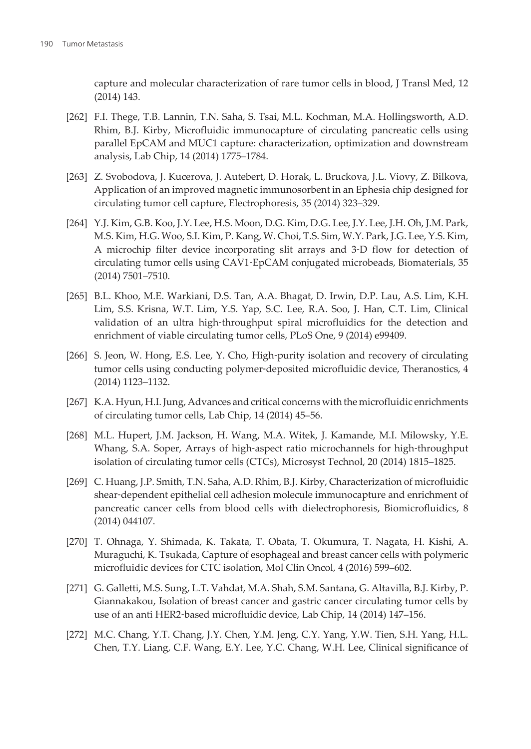<span id="page-45-0"></span>capture and molecular characterization of rare tumor cells in blood, J Transl Med, 12 (2014) 143.

- [262] F.I. Thege, T.B. Lannin, T.N. Saha, S. Tsai, M.L. Kochman, M.A. Hollingsworth, A.D. Rhim, B.J. Kirby, Microfluidic immunocapture of circulating pancreatic cells using parallel EpCAM and MUC1 capture: characterization, optimization and downstream analysis, Lab Chip, 14 (2014) 1775–1784.
- [263] Z. Svobodova, J. Kucerova, J. Autebert, D. Horak, L. Bruckova, J.L. Viovy, Z. Bilkova, Application of an improved magnetic immunosorbent in an Ephesia chip designed for circulating tumor cell capture, Electrophoresis, 35 (2014) 323–329.
- [264] Y.J. Kim, G.B. Koo, J.Y. Lee, H.S. Moon, D.G. Kim, D.G. Lee, J.Y. Lee, J.H. Oh, J.M. Park, M.S. Kim, H.G. Woo, S.I. Kim, P. Kang, W. Choi, T.S. Sim, W.Y. Park, J.G. Lee, Y.S. Kim, A microchip filter device incorporating slit arrays and 3‐D flow for detection of circulating tumor cells using CAV1‐EpCAM conjugated microbeads, Biomaterials, 35 (2014) 7501–7510.
- [265] B.L. Khoo, M.E. Warkiani, D.S. Tan, A.A. Bhagat, D. Irwin, D.P. Lau, A.S. Lim, K.H. Lim, S.S. Krisna, W.T. Lim, Y.S. Yap, S.C. Lee, R.A. Soo, J. Han, C.T. Lim, Clinical validation of an ultra high‐throughput spiral microfluidics for the detection and enrichment of viable circulating tumor cells, PLoS One, 9 (2014) e99409.
- [266] S. Jeon, W. Hong, E.S. Lee, Y. Cho, High-purity isolation and recovery of circulating tumor cells using conducting polymer-deposited microfluidic device, Theranostics, 4 (2014) 1123–1132.
- [267] K.A. Hyun, H.I. Jung, Advances and critical concerns with the microfluidic enrichments of circulating tumor cells, Lab Chip, 14 (2014) 45–56.
- [268] M.L. Hupert, J.M. Jackson, H. Wang, M.A. Witek, J. Kamande, M.I. Milowsky, Y.E. Whang, S.A. Soper, Arrays of high‐aspect ratio microchannels for high‐throughput isolation of circulating tumor cells (CTCs), Microsyst Technol, 20 (2014) 1815–1825.
- [269] C. Huang, J.P. Smith, T.N. Saha, A.D. Rhim, B.J. Kirby, Characterization of microfluidic shear‐dependent epithelial cell adhesion molecule immunocapture and enrichment of pancreatic cancer cells from blood cells with dielectrophoresis, Biomicrofluidics, 8 (2014) 044107.
- [270] T. Ohnaga, Y. Shimada, K. Takata, T. Obata, T. Okumura, T. Nagata, H. Kishi, A. Muraguchi, K. Tsukada, Capture of esophageal and breast cancer cells with polymeric microfluidic devices for CTC isolation, Mol Clin Oncol, 4 (2016) 599–602.
- [271] G. Galletti, M.S. Sung, L.T. Vahdat, M.A. Shah, S.M. Santana, G. Altavilla, B.J. Kirby, P. Giannakakou, Isolation of breast cancer and gastric cancer circulating tumor cells by use of an anti HER2‐based microfluidic device, Lab Chip, 14 (2014) 147–156.
- [272] M.C. Chang, Y.T. Chang, J.Y. Chen, Y.M. Jeng, C.Y. Yang, Y.W. Tien, S.H. Yang, H.L. Chen, T.Y. Liang, C.F. Wang, E.Y. Lee, Y.C. Chang, W.H. Lee, Clinical significance of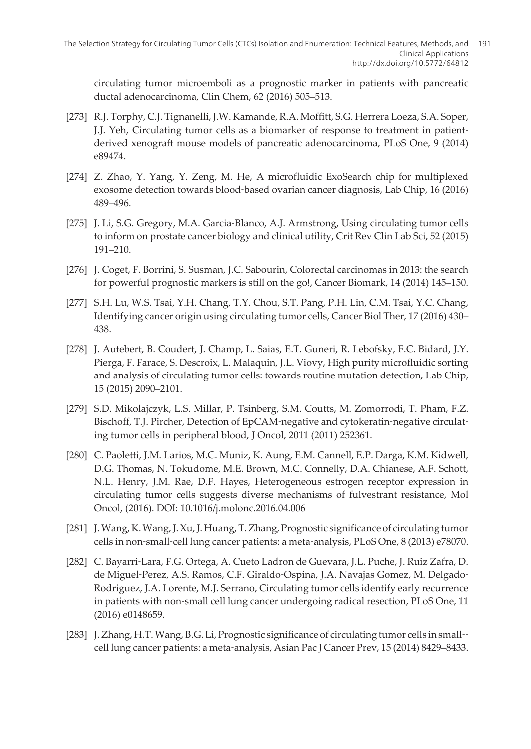<span id="page-46-0"></span>circulating tumor microemboli as a prognostic marker in patients with pancreatic ductal adenocarcinoma, Clin Chem, 62 (2016) 505–513.

- [273] R.J. Torphy, C.J. Tignanelli, J.W. Kamande, R.A. Moffitt, S.G. Herrera Loeza, S.A. Soper, J.J. Yeh, Circulating tumor cells as a biomarker of response to treatment in patient‐ derived xenograft mouse models of pancreatic adenocarcinoma, PLoS One, 9 (2014) e89474.
- [274] Z. Zhao, Y. Yang, Y. Zeng, M. He, A microfluidic ExoSearch chip for multiplexed exosome detection towards blood‐based ovarian cancer diagnosis, Lab Chip, 16 (2016) 489–496.
- [275] J. Li, S.G. Gregory, M.A. Garcia‐Blanco, A.J. Armstrong, Using circulating tumor cells to inform on prostate cancer biology and clinical utility, Crit Rev Clin Lab Sci, 52 (2015) 191–210.
- [276] J. Coget, F. Borrini, S. Susman, J.C. Sabourin, Colorectal carcinomas in 2013: the search for powerful prognostic markers is still on the go!, Cancer Biomark, 14 (2014) 145–150.
- [277] S.H. Lu, W.S. Tsai, Y.H. Chang, T.Y. Chou, S.T. Pang, P.H. Lin, C.M. Tsai, Y.C. Chang, Identifying cancer origin using circulating tumor cells, Cancer Biol Ther, 17 (2016) 430– 438.
- [278] J. Autebert, B. Coudert, J. Champ, L. Saias, E.T. Guneri, R. Lebofsky, F.C. Bidard, J.Y. Pierga, F. Farace, S. Descroix, L. Malaquin, J.L. Viovy, High purity microfluidic sorting and analysis of circulating tumor cells: towards routine mutation detection, Lab Chip, 15 (2015) 2090–2101.
- [279] S.D. Mikolajczyk, L.S. Millar, P. Tsinberg, S.M. Coutts, M. Zomorrodi, T. Pham, F.Z. Bischoff, T.J. Pircher, Detection of EpCAM-negative and cytokeratin-negative circulating tumor cells in peripheral blood, J Oncol, 2011 (2011) 252361.
- [280] C. Paoletti, J.M. Larios, M.C. Muniz, K. Aung, E.M. Cannell, E.P. Darga, K.M. Kidwell, D.G. Thomas, N. Tokudome, M.E. Brown, M.C. Connelly, D.A. Chianese, A.F. Schott, N.L. Henry, J.M. Rae, D.F. Hayes, Heterogeneous estrogen receptor expression in circulating tumor cells suggests diverse mechanisms of fulvestrant resistance, Mol Oncol, (2016). DOI: 10.1016/j.molonc.2016.04.006
- [281] J. Wang, K. Wang, J. Xu, J. Huang, T. Zhang, Prognostic significance of circulating tumor cells in non‐small‐cell lung cancer patients: a meta‐analysis, PLoS One, 8 (2013) e78070.
- [282] C. Bayarri-Lara, F.G. Ortega, A. Cueto Ladron de Guevara, J.L. Puche, J. Ruiz Zafra, D. de Miguel‐Perez, A.S. Ramos, C.F. Giraldo‐Ospina, J.A. Navajas Gomez, M. Delgado‐ Rodriguez, J.A. Lorente, M.J. Serrano, Circulating tumor cells identify early recurrence in patients with non‐small cell lung cancer undergoing radical resection, PLoS One, 11 (2016) e0148659.
- [283] J. Zhang, H.T. Wang, B.G. Li, Prognostic significance of circulating tumor cells in small-cell lung cancer patients: a meta‐analysis, Asian Pac J Cancer Prev, 15 (2014) 8429–8433.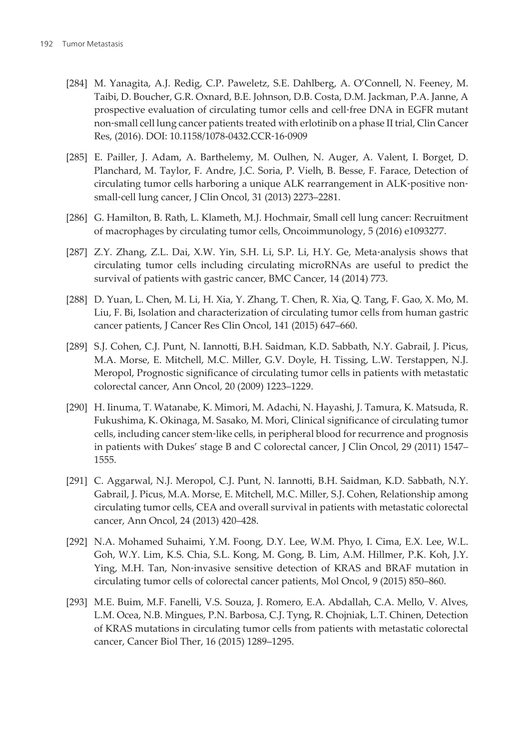- <span id="page-47-0"></span>[284] M. Yanagita, A.J. Redig, C.P. Paweletz, S.E. Dahlberg, A. O'Connell, N. Feeney, M. Taibi, D. Boucher, G.R. Oxnard, B.E. Johnson, D.B. Costa, D.M. Jackman, P.A. Janne, A prospective evaluation of circulating tumor cells and cell‐free DNA in EGFR mutant non‐small cell lung cancer patients treated with erlotinib on a phase II trial, Clin Cancer Res, (2016). DOI: 10.1158/1078-0432.CCR‐16‐0909
- [285] E. Pailler, J. Adam, A. Barthelemy, M. Oulhen, N. Auger, A. Valent, I. Borget, D. Planchard, M. Taylor, F. Andre, J.C. Soria, P. Vielh, B. Besse, F. Farace, Detection of circulating tumor cells harboring a unique ALK rearrangement in ALK‐positive non‐ small‐cell lung cancer, J Clin Oncol, 31 (2013) 2273–2281.
- [286] G. Hamilton, B. Rath, L. Klameth, M.J. Hochmair, Small cell lung cancer: Recruitment of macrophages by circulating tumor cells, Oncoimmunology, 5 (2016) e1093277.
- [287] Z.Y. Zhang, Z.L. Dai, X.W. Yin, S.H. Li, S.P. Li, H.Y. Ge, Meta-analysis shows that circulating tumor cells including circulating microRNAs are useful to predict the survival of patients with gastric cancer, BMC Cancer, 14 (2014) 773.
- [288] D. Yuan, L. Chen, M. Li, H. Xia, Y. Zhang, T. Chen, R. Xia, Q. Tang, F. Gao, X. Mo, M. Liu, F. Bi, Isolation and characterization of circulating tumor cells from human gastric cancer patients, J Cancer Res Clin Oncol, 141 (2015) 647–660.
- [289] S.J. Cohen, C.J. Punt, N. Iannotti, B.H. Saidman, K.D. Sabbath, N.Y. Gabrail, J. Picus, M.A. Morse, E. Mitchell, M.C. Miller, G.V. Doyle, H. Tissing, L.W. Terstappen, N.J. Meropol, Prognostic significance of circulating tumor cells in patients with metastatic colorectal cancer, Ann Oncol, 20 (2009) 1223–1229.
- [290] H. Iinuma, T. Watanabe, K. Mimori, M. Adachi, N. Hayashi, J. Tamura, K. Matsuda, R. Fukushima, K. Okinaga, M. Sasako, M. Mori, Clinical significance of circulating tumor cells, including cancer stem‐like cells, in peripheral blood for recurrence and prognosis in patients with Dukes' stage B and C colorectal cancer, J Clin Oncol, 29 (2011) 1547– 1555.
- [291] C. Aggarwal, N.J. Meropol, C.J. Punt, N. Iannotti, B.H. Saidman, K.D. Sabbath, N.Y. Gabrail, J. Picus, M.A. Morse, E. Mitchell, M.C. Miller, S.J. Cohen, Relationship among circulating tumor cells, CEA and overall survival in patients with metastatic colorectal cancer, Ann Oncol, 24 (2013) 420–428.
- [292] N.A. Mohamed Suhaimi, Y.M. Foong, D.Y. Lee, W.M. Phyo, I. Cima, E.X. Lee, W.L. Goh, W.Y. Lim, K.S. Chia, S.L. Kong, M. Gong, B. Lim, A.M. Hillmer, P.K. Koh, J.Y. Ying, M.H. Tan, Non‐invasive sensitive detection of KRAS and BRAF mutation in circulating tumor cells of colorectal cancer patients, Mol Oncol, 9 (2015) 850–860.
- [293] M.E. Buim, M.F. Fanelli, V.S. Souza, J. Romero, E.A. Abdallah, C.A. Mello, V. Alves, L.M. Ocea, N.B. Mingues, P.N. Barbosa, C.J. Tyng, R. Chojniak, L.T. Chinen, Detection of KRAS mutations in circulating tumor cells from patients with metastatic colorectal cancer, Cancer Biol Ther, 16 (2015) 1289–1295.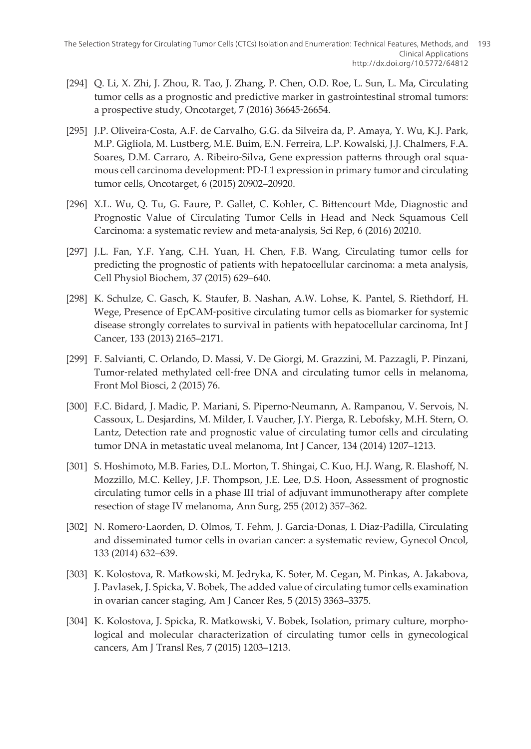- <span id="page-48-0"></span>[294] Q. Li, X. Zhi, J. Zhou, R. Tao, J. Zhang, P. Chen, O.D. Roe, L. Sun, L. Ma, Circulating tumor cells as a prognostic and predictive marker in gastrointestinal stromal tumors: a prospective study, Oncotarget, 7 (2016) 36645‐26654.
- [295] J.P. Oliveira‐Costa, A.F. de Carvalho, G.G. da Silveira da, P. Amaya, Y. Wu, K.J. Park, M.P. Gigliola, M. Lustberg, M.E. Buim, E.N. Ferreira, L.P. Kowalski, J.J. Chalmers, F.A. Soares, D.M. Carraro, A. Ribeiro-Silva, Gene expression patterns through oral squamous cell carcinoma development: PD‐L1 expression in primary tumor and circulating tumor cells, Oncotarget, 6 (2015) 20902–20920.
- [296] X.L. Wu, Q. Tu, G. Faure, P. Gallet, C. Kohler, C. Bittencourt Mde, Diagnostic and Prognostic Value of Circulating Tumor Cells in Head and Neck Squamous Cell Carcinoma: a systematic review and meta‐analysis, Sci Rep, 6 (2016) 20210.
- [297] J.L. Fan, Y.F. Yang, C.H. Yuan, H. Chen, F.B. Wang, Circulating tumor cells for predicting the prognostic of patients with hepatocellular carcinoma: a meta analysis, Cell Physiol Biochem, 37 (2015) 629–640.
- [298] K. Schulze, C. Gasch, K. Staufer, B. Nashan, A.W. Lohse, K. Pantel, S. Riethdorf, H. Wege, Presence of EpCAM‐positive circulating tumor cells as biomarker for systemic disease strongly correlates to survival in patients with hepatocellular carcinoma, Int J Cancer, 133 (2013) 2165–2171.
- [299] F. Salvianti, C. Orlando, D. Massi, V. De Giorgi, M. Grazzini, M. Pazzagli, P. Pinzani, Tumor-related methylated cell-free DNA and circulating tumor cells in melanoma, Front Mol Biosci, 2 (2015) 76.
- [300] F.C. Bidard, J. Madic, P. Mariani, S. Piperno‐Neumann, A. Rampanou, V. Servois, N. Cassoux, L. Desjardins, M. Milder, I. Vaucher, J.Y. Pierga, R. Lebofsky, M.H. Stern, O. Lantz, Detection rate and prognostic value of circulating tumor cells and circulating tumor DNA in metastatic uveal melanoma, Int J Cancer, 134 (2014) 1207–1213.
- [301] S. Hoshimoto, M.B. Faries, D.L. Morton, T. Shingai, C. Kuo, H.J. Wang, R. Elashoff, N. Mozzillo, M.C. Kelley, J.F. Thompson, J.E. Lee, D.S. Hoon, Assessment of prognostic circulating tumor cells in a phase III trial of adjuvant immunotherapy after complete resection of stage IV melanoma, Ann Surg, 255 (2012) 357–362.
- [302] N. Romero‐Laorden, D. Olmos, T. Fehm, J. Garcia‐Donas, I. Diaz‐Padilla, Circulating and disseminated tumor cells in ovarian cancer: a systematic review, Gynecol Oncol, 133 (2014) 632–639.
- [303] K. Kolostova, R. Matkowski, M. Jedryka, K. Soter, M. Cegan, M. Pinkas, A. Jakabova, J. Pavlasek, J. Spicka, V. Bobek, The added value of circulating tumor cells examination in ovarian cancer staging, Am J Cancer Res, 5 (2015) 3363–3375.
- [304] K. Kolostova, J. Spicka, R. Matkowski, V. Bobek, Isolation, primary culture, morphological and molecular characterization of circulating tumor cells in gynecological cancers, Am J Transl Res, 7 (2015) 1203–1213.